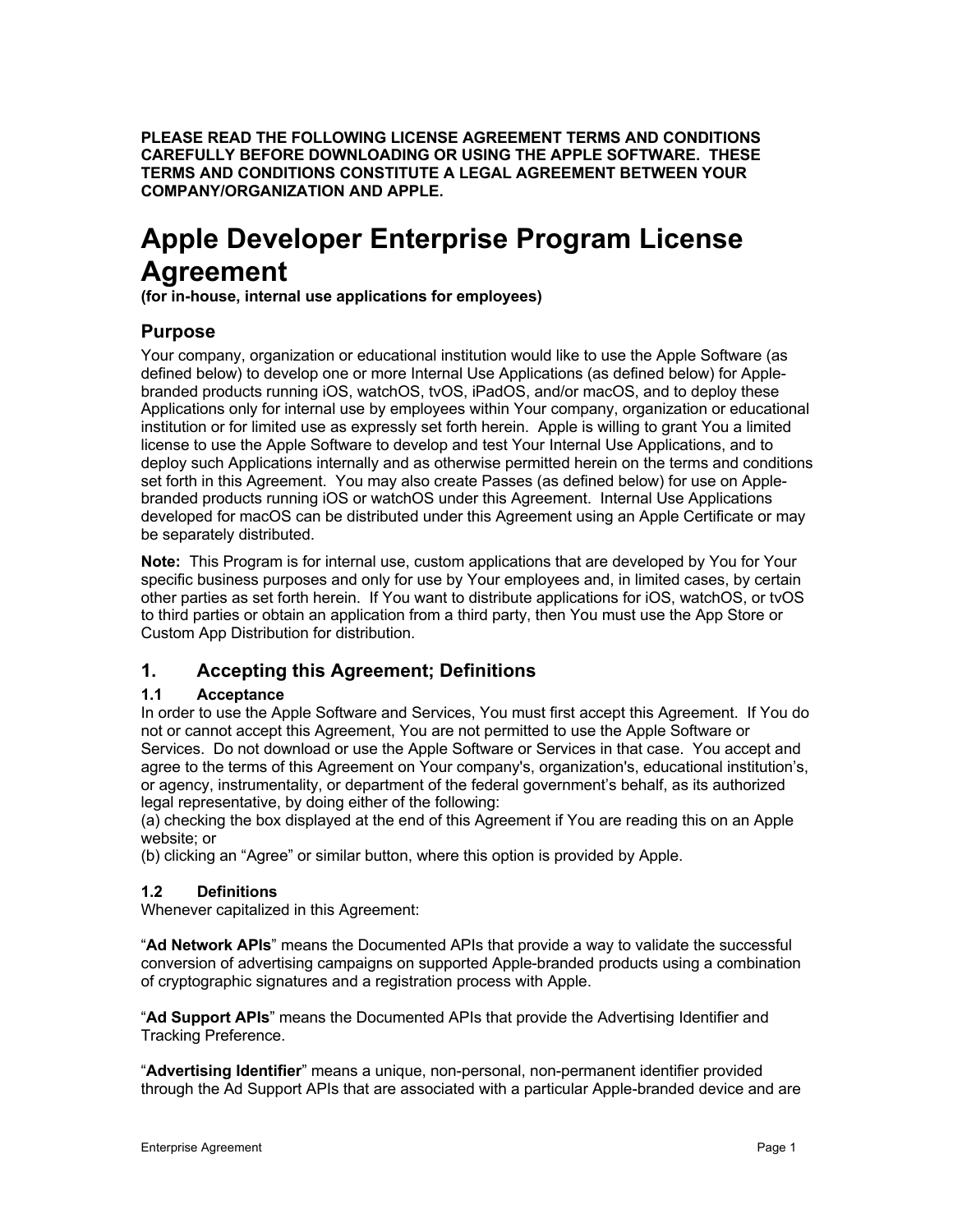**PLEASE READ THE FOLLOWING LICENSE AGREEMENT TERMS AND CONDITIONS CAREFULLY BEFORE DOWNLOADING OR USING THE APPLE SOFTWARE. THESE TERMS AND CONDITIONS CONSTITUTE A LEGAL AGREEMENT BETWEEN YOUR COMPANY/ORGANIZATION AND APPLE.**

# **Apple Developer Enterprise Program License Agreement**

**(for in-house, internal use applications for employees)**

# **Purpose**

Your company, organization or educational institution would like to use the Apple Software (as defined below) to develop one or more Internal Use Applications (as defined below) for Applebranded products running iOS, watchOS, tvOS, iPadOS, and/or macOS, and to deploy these Applications only for internal use by employees within Your company, organization or educational institution or for limited use as expressly set forth herein. Apple is willing to grant You a limited license to use the Apple Software to develop and test Your Internal Use Applications, and to deploy such Applications internally and as otherwise permitted herein on the terms and conditions set forth in this Agreement. You may also create Passes (as defined below) for use on Applebranded products running iOS or watchOS under this Agreement. Internal Use Applications developed for macOS can be distributed under this Agreement using an Apple Certificate or may be separately distributed.

**Note:** This Program is for internal use, custom applications that are developed by You for Your specific business purposes and only for use by Your employees and, in limited cases, by certain other parties as set forth herein. If You want to distribute applications for iOS, watchOS, or tvOS to third parties or obtain an application from a third party, then You must use the App Store or Custom App Distribution for distribution.

# **1. Accepting this Agreement; Definitions**

# **1.1 Acceptance**

In order to use the Apple Software and Services, You must first accept this Agreement. If You do not or cannot accept this Agreement, You are not permitted to use the Apple Software or Services. Do not download or use the Apple Software or Services in that case. You accept and agree to the terms of this Agreement on Your company's, organization's, educational institution's, or agency, instrumentality, or department of the federal government's behalf, as its authorized legal representative, by doing either of the following:

(a) checking the box displayed at the end of this Agreement if You are reading this on an Apple website; or

(b) clicking an "Agree" or similar button, where this option is provided by Apple.

# **1.2 Definitions**

Whenever capitalized in this Agreement:

"**Ad Network APIs**" means the Documented APIs that provide a way to validate the successful conversion of advertising campaigns on supported Apple-branded products using a combination of cryptographic signatures and a registration process with Apple.

"**Ad Support APIs**" means the Documented APIs that provide the Advertising Identifier and Tracking Preference.

"**Advertising Identifier**" means a unique, non-personal, non-permanent identifier provided through the Ad Support APIs that are associated with a particular Apple-branded device and are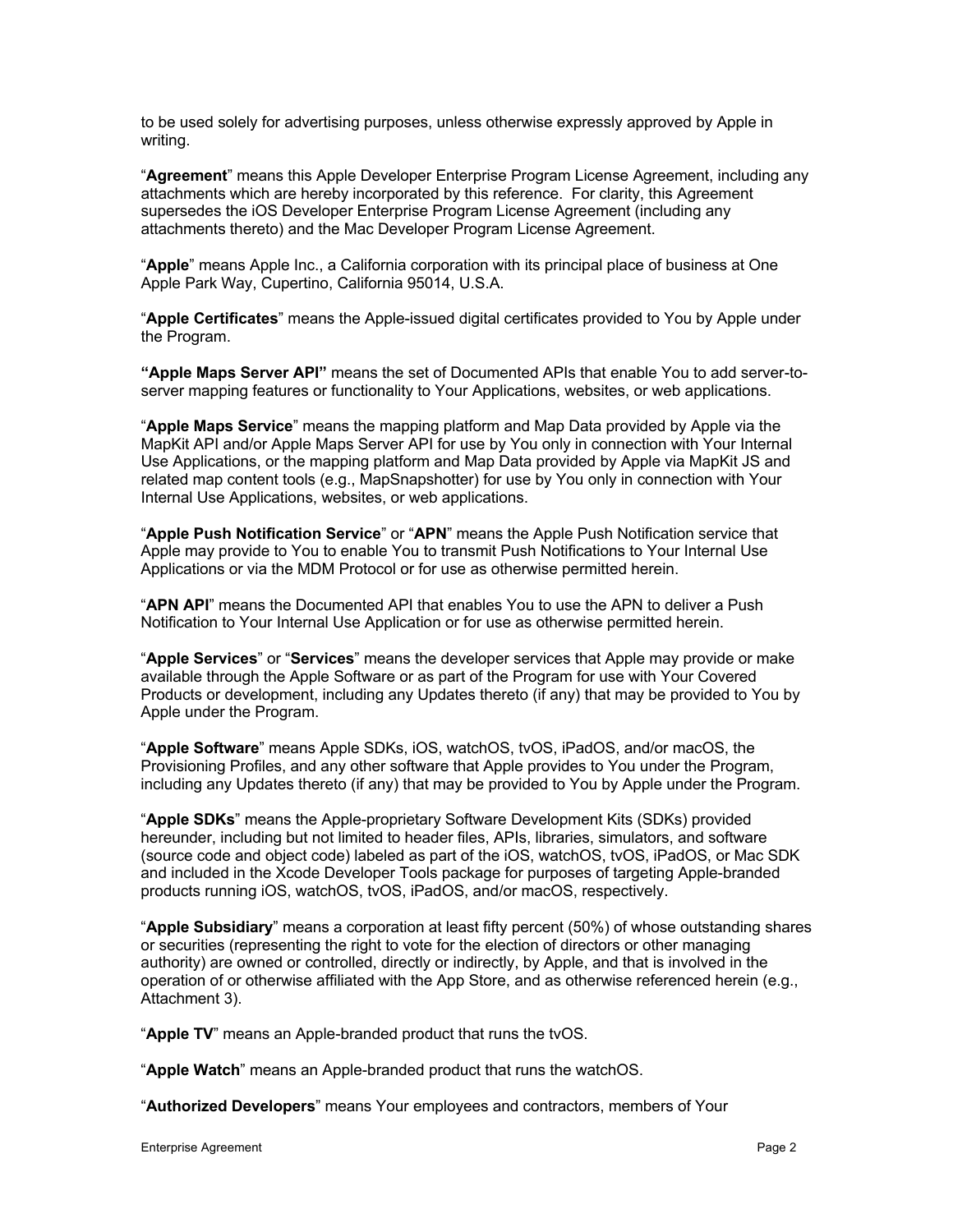to be used solely for advertising purposes, unless otherwise expressly approved by Apple in writing.

"**Agreement**" means this Apple Developer Enterprise Program License Agreement, including any attachments which are hereby incorporated by this reference. For clarity, this Agreement supersedes the iOS Developer Enterprise Program License Agreement (including any attachments thereto) and the Mac Developer Program License Agreement.

"**Apple**" means Apple Inc., a California corporation with its principal place of business at One Apple Park Way, Cupertino, California 95014, U.S.A.

"**Apple Certificates**" means the Apple-issued digital certificates provided to You by Apple under the Program.

**"Apple Maps Server API"** means the set of Documented APIs that enable You to add server-toserver mapping features or functionality to Your Applications, websites, or web applications.

"**Apple Maps Service**" means the mapping platform and Map Data provided by Apple via the MapKit API and/or Apple Maps Server API for use by You only in connection with Your Internal Use Applications, or the mapping platform and Map Data provided by Apple via MapKit JS and related map content tools (e.g., MapSnapshotter) for use by You only in connection with Your Internal Use Applications, websites, or web applications.

"**Apple Push Notification Service**" or "**APN**" means the Apple Push Notification service that Apple may provide to You to enable You to transmit Push Notifications to Your Internal Use Applications or via the MDM Protocol or for use as otherwise permitted herein.

"**APN API**" means the Documented API that enables You to use the APN to deliver a Push Notification to Your Internal Use Application or for use as otherwise permitted herein.

"**Apple Services**" or "**Services**" means the developer services that Apple may provide or make available through the Apple Software or as part of the Program for use with Your Covered Products or development, including any Updates thereto (if any) that may be provided to You by Apple under the Program.

"**Apple Software**" means Apple SDKs, iOS, watchOS, tvOS, iPadOS, and/or macOS, the Provisioning Profiles, and any other software that Apple provides to You under the Program, including any Updates thereto (if any) that may be provided to You by Apple under the Program.

"**Apple SDKs**" means the Apple-proprietary Software Development Kits (SDKs) provided hereunder, including but not limited to header files, APIs, libraries, simulators, and software (source code and object code) labeled as part of the iOS, watchOS, tvOS, iPadOS, or Mac SDK and included in the Xcode Developer Tools package for purposes of targeting Apple-branded products running iOS, watchOS, tvOS, iPadOS, and/or macOS, respectively.

"**Apple Subsidiary**" means a corporation at least fifty percent (50%) of whose outstanding shares or securities (representing the right to vote for the election of directors or other managing authority) are owned or controlled, directly or indirectly, by Apple, and that is involved in the operation of or otherwise affiliated with the App Store, and as otherwise referenced herein (e.g., Attachment 3).

"**Apple TV**" means an Apple-branded product that runs the tvOS.

"**Apple Watch**" means an Apple-branded product that runs the watchOS.

"**Authorized Developers**" means Your employees and contractors, members of Your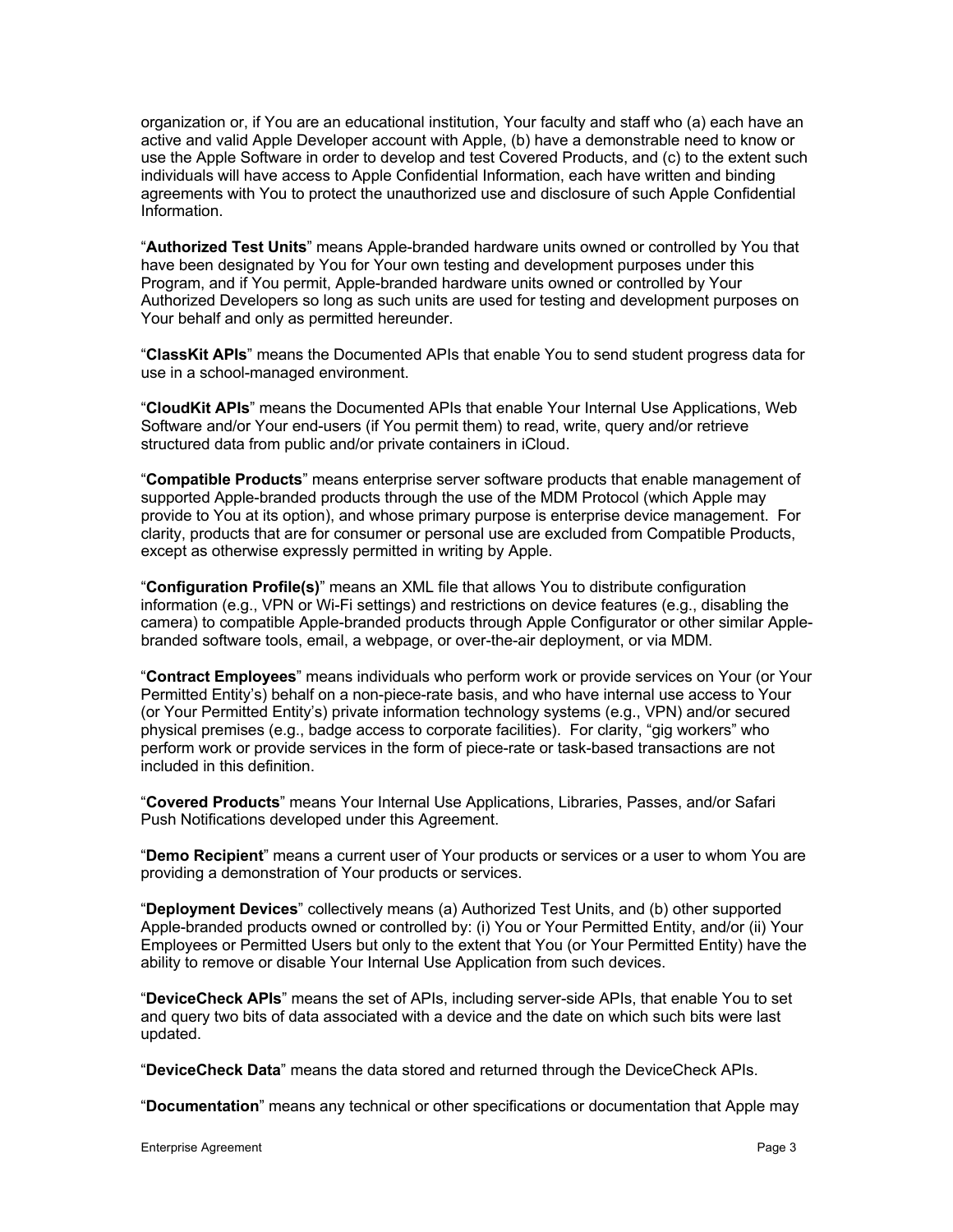organization or, if You are an educational institution, Your faculty and staff who (a) each have an active and valid Apple Developer account with Apple, (b) have a demonstrable need to know or use the Apple Software in order to develop and test Covered Products, and (c) to the extent such individuals will have access to Apple Confidential Information, each have written and binding agreements with You to protect the unauthorized use and disclosure of such Apple Confidential Information.

"**Authorized Test Units**" means Apple-branded hardware units owned or controlled by You that have been designated by You for Your own testing and development purposes under this Program, and if You permit, Apple-branded hardware units owned or controlled by Your Authorized Developers so long as such units are used for testing and development purposes on Your behalf and only as permitted hereunder.

"**ClassKit APIs**" means the Documented APIs that enable You to send student progress data for use in a school-managed environment.

"**CloudKit APIs**" means the Documented APIs that enable Your Internal Use Applications, Web Software and/or Your end-users (if You permit them) to read, write, query and/or retrieve structured data from public and/or private containers in iCloud.

"**Compatible Products**" means enterprise server software products that enable management of supported Apple-branded products through the use of the MDM Protocol (which Apple may provide to You at its option), and whose primary purpose is enterprise device management. For clarity, products that are for consumer or personal use are excluded from Compatible Products, except as otherwise expressly permitted in writing by Apple.

"**Configuration Profile(s)**" means an XML file that allows You to distribute configuration information (e.g., VPN or Wi-Fi settings) and restrictions on device features (e.g., disabling the camera) to compatible Apple-branded products through Apple Configurator or other similar Applebranded software tools, email, a webpage, or over-the-air deployment, or via MDM.

"**Contract Employees**" means individuals who perform work or provide services on Your (or Your Permitted Entity's) behalf on a non-piece-rate basis, and who have internal use access to Your (or Your Permitted Entity's) private information technology systems (e.g., VPN) and/or secured physical premises (e.g., badge access to corporate facilities). For clarity, "gig workers" who perform work or provide services in the form of piece-rate or task-based transactions are not included in this definition.

"**Covered Products**" means Your Internal Use Applications, Libraries, Passes, and/or Safari Push Notifications developed under this Agreement.

"**Demo Recipient**" means a current user of Your products or services or a user to whom You are providing a demonstration of Your products or services.

"**Deployment Devices**" collectively means (a) Authorized Test Units, and (b) other supported Apple-branded products owned or controlled by: (i) You or Your Permitted Entity, and/or (ii) Your Employees or Permitted Users but only to the extent that You (or Your Permitted Entity) have the ability to remove or disable Your Internal Use Application from such devices.

"**DeviceCheck APIs**" means the set of APIs, including server-side APIs, that enable You to set and query two bits of data associated with a device and the date on which such bits were last updated.

"**DeviceCheck Data**" means the data stored and returned through the DeviceCheck APIs.

"**Documentation**" means any technical or other specifications or documentation that Apple may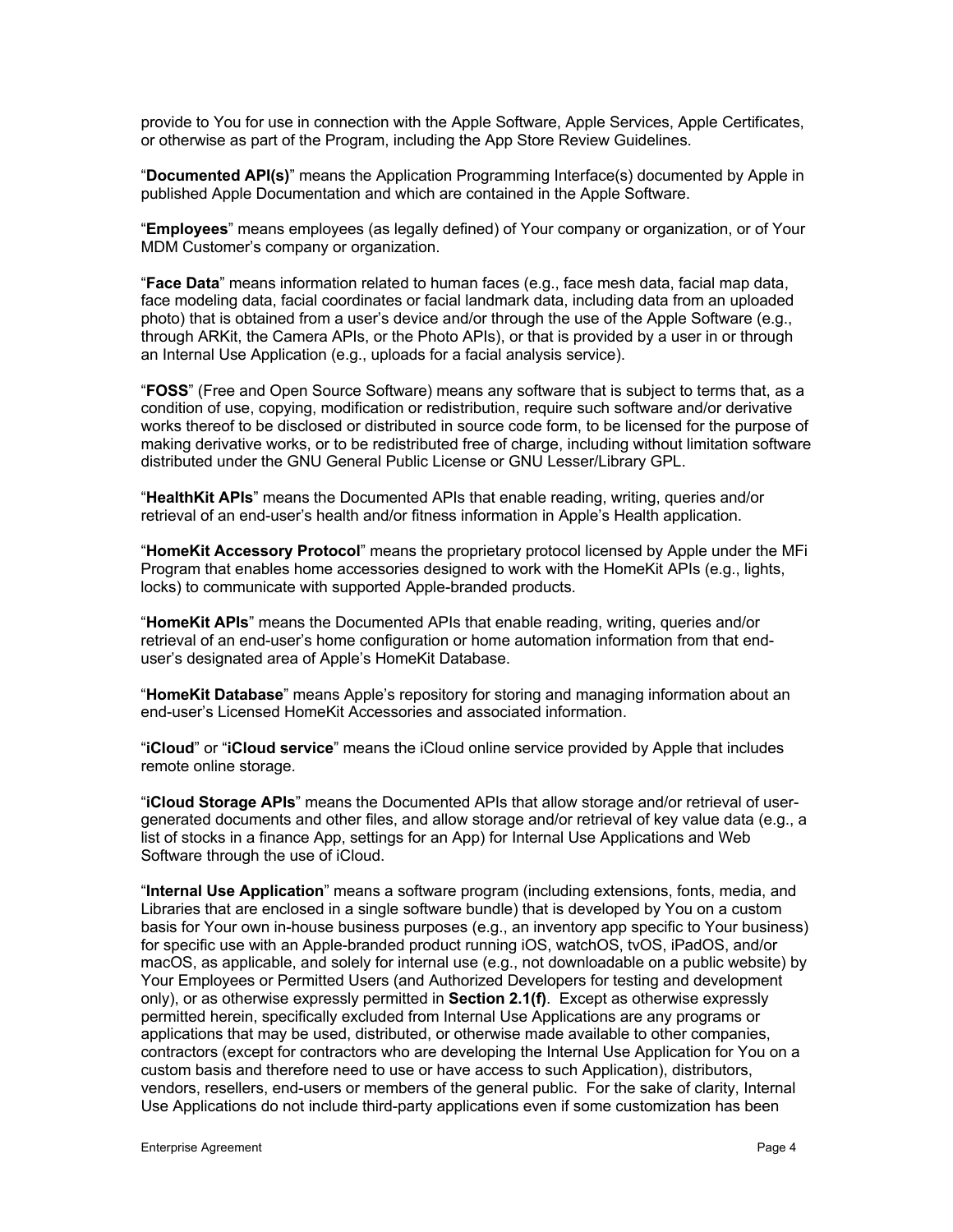provide to You for use in connection with the Apple Software, Apple Services, Apple Certificates, or otherwise as part of the Program, including the App Store Review Guidelines.

"**Documented API(s)**" means the Application Programming Interface(s) documented by Apple in published Apple Documentation and which are contained in the Apple Software.

"**Employees**" means employees (as legally defined) of Your company or organization, or of Your MDM Customer's company or organization.

"**Face Data**" means information related to human faces (e.g., face mesh data, facial map data, face modeling data, facial coordinates or facial landmark data, including data from an uploaded photo) that is obtained from a user's device and/or through the use of the Apple Software (e.g., through ARKit, the Camera APIs, or the Photo APIs), or that is provided by a user in or through an Internal Use Application (e.g., uploads for a facial analysis service).

"**FOSS**" (Free and Open Source Software) means any software that is subject to terms that, as a condition of use, copying, modification or redistribution, require such software and/or derivative works thereof to be disclosed or distributed in source code form, to be licensed for the purpose of making derivative works, or to be redistributed free of charge, including without limitation software distributed under the GNU General Public License or GNU Lesser/Library GPL.

"**HealthKit APIs**" means the Documented APIs that enable reading, writing, queries and/or retrieval of an end-user's health and/or fitness information in Apple's Health application.

"**HomeKit Accessory Protocol**" means the proprietary protocol licensed by Apple under the MFi Program that enables home accessories designed to work with the HomeKit APIs (e.g., lights, locks) to communicate with supported Apple-branded products.

"**HomeKit APIs**" means the Documented APIs that enable reading, writing, queries and/or retrieval of an end-user's home configuration or home automation information from that enduser's designated area of Apple's HomeKit Database.

"**HomeKit Database**" means Apple's repository for storing and managing information about an end-user's Licensed HomeKit Accessories and associated information.

"**iCloud**" or "**iCloud service**" means the iCloud online service provided by Apple that includes remote online storage.

"**iCloud Storage APIs**" means the Documented APIs that allow storage and/or retrieval of usergenerated documents and other files, and allow storage and/or retrieval of key value data (e.g., a list of stocks in a finance App, settings for an App) for Internal Use Applications and Web Software through the use of iCloud.

"**Internal Use Application**" means a software program (including extensions, fonts, media, and Libraries that are enclosed in a single software bundle) that is developed by You on a custom basis for Your own in-house business purposes (e.g., an inventory app specific to Your business) for specific use with an Apple-branded product running iOS, watchOS, tvOS, iPadOS, and/or macOS, as applicable, and solely for internal use (e.g., not downloadable on a public website) by Your Employees or Permitted Users (and Authorized Developers for testing and development only), or as otherwise expressly permitted in **Section 2.1(f)**. Except as otherwise expressly permitted herein, specifically excluded from Internal Use Applications are any programs or applications that may be used, distributed, or otherwise made available to other companies, contractors (except for contractors who are developing the Internal Use Application for You on a custom basis and therefore need to use or have access to such Application), distributors, vendors, resellers, end-users or members of the general public. For the sake of clarity, Internal Use Applications do not include third-party applications even if some customization has been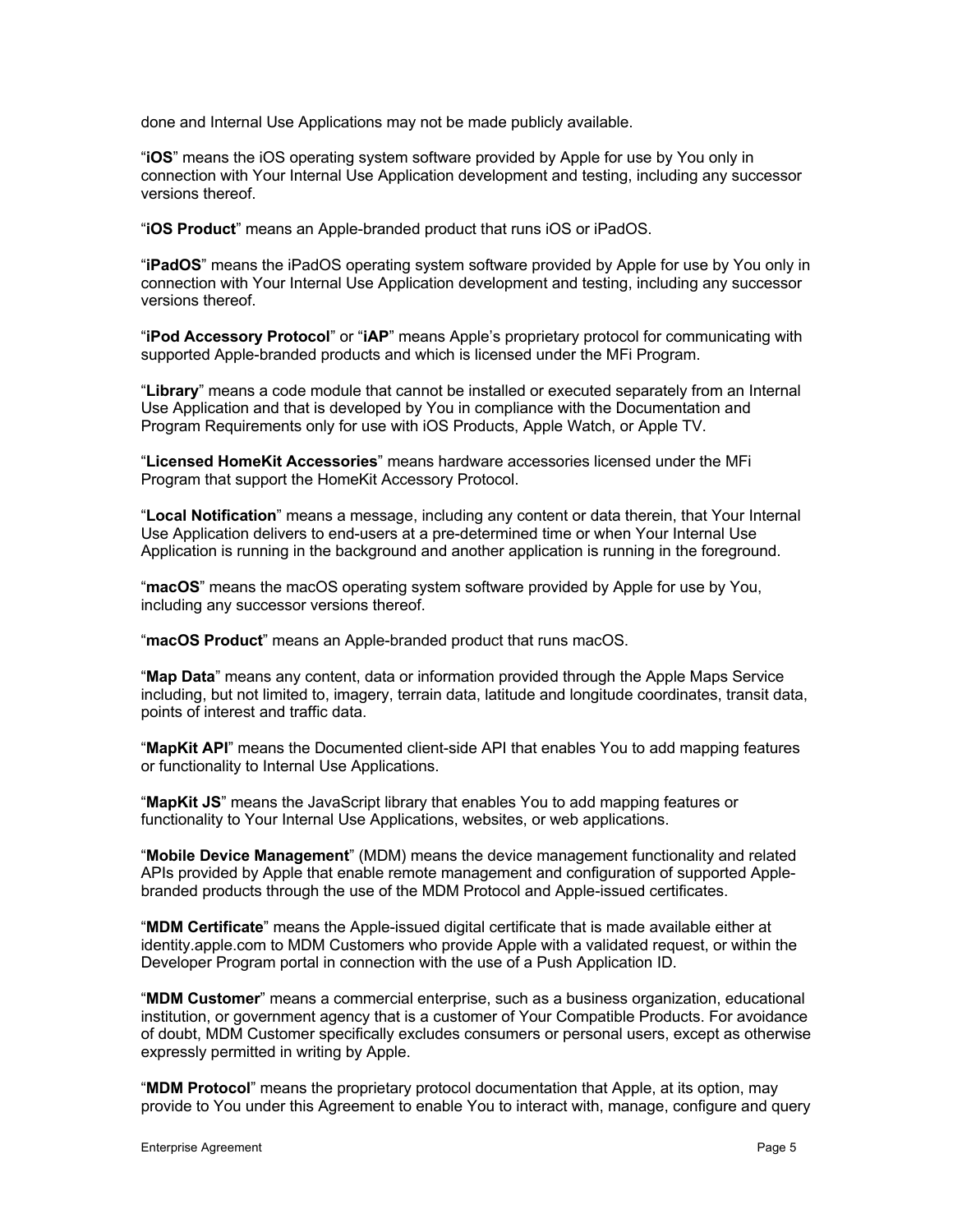done and Internal Use Applications may not be made publicly available.

"**iOS**" means the iOS operating system software provided by Apple for use by You only in connection with Your Internal Use Application development and testing, including any successor versions thereof.

"**iOS Product**" means an Apple-branded product that runs iOS or iPadOS.

"**iPadOS**" means the iPadOS operating system software provided by Apple for use by You only in connection with Your Internal Use Application development and testing, including any successor versions thereof.

"**iPod Accessory Protocol**" or "**iAP**" means Apple's proprietary protocol for communicating with supported Apple-branded products and which is licensed under the MFi Program.

"**Library**" means a code module that cannot be installed or executed separately from an Internal Use Application and that is developed by You in compliance with the Documentation and Program Requirements only for use with iOS Products, Apple Watch, or Apple TV.

"**Licensed HomeKit Accessories**" means hardware accessories licensed under the MFi Program that support the HomeKit Accessory Protocol.

"**Local Notification**" means a message, including any content or data therein, that Your Internal Use Application delivers to end-users at a pre-determined time or when Your Internal Use Application is running in the background and another application is running in the foreground.

"**macOS**" means the macOS operating system software provided by Apple for use by You, including any successor versions thereof.

"**macOS Product**" means an Apple-branded product that runs macOS.

"**Map Data**" means any content, data or information provided through the Apple Maps Service including, but not limited to, imagery, terrain data, latitude and longitude coordinates, transit data, points of interest and traffic data.

"**MapKit API**" means the Documented client-side API that enables You to add mapping features or functionality to Internal Use Applications.

"**MapKit JS**" means the JavaScript library that enables You to add mapping features or functionality to Your Internal Use Applications, websites, or web applications.

"**Mobile Device Management**" (MDM) means the device management functionality and related APIs provided by Apple that enable remote management and configuration of supported Applebranded products through the use of the MDM Protocol and Apple-issued certificates.

"**MDM Certificate**" means the Apple-issued digital certificate that is made available either at identity.apple.com to MDM Customers who provide Apple with a validated request, or within the Developer Program portal in connection with the use of a Push Application ID.

"**MDM Customer**" means a commercial enterprise, such as a business organization, educational institution, or government agency that is a customer of Your Compatible Products. For avoidance of doubt, MDM Customer specifically excludes consumers or personal users, except as otherwise expressly permitted in writing by Apple.

"**MDM Protocol**" means the proprietary protocol documentation that Apple, at its option, may provide to You under this Agreement to enable You to interact with, manage, configure and query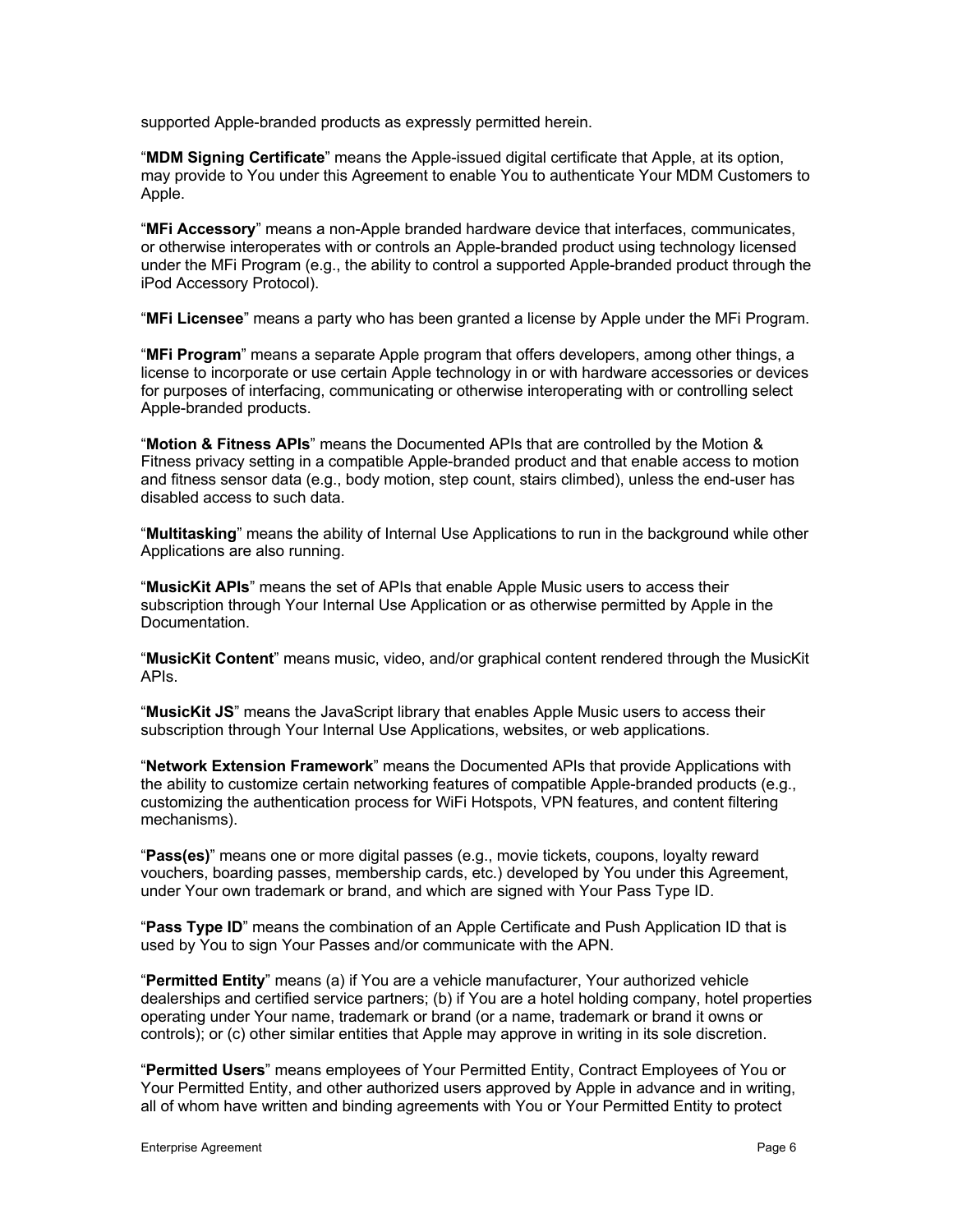supported Apple-branded products as expressly permitted herein.

"**MDM Signing Certificate**" means the Apple-issued digital certificate that Apple, at its option, may provide to You under this Agreement to enable You to authenticate Your MDM Customers to Apple.

"**MFi Accessory**" means a non-Apple branded hardware device that interfaces, communicates, or otherwise interoperates with or controls an Apple-branded product using technology licensed under the MFi Program (e.g., the ability to control a supported Apple-branded product through the iPod Accessory Protocol).

"**MFi Licensee**" means a party who has been granted a license by Apple under the MFi Program.

"**MFi Program**" means a separate Apple program that offers developers, among other things, a license to incorporate or use certain Apple technology in or with hardware accessories or devices for purposes of interfacing, communicating or otherwise interoperating with or controlling select Apple-branded products.

"**Motion & Fitness APIs**" means the Documented APIs that are controlled by the Motion & Fitness privacy setting in a compatible Apple-branded product and that enable access to motion and fitness sensor data (e.g., body motion, step count, stairs climbed), unless the end-user has disabled access to such data.

"**Multitasking**" means the ability of Internal Use Applications to run in the background while other Applications are also running.

"**MusicKit APIs**" means the set of APIs that enable Apple Music users to access their subscription through Your Internal Use Application or as otherwise permitted by Apple in the Documentation.

"**MusicKit Content**" means music, video, and/or graphical content rendered through the MusicKit APIs.

"**MusicKit JS**" means the JavaScript library that enables Apple Music users to access their subscription through Your Internal Use Applications, websites, or web applications.

"**Network Extension Framework**" means the Documented APIs that provide Applications with the ability to customize certain networking features of compatible Apple-branded products (e.g., customizing the authentication process for WiFi Hotspots, VPN features, and content filtering mechanisms).

"**Pass(es)**" means one or more digital passes (e.g., movie tickets, coupons, loyalty reward vouchers, boarding passes, membership cards, etc.) developed by You under this Agreement, under Your own trademark or brand, and which are signed with Your Pass Type ID.

"**Pass Type ID**" means the combination of an Apple Certificate and Push Application ID that is used by You to sign Your Passes and/or communicate with the APN.

"**Permitted Entity**" means (a) if You are a vehicle manufacturer, Your authorized vehicle dealerships and certified service partners; (b) if You are a hotel holding company, hotel properties operating under Your name, trademark or brand (or a name, trademark or brand it owns or controls); or (c) other similar entities that Apple may approve in writing in its sole discretion.

"**Permitted Users**" means employees of Your Permitted Entity, Contract Employees of You or Your Permitted Entity, and other authorized users approved by Apple in advance and in writing, all of whom have written and binding agreements with You or Your Permitted Entity to protect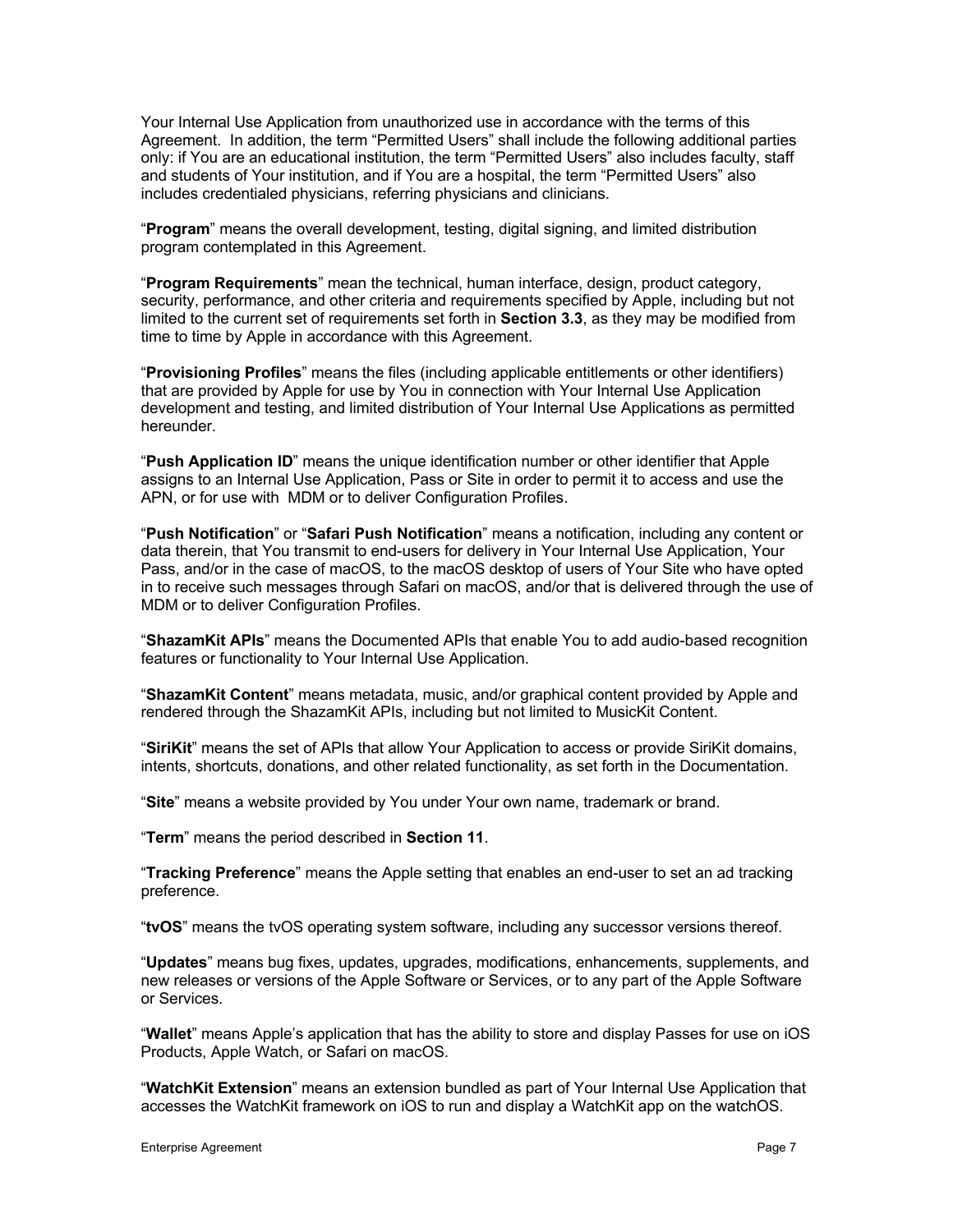Your Internal Use Application from unauthorized use in accordance with the terms of this Agreement. In addition, the term "Permitted Users" shall include the following additional parties only: if You are an educational institution, the term "Permitted Users" also includes faculty, staff and students of Your institution, and if You are a hospital, the term "Permitted Users" also includes credentialed physicians, referring physicians and clinicians.

"**Program**" means the overall development, testing, digital signing, and limited distribution program contemplated in this Agreement.

"**Program Requirements**" mean the technical, human interface, design, product category, security, performance, and other criteria and requirements specified by Apple, including but not limited to the current set of requirements set forth in **Section 3.3**, as they may be modified from time to time by Apple in accordance with this Agreement.

"**Provisioning Profiles**" means the files (including applicable entitlements or other identifiers) that are provided by Apple for use by You in connection with Your Internal Use Application development and testing, and limited distribution of Your Internal Use Applications as permitted hereunder.

"**Push Application ID**" means the unique identification number or other identifier that Apple assigns to an Internal Use Application, Pass or Site in order to permit it to access and use the APN, or for use with MDM or to deliver Configuration Profiles.

"**Push Notification**" or "**Safari Push Notification**" means a notification, including any content or data therein, that You transmit to end-users for delivery in Your Internal Use Application, Your Pass, and/or in the case of macOS, to the macOS desktop of users of Your Site who have opted in to receive such messages through Safari on macOS, and/or that is delivered through the use of MDM or to deliver Configuration Profiles.

"**ShazamKit APIs**" means the Documented APIs that enable You to add audio-based recognition features or functionality to Your Internal Use Application.

"**ShazamKit Content**" means metadata, music, and/or graphical content provided by Apple and rendered through the ShazamKit APIs, including but not limited to MusicKit Content.

"**SiriKit**" means the set of APIs that allow Your Application to access or provide SiriKit domains, intents, shortcuts, donations, and other related functionality, as set forth in the Documentation.

"**Site**" means a website provided by You under Your own name, trademark or brand.

"**Term**" means the period described in **Section 11**.

"**Tracking Preference**" means the Apple setting that enables an end-user to set an ad tracking preference.

"**tvOS**" means the tvOS operating system software, including any successor versions thereof.

"**Updates**" means bug fixes, updates, upgrades, modifications, enhancements, supplements, and new releases or versions of the Apple Software or Services, or to any part of the Apple Software or Services.

"**Wallet**" means Apple's application that has the ability to store and display Passes for use on iOS Products, Apple Watch, or Safari on macOS.

"**WatchKit Extension**" means an extension bundled as part of Your Internal Use Application that accesses the WatchKit framework on iOS to run and display a WatchKit app on the watchOS.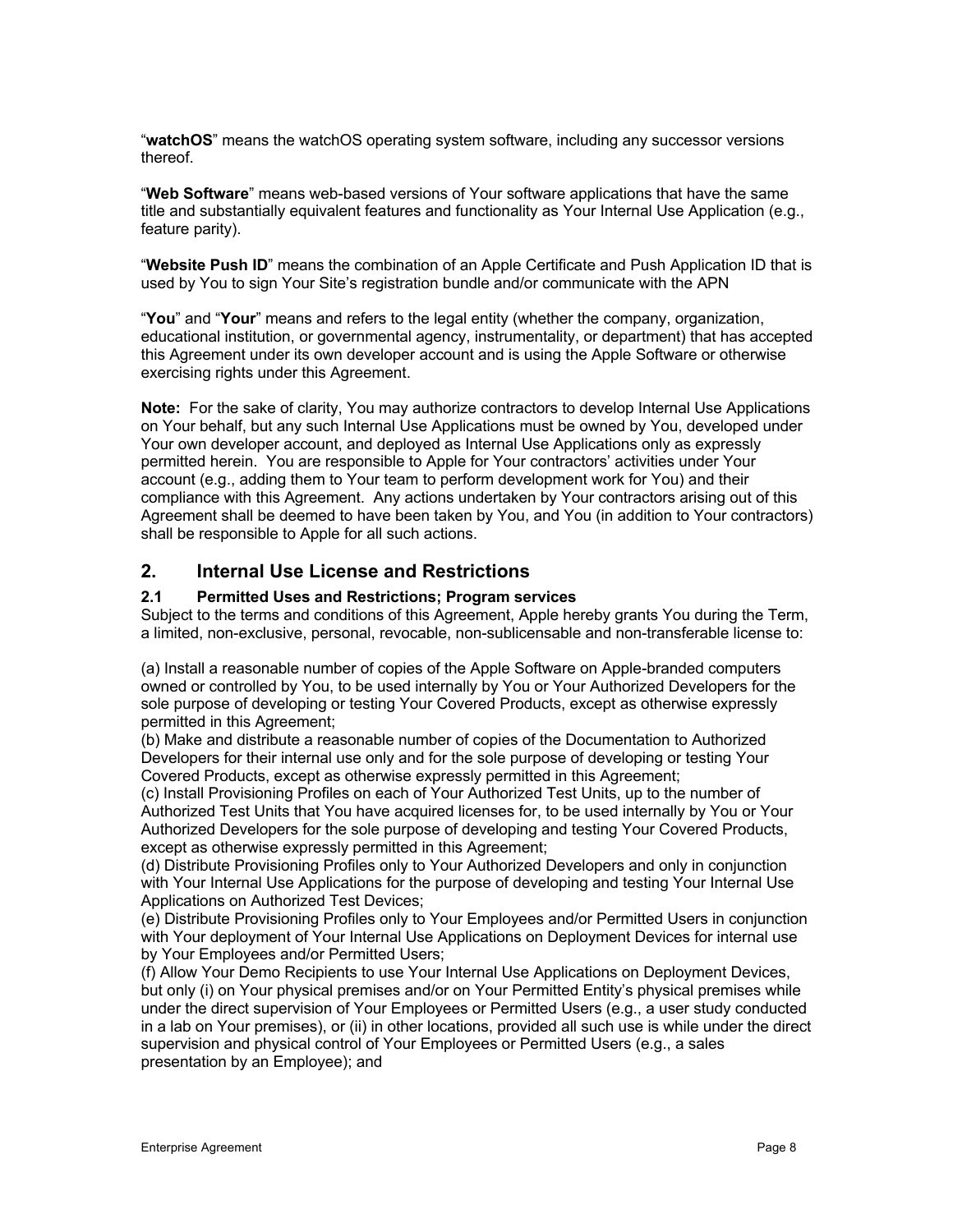"**watchOS**" means the watchOS operating system software, including any successor versions thereof.

"**Web Software**" means web-based versions of Your software applications that have the same title and substantially equivalent features and functionality as Your Internal Use Application (e.g., feature parity).

"**Website Push ID**" means the combination of an Apple Certificate and Push Application ID that is used by You to sign Your Site's registration bundle and/or communicate with the APN

"**You**" and "**Your**" means and refers to the legal entity (whether the company, organization, educational institution, or governmental agency, instrumentality, or department) that has accepted this Agreement under its own developer account and is using the Apple Software or otherwise exercising rights under this Agreement.

**Note:** For the sake of clarity, You may authorize contractors to develop Internal Use Applications on Your behalf, but any such Internal Use Applications must be owned by You, developed under Your own developer account, and deployed as Internal Use Applications only as expressly permitted herein. You are responsible to Apple for Your contractors' activities under Your account (e.g., adding them to Your team to perform development work for You) and their compliance with this Agreement. Any actions undertaken by Your contractors arising out of this Agreement shall be deemed to have been taken by You, and You (in addition to Your contractors) shall be responsible to Apple for all such actions.

# **2. Internal Use License and Restrictions**

### **2.1 Permitted Uses and Restrictions; Program services**

Subject to the terms and conditions of this Agreement, Apple hereby grants You during the Term, a limited, non-exclusive, personal, revocable, non-sublicensable and non-transferable license to:

(a) Install a reasonable number of copies of the Apple Software on Apple-branded computers owned or controlled by You, to be used internally by You or Your Authorized Developers for the sole purpose of developing or testing Your Covered Products, except as otherwise expressly permitted in this Agreement;

(b) Make and distribute a reasonable number of copies of the Documentation to Authorized Developers for their internal use only and for the sole purpose of developing or testing Your Covered Products, except as otherwise expressly permitted in this Agreement;

(c) Install Provisioning Profiles on each of Your Authorized Test Units, up to the number of Authorized Test Units that You have acquired licenses for, to be used internally by You or Your Authorized Developers for the sole purpose of developing and testing Your Covered Products, except as otherwise expressly permitted in this Agreement;

(d) Distribute Provisioning Profiles only to Your Authorized Developers and only in conjunction with Your Internal Use Applications for the purpose of developing and testing Your Internal Use Applications on Authorized Test Devices;

(e) Distribute Provisioning Profiles only to Your Employees and/or Permitted Users in conjunction with Your deployment of Your Internal Use Applications on Deployment Devices for internal use by Your Employees and/or Permitted Users;

(f) Allow Your Demo Recipients to use Your Internal Use Applications on Deployment Devices, but only (i) on Your physical premises and/or on Your Permitted Entity's physical premises while under the direct supervision of Your Employees or Permitted Users (e.g., a user study conducted in a lab on Your premises), or (ii) in other locations, provided all such use is while under the direct supervision and physical control of Your Employees or Permitted Users (e.g., a sales presentation by an Employee); and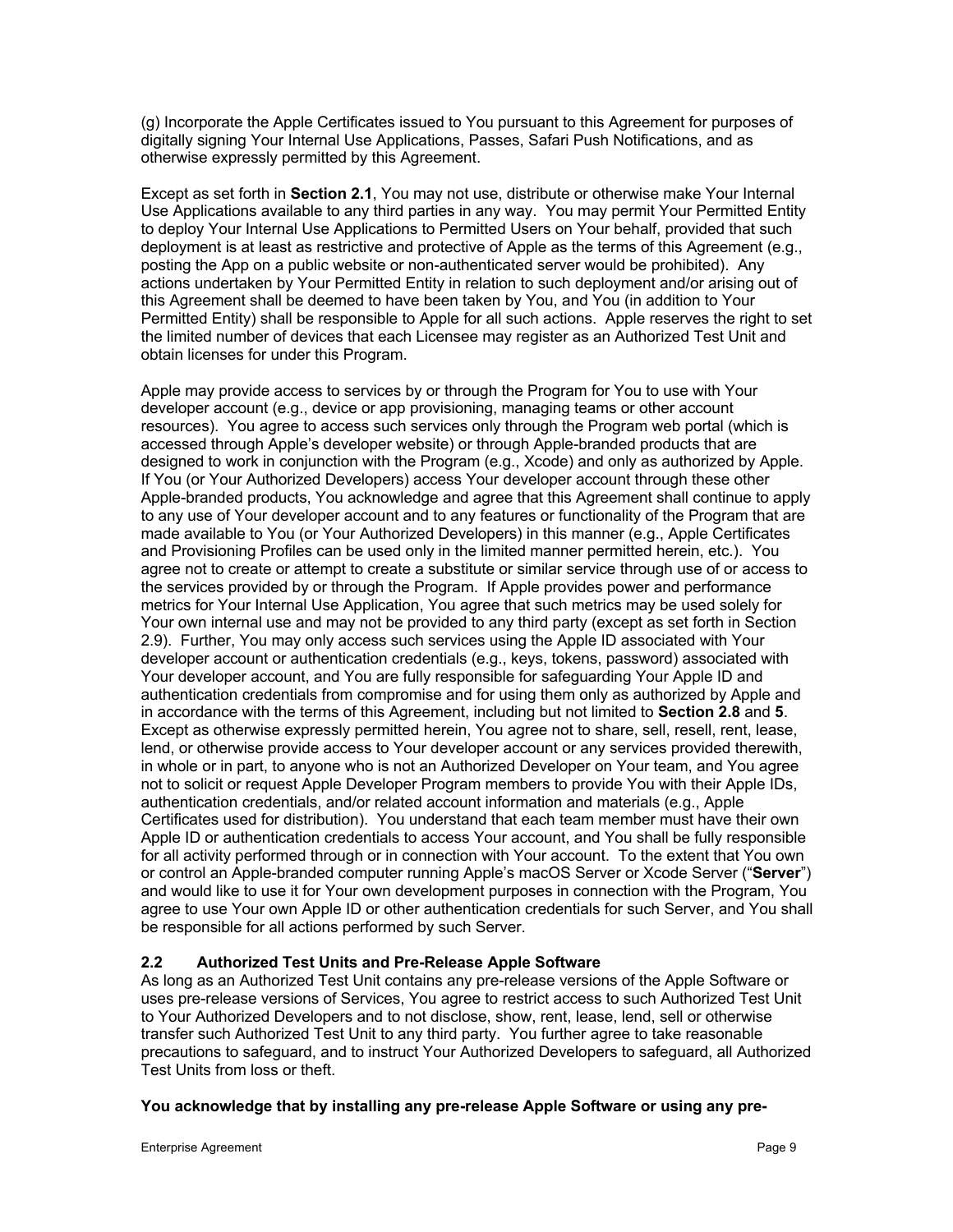(g) Incorporate the Apple Certificates issued to You pursuant to this Agreement for purposes of digitally signing Your Internal Use Applications, Passes, Safari Push Notifications, and as otherwise expressly permitted by this Agreement.

Except as set forth in **Section 2.1**, You may not use, distribute or otherwise make Your Internal Use Applications available to any third parties in any way. You may permit Your Permitted Entity to deploy Your Internal Use Applications to Permitted Users on Your behalf, provided that such deployment is at least as restrictive and protective of Apple as the terms of this Agreement (e.g., posting the App on a public website or non-authenticated server would be prohibited). Any actions undertaken by Your Permitted Entity in relation to such deployment and/or arising out of this Agreement shall be deemed to have been taken by You, and You (in addition to Your Permitted Entity) shall be responsible to Apple for all such actions. Apple reserves the right to set the limited number of devices that each Licensee may register as an Authorized Test Unit and obtain licenses for under this Program.

Apple may provide access to services by or through the Program for You to use with Your developer account (e.g., device or app provisioning, managing teams or other account resources). You agree to access such services only through the Program web portal (which is accessed through Apple's developer website) or through Apple-branded products that are designed to work in conjunction with the Program (e.g., Xcode) and only as authorized by Apple. If You (or Your Authorized Developers) access Your developer account through these other Apple-branded products, You acknowledge and agree that this Agreement shall continue to apply to any use of Your developer account and to any features or functionality of the Program that are made available to You (or Your Authorized Developers) in this manner (e.g., Apple Certificates and Provisioning Profiles can be used only in the limited manner permitted herein, etc.). You agree not to create or attempt to create a substitute or similar service through use of or access to the services provided by or through the Program. If Apple provides power and performance metrics for Your Internal Use Application, You agree that such metrics may be used solely for Your own internal use and may not be provided to any third party (except as set forth in Section 2.9). Further, You may only access such services using the Apple ID associated with Your developer account or authentication credentials (e.g., keys, tokens, password) associated with Your developer account, and You are fully responsible for safeguarding Your Apple ID and authentication credentials from compromise and for using them only as authorized by Apple and in accordance with the terms of this Agreement, including but not limited to **Section 2.8** and **5**. Except as otherwise expressly permitted herein, You agree not to share, sell, resell, rent, lease, lend, or otherwise provide access to Your developer account or any services provided therewith, in whole or in part, to anyone who is not an Authorized Developer on Your team, and You agree not to solicit or request Apple Developer Program members to provide You with their Apple IDs, authentication credentials, and/or related account information and materials (e.g., Apple Certificates used for distribution). You understand that each team member must have their own Apple ID or authentication credentials to access Your account, and You shall be fully responsible for all activity performed through or in connection with Your account. To the extent that You own or control an Apple-branded computer running Apple's macOS Server or Xcode Server ("**Server**") and would like to use it for Your own development purposes in connection with the Program, You agree to use Your own Apple ID or other authentication credentials for such Server, and You shall be responsible for all actions performed by such Server.

# **2.2 Authorized Test Units and Pre-Release Apple Software**

As long as an Authorized Test Unit contains any pre-release versions of the Apple Software or uses pre-release versions of Services, You agree to restrict access to such Authorized Test Unit to Your Authorized Developers and to not disclose, show, rent, lease, lend, sell or otherwise transfer such Authorized Test Unit to any third party. You further agree to take reasonable precautions to safeguard, and to instruct Your Authorized Developers to safeguard, all Authorized Test Units from loss or theft.

# **You acknowledge that by installing any pre-release Apple Software or using any pre-**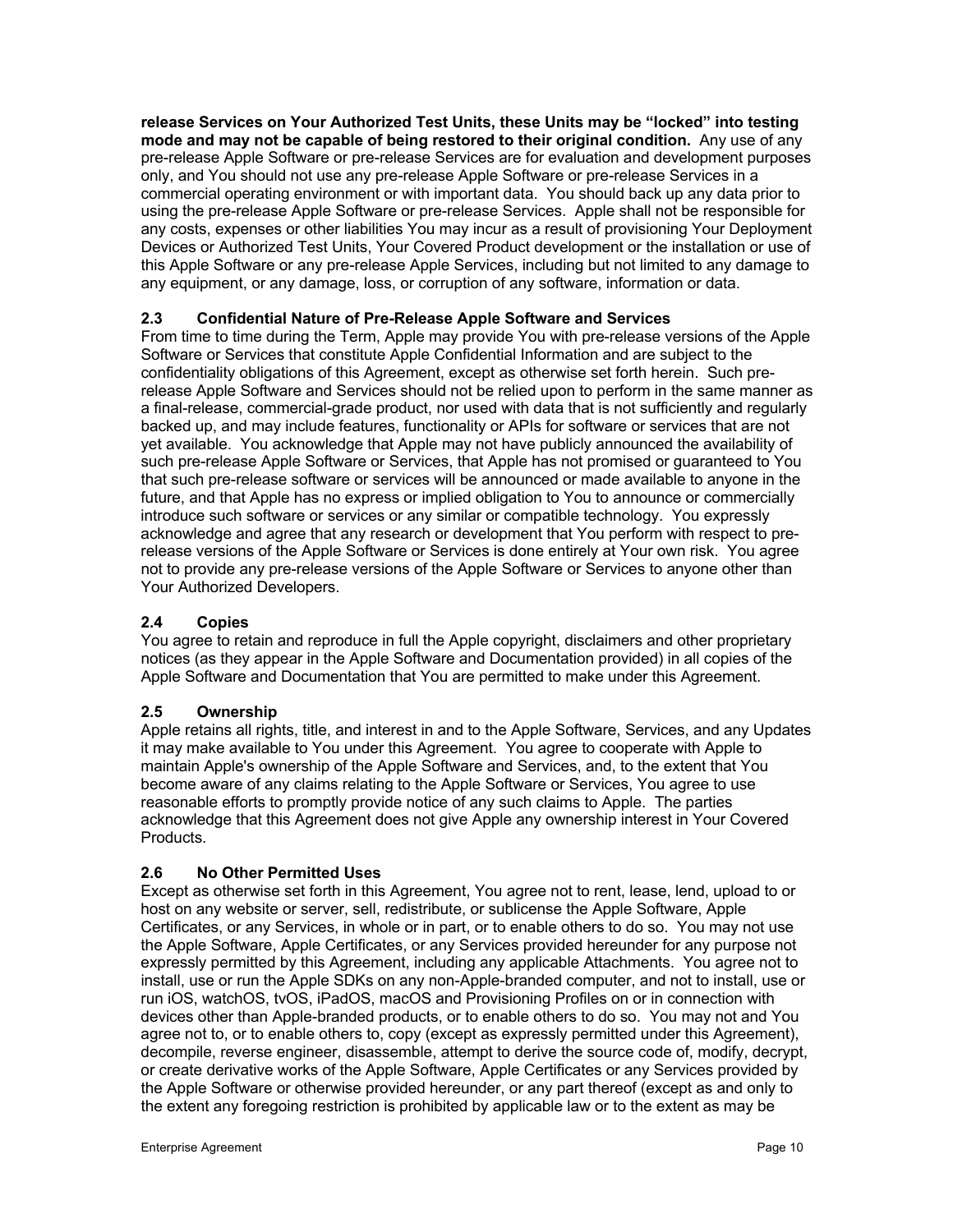**release Services on Your Authorized Test Units, these Units may be "locked" into testing mode and may not be capable of being restored to their original condition.** Any use of any pre-release Apple Software or pre-release Services are for evaluation and development purposes only, and You should not use any pre-release Apple Software or pre-release Services in a commercial operating environment or with important data. You should back up any data prior to using the pre-release Apple Software or pre-release Services. Apple shall not be responsible for any costs, expenses or other liabilities You may incur as a result of provisioning Your Deployment Devices or Authorized Test Units, Your Covered Product development or the installation or use of this Apple Software or any pre-release Apple Services, including but not limited to any damage to any equipment, or any damage, loss, or corruption of any software, information or data.

# **2.3 Confidential Nature of Pre-Release Apple Software and Services**

From time to time during the Term, Apple may provide You with pre-release versions of the Apple Software or Services that constitute Apple Confidential Information and are subject to the confidentiality obligations of this Agreement, except as otherwise set forth herein. Such prerelease Apple Software and Services should not be relied upon to perform in the same manner as a final-release, commercial-grade product, nor used with data that is not sufficiently and regularly backed up, and may include features, functionality or APIs for software or services that are not yet available. You acknowledge that Apple may not have publicly announced the availability of such pre-release Apple Software or Services, that Apple has not promised or guaranteed to You that such pre-release software or services will be announced or made available to anyone in the future, and that Apple has no express or implied obligation to You to announce or commercially introduce such software or services or any similar or compatible technology. You expressly acknowledge and agree that any research or development that You perform with respect to prerelease versions of the Apple Software or Services is done entirely at Your own risk. You agree not to provide any pre-release versions of the Apple Software or Services to anyone other than Your Authorized Developers.

# **2.4 Copies**

You agree to retain and reproduce in full the Apple copyright, disclaimers and other proprietary notices (as they appear in the Apple Software and Documentation provided) in all copies of the Apple Software and Documentation that You are permitted to make under this Agreement.

# **2.5 Ownership**

Apple retains all rights, title, and interest in and to the Apple Software, Services, and any Updates it may make available to You under this Agreement. You agree to cooperate with Apple to maintain Apple's ownership of the Apple Software and Services, and, to the extent that You become aware of any claims relating to the Apple Software or Services, You agree to use reasonable efforts to promptly provide notice of any such claims to Apple. The parties acknowledge that this Agreement does not give Apple any ownership interest in Your Covered Products.

# **2.6 No Other Permitted Uses**

Except as otherwise set forth in this Agreement, You agree not to rent, lease, lend, upload to or host on any website or server, sell, redistribute, or sublicense the Apple Software, Apple Certificates, or any Services, in whole or in part, or to enable others to do so. You may not use the Apple Software, Apple Certificates, or any Services provided hereunder for any purpose not expressly permitted by this Agreement, including any applicable Attachments. You agree not to install, use or run the Apple SDKs on any non-Apple-branded computer, and not to install, use or run iOS, watchOS, tvOS, iPadOS, macOS and Provisioning Profiles on or in connection with devices other than Apple-branded products, or to enable others to do so. You may not and You agree not to, or to enable others to, copy (except as expressly permitted under this Agreement), decompile, reverse engineer, disassemble, attempt to derive the source code of, modify, decrypt, or create derivative works of the Apple Software, Apple Certificates or any Services provided by the Apple Software or otherwise provided hereunder, or any part thereof (except as and only to the extent any foregoing restriction is prohibited by applicable law or to the extent as may be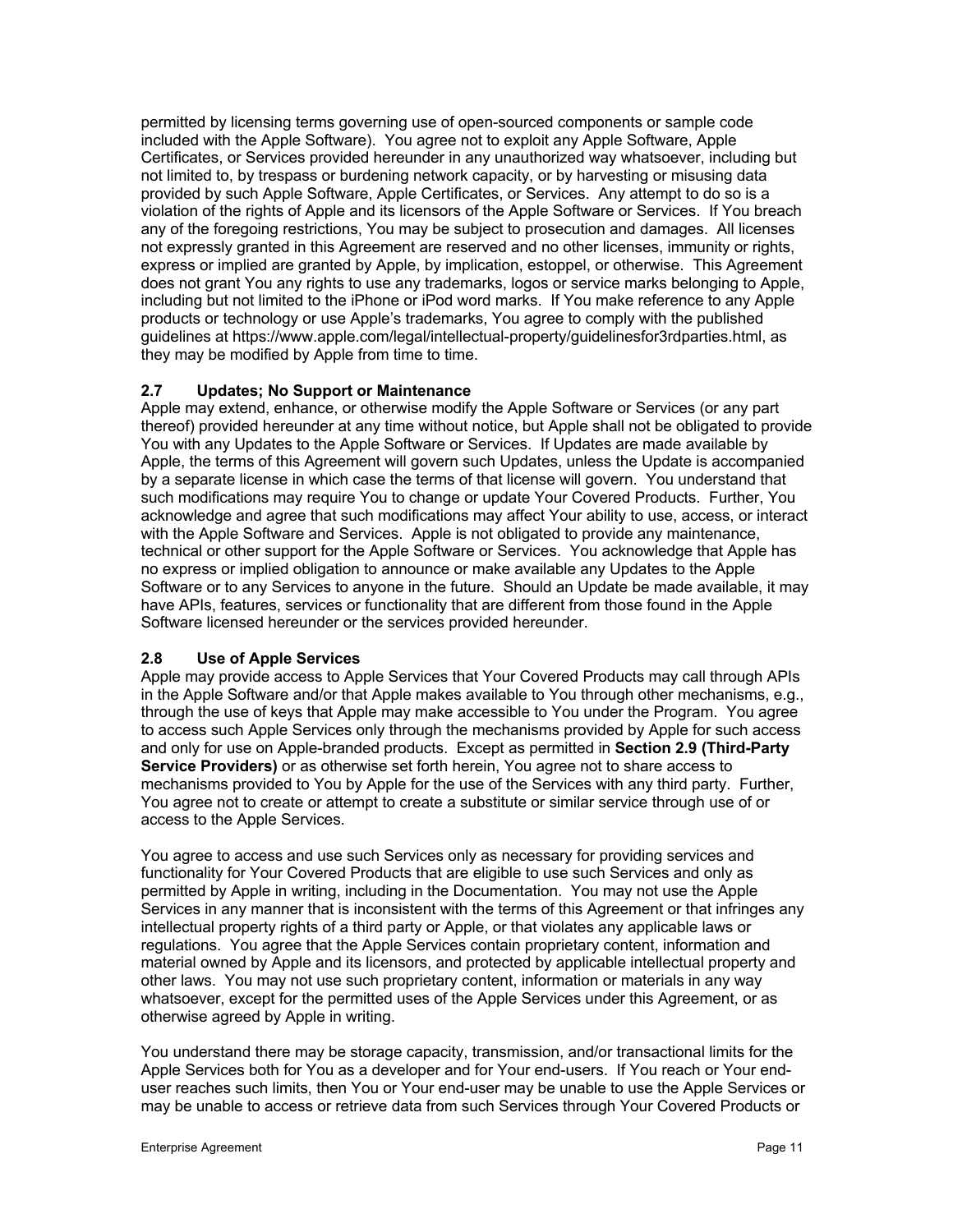permitted by licensing terms governing use of open-sourced components or sample code included with the Apple Software). You agree not to exploit any Apple Software, Apple Certificates, or Services provided hereunder in any unauthorized way whatsoever, including but not limited to, by trespass or burdening network capacity, or by harvesting or misusing data provided by such Apple Software, Apple Certificates, or Services. Any attempt to do so is a violation of the rights of Apple and its licensors of the Apple Software or Services. If You breach any of the foregoing restrictions, You may be subject to prosecution and damages. All licenses not expressly granted in this Agreement are reserved and no other licenses, immunity or rights, express or implied are granted by Apple, by implication, estoppel, or otherwise. This Agreement does not grant You any rights to use any trademarks, logos or service marks belonging to Apple, including but not limited to the iPhone or iPod word marks. If You make reference to any Apple products or technology or use Apple's trademarks, You agree to comply with the published guidelines at https://www.apple.com/legal/intellectual-property/guidelinesfor3rdparties.html, as they may be modified by Apple from time to time.

### **2.7 Updates; No Support or Maintenance**

Apple may extend, enhance, or otherwise modify the Apple Software or Services (or any part thereof) provided hereunder at any time without notice, but Apple shall not be obligated to provide You with any Updates to the Apple Software or Services. If Updates are made available by Apple, the terms of this Agreement will govern such Updates, unless the Update is accompanied by a separate license in which case the terms of that license will govern. You understand that such modifications may require You to change or update Your Covered Products. Further, You acknowledge and agree that such modifications may affect Your ability to use, access, or interact with the Apple Software and Services. Apple is not obligated to provide any maintenance, technical or other support for the Apple Software or Services. You acknowledge that Apple has no express or implied obligation to announce or make available any Updates to the Apple Software or to any Services to anyone in the future. Should an Update be made available, it may have APIs, features, services or functionality that are different from those found in the Apple Software licensed hereunder or the services provided hereunder.

### **2.8 Use of Apple Services**

Apple may provide access to Apple Services that Your Covered Products may call through APIs in the Apple Software and/or that Apple makes available to You through other mechanisms, e.g., through the use of keys that Apple may make accessible to You under the Program. You agree to access such Apple Services only through the mechanisms provided by Apple for such access and only for use on Apple-branded products. Except as permitted in **Section 2.9 (Third-Party Service Providers)** or as otherwise set forth herein, You agree not to share access to mechanisms provided to You by Apple for the use of the Services with any third party. Further, You agree not to create or attempt to create a substitute or similar service through use of or access to the Apple Services.

You agree to access and use such Services only as necessary for providing services and functionality for Your Covered Products that are eligible to use such Services and only as permitted by Apple in writing, including in the Documentation. You may not use the Apple Services in any manner that is inconsistent with the terms of this Agreement or that infringes any intellectual property rights of a third party or Apple, or that violates any applicable laws or regulations. You agree that the Apple Services contain proprietary content, information and material owned by Apple and its licensors, and protected by applicable intellectual property and other laws. You may not use such proprietary content, information or materials in any way whatsoever, except for the permitted uses of the Apple Services under this Agreement, or as otherwise agreed by Apple in writing.

You understand there may be storage capacity, transmission, and/or transactional limits for the Apple Services both for You as a developer and for Your end-users. If You reach or Your enduser reaches such limits, then You or Your end-user may be unable to use the Apple Services or may be unable to access or retrieve data from such Services through Your Covered Products or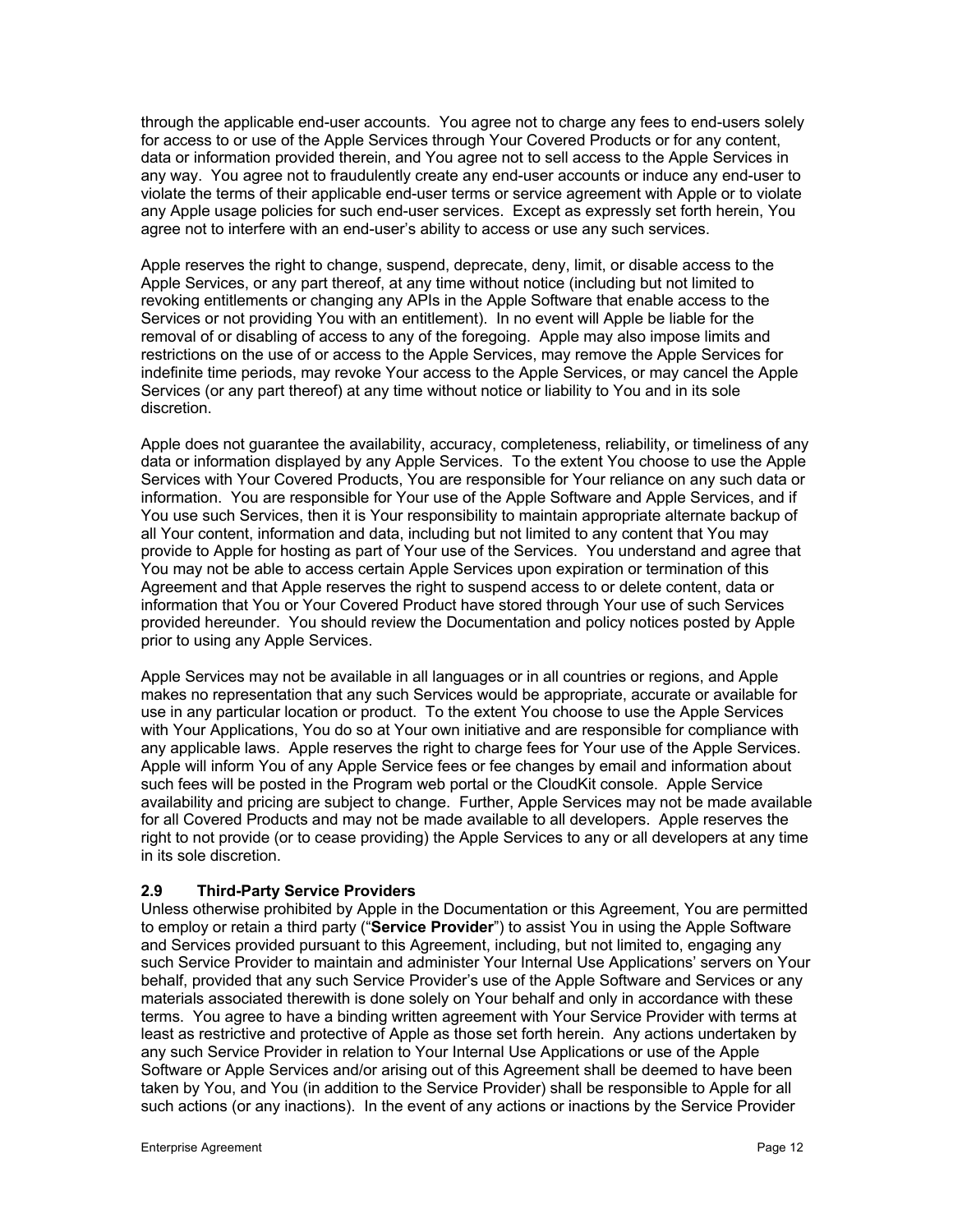through the applicable end-user accounts. You agree not to charge any fees to end-users solely for access to or use of the Apple Services through Your Covered Products or for any content, data or information provided therein, and You agree not to sell access to the Apple Services in any way. You agree not to fraudulently create any end-user accounts or induce any end-user to violate the terms of their applicable end-user terms or service agreement with Apple or to violate any Apple usage policies for such end-user services. Except as expressly set forth herein, You agree not to interfere with an end-user's ability to access or use any such services.

Apple reserves the right to change, suspend, deprecate, deny, limit, or disable access to the Apple Services, or any part thereof, at any time without notice (including but not limited to revoking entitlements or changing any APIs in the Apple Software that enable access to the Services or not providing You with an entitlement). In no event will Apple be liable for the removal of or disabling of access to any of the foregoing. Apple may also impose limits and restrictions on the use of or access to the Apple Services, may remove the Apple Services for indefinite time periods, may revoke Your access to the Apple Services, or may cancel the Apple Services (or any part thereof) at any time without notice or liability to You and in its sole discretion.

Apple does not guarantee the availability, accuracy, completeness, reliability, or timeliness of any data or information displayed by any Apple Services. To the extent You choose to use the Apple Services with Your Covered Products, You are responsible for Your reliance on any such data or information. You are responsible for Your use of the Apple Software and Apple Services, and if You use such Services, then it is Your responsibility to maintain appropriate alternate backup of all Your content, information and data, including but not limited to any content that You may provide to Apple for hosting as part of Your use of the Services. You understand and agree that You may not be able to access certain Apple Services upon expiration or termination of this Agreement and that Apple reserves the right to suspend access to or delete content, data or information that You or Your Covered Product have stored through Your use of such Services provided hereunder. You should review the Documentation and policy notices posted by Apple prior to using any Apple Services.

Apple Services may not be available in all languages or in all countries or regions, and Apple makes no representation that any such Services would be appropriate, accurate or available for use in any particular location or product. To the extent You choose to use the Apple Services with Your Applications, You do so at Your own initiative and are responsible for compliance with any applicable laws. Apple reserves the right to charge fees for Your use of the Apple Services. Apple will inform You of any Apple Service fees or fee changes by email and information about such fees will be posted in the Program web portal or the CloudKit console. Apple Service availability and pricing are subject to change. Further, Apple Services may not be made available for all Covered Products and may not be made available to all developers. Apple reserves the right to not provide (or to cease providing) the Apple Services to any or all developers at any time in its sole discretion.

### **2.9 Third-Party Service Providers**

Unless otherwise prohibited by Apple in the Documentation or this Agreement, You are permitted to employ or retain a third party ("**Service Provider**") to assist You in using the Apple Software and Services provided pursuant to this Agreement, including, but not limited to, engaging any such Service Provider to maintain and administer Your Internal Use Applications' servers on Your behalf, provided that any such Service Provider's use of the Apple Software and Services or any materials associated therewith is done solely on Your behalf and only in accordance with these terms. You agree to have a binding written agreement with Your Service Provider with terms at least as restrictive and protective of Apple as those set forth herein. Any actions undertaken by any such Service Provider in relation to Your Internal Use Applications or use of the Apple Software or Apple Services and/or arising out of this Agreement shall be deemed to have been taken by You, and You (in addition to the Service Provider) shall be responsible to Apple for all such actions (or any inactions). In the event of any actions or inactions by the Service Provider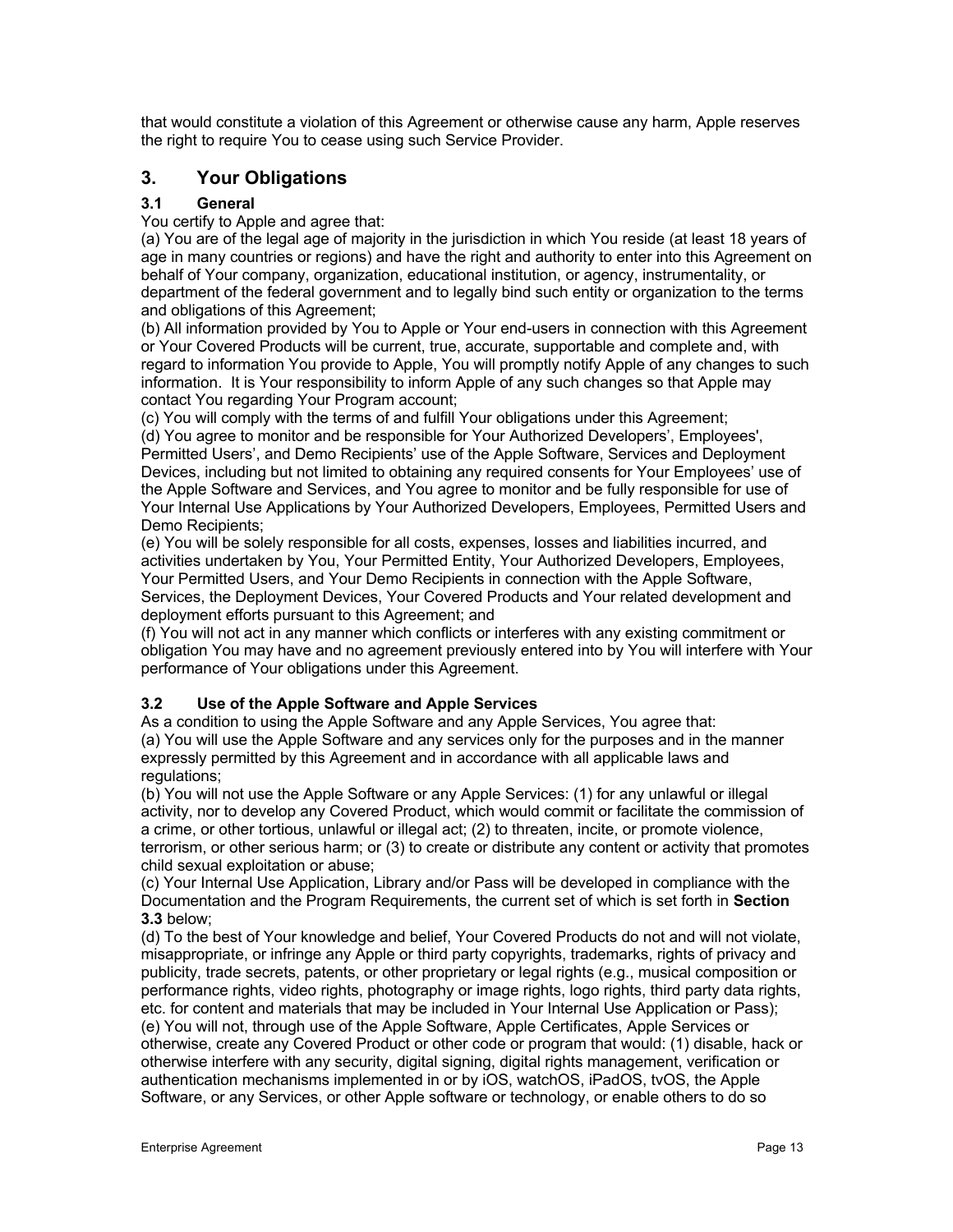that would constitute a violation of this Agreement or otherwise cause any harm, Apple reserves the right to require You to cease using such Service Provider.

# **3. Your Obligations**

# **3.1 General**

You certify to Apple and agree that:

(a) You are of the legal age of majority in the jurisdiction in which You reside (at least 18 years of age in many countries or regions) and have the right and authority to enter into this Agreement on behalf of Your company, organization, educational institution, or agency, instrumentality, or department of the federal government and to legally bind such entity or organization to the terms and obligations of this Agreement;

(b) All information provided by You to Apple or Your end-users in connection with this Agreement or Your Covered Products will be current, true, accurate, supportable and complete and, with regard to information You provide to Apple, You will promptly notify Apple of any changes to such information. It is Your responsibility to inform Apple of any such changes so that Apple may contact You regarding Your Program account;

(c) You will comply with the terms of and fulfill Your obligations under this Agreement; (d) You agree to monitor and be responsible for Your Authorized Developers', Employees', Permitted Users', and Demo Recipients' use of the Apple Software, Services and Deployment Devices, including but not limited to obtaining any required consents for Your Employees' use of the Apple Software and Services, and You agree to monitor and be fully responsible for use of Your Internal Use Applications by Your Authorized Developers, Employees, Permitted Users and Demo Recipients;

(e) You will be solely responsible for all costs, expenses, losses and liabilities incurred, and activities undertaken by You, Your Permitted Entity, Your Authorized Developers, Employees, Your Permitted Users, and Your Demo Recipients in connection with the Apple Software, Services, the Deployment Devices, Your Covered Products and Your related development and deployment efforts pursuant to this Agreement; and

(f) You will not act in any manner which conflicts or interferes with any existing commitment or obligation You may have and no agreement previously entered into by You will interfere with Your performance of Your obligations under this Agreement.

# **3.2 Use of the Apple Software and Apple Services**

As a condition to using the Apple Software and any Apple Services, You agree that: (a) You will use the Apple Software and any services only for the purposes and in the manner expressly permitted by this Agreement and in accordance with all applicable laws and regulations;

(b) You will not use the Apple Software or any Apple Services: (1) for any unlawful or illegal activity, nor to develop any Covered Product, which would commit or facilitate the commission of a crime, or other tortious, unlawful or illegal act; (2) to threaten, incite, or promote violence, terrorism, or other serious harm; or (3) to create or distribute any content or activity that promotes child sexual exploitation or abuse;

(c) Your Internal Use Application, Library and/or Pass will be developed in compliance with the Documentation and the Program Requirements, the current set of which is set forth in **Section 3.3** below;

(d) To the best of Your knowledge and belief, Your Covered Products do not and will not violate, misappropriate, or infringe any Apple or third party copyrights, trademarks, rights of privacy and publicity, trade secrets, patents, or other proprietary or legal rights (e.g., musical composition or performance rights, video rights, photography or image rights, logo rights, third party data rights, etc. for content and materials that may be included in Your Internal Use Application or Pass); (e) You will not, through use of the Apple Software, Apple Certificates, Apple Services or otherwise, create any Covered Product or other code or program that would: (1) disable, hack or otherwise interfere with any security, digital signing, digital rights management, verification or authentication mechanisms implemented in or by iOS, watchOS, iPadOS, tvOS, the Apple Software, or any Services, or other Apple software or technology, or enable others to do so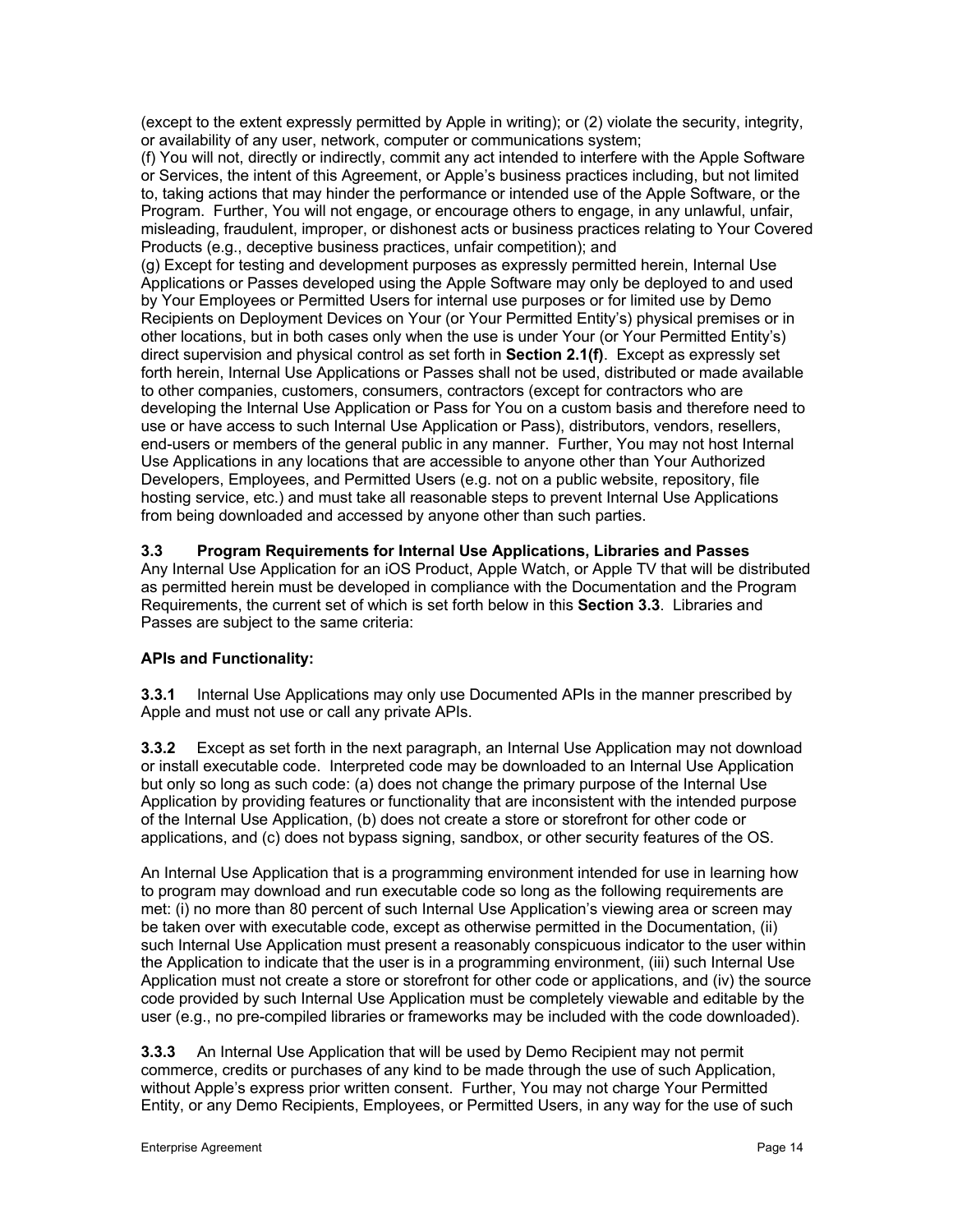(except to the extent expressly permitted by Apple in writing); or (2) violate the security, integrity, or availability of any user, network, computer or communications system;

(f) You will not, directly or indirectly, commit any act intended to interfere with the Apple Software or Services, the intent of this Agreement, or Apple's business practices including, but not limited to, taking actions that may hinder the performance or intended use of the Apple Software, or the Program. Further, You will not engage, or encourage others to engage, in any unlawful, unfair, misleading, fraudulent, improper, or dishonest acts or business practices relating to Your Covered Products (e.g., deceptive business practices, unfair competition); and

(g) Except for testing and development purposes as expressly permitted herein, Internal Use Applications or Passes developed using the Apple Software may only be deployed to and used by Your Employees or Permitted Users for internal use purposes or for limited use by Demo Recipients on Deployment Devices on Your (or Your Permitted Entity's) physical premises or in other locations, but in both cases only when the use is under Your (or Your Permitted Entity's) direct supervision and physical control as set forth in **Section 2.1(f)**. Except as expressly set forth herein, Internal Use Applications or Passes shall not be used, distributed or made available to other companies, customers, consumers, contractors (except for contractors who are developing the Internal Use Application or Pass for You on a custom basis and therefore need to use or have access to such Internal Use Application or Pass), distributors, vendors, resellers, end-users or members of the general public in any manner. Further, You may not host Internal Use Applications in any locations that are accessible to anyone other than Your Authorized Developers, Employees, and Permitted Users (e.g. not on a public website, repository, file hosting service, etc.) and must take all reasonable steps to prevent Internal Use Applications from being downloaded and accessed by anyone other than such parties.

# **3.3 Program Requirements for Internal Use Applications, Libraries and Passes**

Any Internal Use Application for an iOS Product, Apple Watch, or Apple TV that will be distributed as permitted herein must be developed in compliance with the Documentation and the Program Requirements, the current set of which is set forth below in this **Section 3.3**. Libraries and Passes are subject to the same criteria:

# **APIs and Functionality:**

**3.3.1** Internal Use Applications may only use Documented APIs in the manner prescribed by Apple and must not use or call any private APIs.

**3.3.2** Except as set forth in the next paragraph, an Internal Use Application may not download or install executable code. Interpreted code may be downloaded to an Internal Use Application but only so long as such code: (a) does not change the primary purpose of the Internal Use Application by providing features or functionality that are inconsistent with the intended purpose of the Internal Use Application, (b) does not create a store or storefront for other code or applications, and (c) does not bypass signing, sandbox, or other security features of the OS.

An Internal Use Application that is a programming environment intended for use in learning how to program may download and run executable code so long as the following requirements are met: (i) no more than 80 percent of such Internal Use Application's viewing area or screen may be taken over with executable code, except as otherwise permitted in the Documentation, (ii) such Internal Use Application must present a reasonably conspicuous indicator to the user within the Application to indicate that the user is in a programming environment, (iii) such Internal Use Application must not create a store or storefront for other code or applications, and (iv) the source code provided by such Internal Use Application must be completely viewable and editable by the user (e.g., no pre-compiled libraries or frameworks may be included with the code downloaded).

**3.3.3** An Internal Use Application that will be used by Demo Recipient may not permit commerce, credits or purchases of any kind to be made through the use of such Application, without Apple's express prior written consent. Further, You may not charge Your Permitted Entity, or any Demo Recipients, Employees, or Permitted Users, in any way for the use of such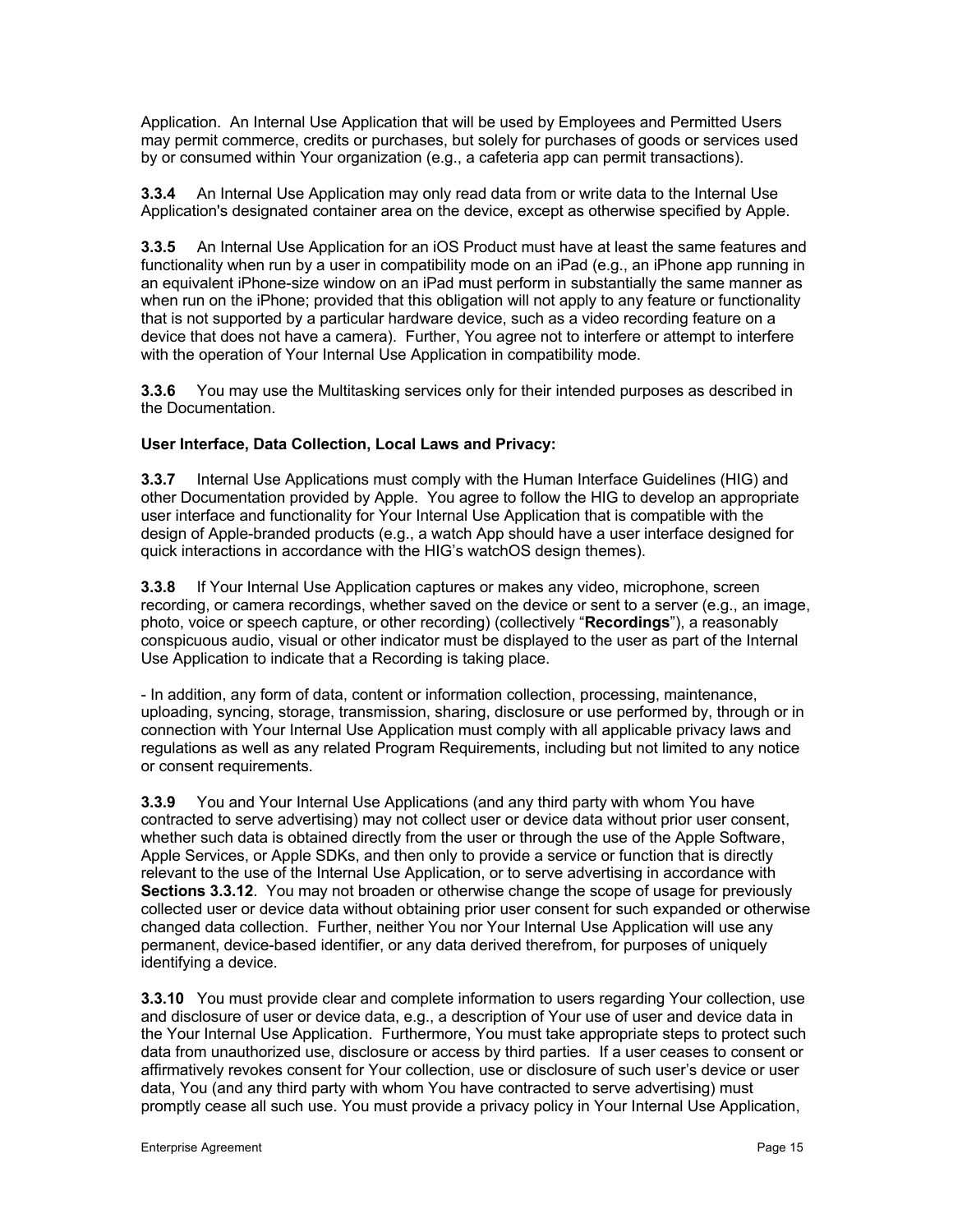Application. An Internal Use Application that will be used by Employees and Permitted Users may permit commerce, credits or purchases, but solely for purchases of goods or services used by or consumed within Your organization (e.g., a cafeteria app can permit transactions).

**3.3.4** An Internal Use Application may only read data from or write data to the Internal Use Application's designated container area on the device, except as otherwise specified by Apple.

**3.3.5** An Internal Use Application for an iOS Product must have at least the same features and functionality when run by a user in compatibility mode on an iPad (e.g., an iPhone app running in an equivalent iPhone-size window on an iPad must perform in substantially the same manner as when run on the iPhone; provided that this obligation will not apply to any feature or functionality that is not supported by a particular hardware device, such as a video recording feature on a device that does not have a camera). Further, You agree not to interfere or attempt to interfere with the operation of Your Internal Use Application in compatibility mode.

**3.3.6** You may use the Multitasking services only for their intended purposes as described in the Documentation.

### **User Interface, Data Collection, Local Laws and Privacy:**

**3.3.7** Internal Use Applications must comply with the Human Interface Guidelines (HIG) and other Documentation provided by Apple. You agree to follow the HIG to develop an appropriate user interface and functionality for Your Internal Use Application that is compatible with the design of Apple-branded products (e.g., a watch App should have a user interface designed for quick interactions in accordance with the HIG's watchOS design themes).

**3.3.8** If Your Internal Use Application captures or makes any video, microphone, screen recording, or camera recordings, whether saved on the device or sent to a server (e.g., an image, photo, voice or speech capture, or other recording) (collectively "**Recordings**"), a reasonably conspicuous audio, visual or other indicator must be displayed to the user as part of the Internal Use Application to indicate that a Recording is taking place.

- In addition, any form of data, content or information collection, processing, maintenance, uploading, syncing, storage, transmission, sharing, disclosure or use performed by, through or in connection with Your Internal Use Application must comply with all applicable privacy laws and regulations as well as any related Program Requirements, including but not limited to any notice or consent requirements.

**3.3.9** You and Your Internal Use Applications (and any third party with whom You have contracted to serve advertising) may not collect user or device data without prior user consent, whether such data is obtained directly from the user or through the use of the Apple Software, Apple Services, or Apple SDKs, and then only to provide a service or function that is directly relevant to the use of the Internal Use Application, or to serve advertising in accordance with **Sections 3.3.12**. You may not broaden or otherwise change the scope of usage for previously collected user or device data without obtaining prior user consent for such expanded or otherwise changed data collection. Further, neither You nor Your Internal Use Application will use any permanent, device-based identifier, or any data derived therefrom, for purposes of uniquely identifying a device.

**3.3.10** You must provide clear and complete information to users regarding Your collection, use and disclosure of user or device data, e.g., a description of Your use of user and device data in the Your Internal Use Application. Furthermore, You must take appropriate steps to protect such data from unauthorized use, disclosure or access by third parties. If a user ceases to consent or affirmatively revokes consent for Your collection, use or disclosure of such user's device or user data, You (and any third party with whom You have contracted to serve advertising) must promptly cease all such use. You must provide a privacy policy in Your Internal Use Application,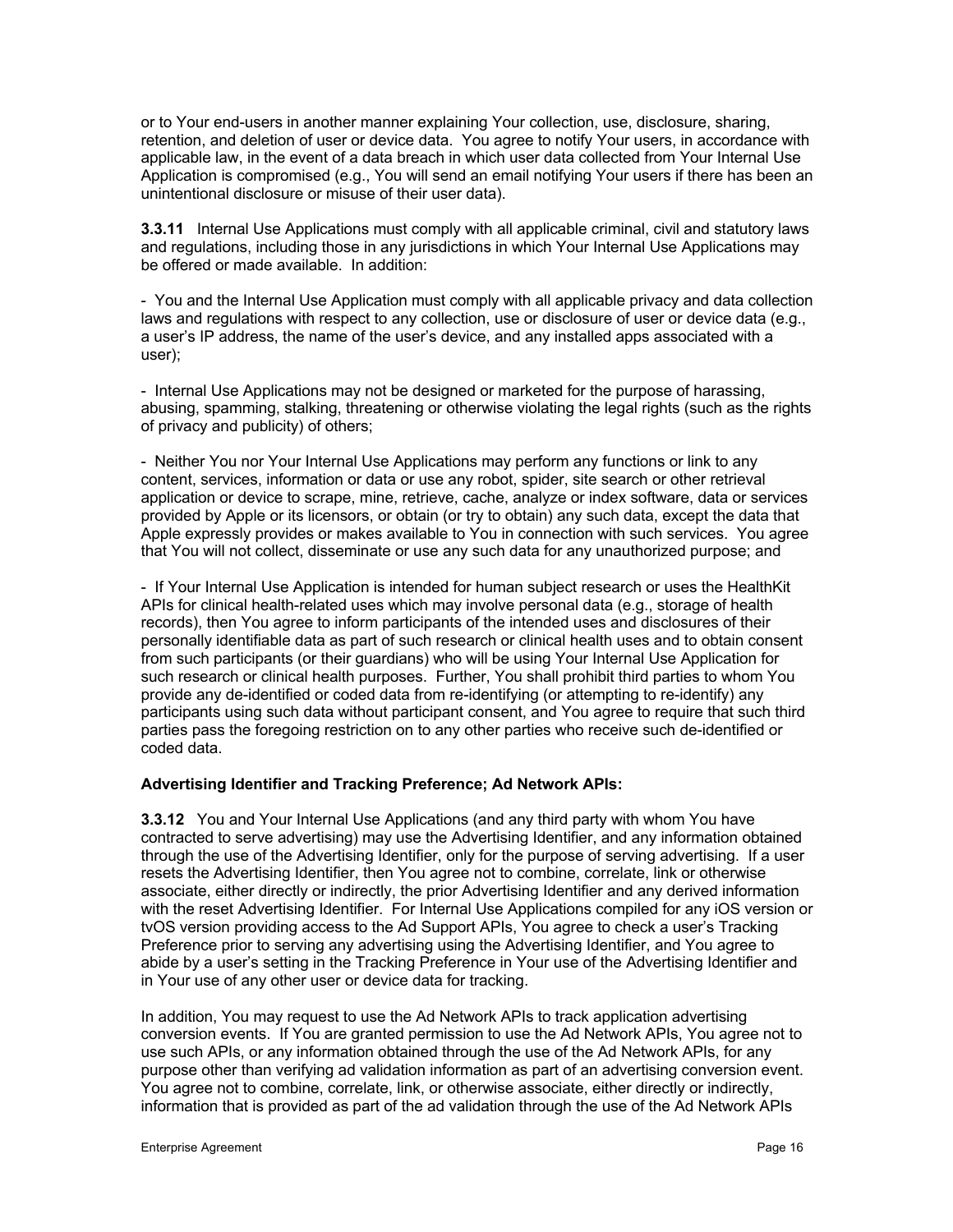or to Your end-users in another manner explaining Your collection, use, disclosure, sharing, retention, and deletion of user or device data. You agree to notify Your users, in accordance with applicable law, in the event of a data breach in which user data collected from Your Internal Use Application is compromised (e.g., You will send an email notifying Your users if there has been an unintentional disclosure or misuse of their user data).

**3.3.11** Internal Use Applications must comply with all applicable criminal, civil and statutory laws and regulations, including those in any jurisdictions in which Your Internal Use Applications may be offered or made available. In addition:

- You and the Internal Use Application must comply with all applicable privacy and data collection laws and regulations with respect to any collection, use or disclosure of user or device data (e.g., a user's IP address, the name of the user's device, and any installed apps associated with a user);

- Internal Use Applications may not be designed or marketed for the purpose of harassing, abusing, spamming, stalking, threatening or otherwise violating the legal rights (such as the rights of privacy and publicity) of others;

- Neither You nor Your Internal Use Applications may perform any functions or link to any content, services, information or data or use any robot, spider, site search or other retrieval application or device to scrape, mine, retrieve, cache, analyze or index software, data or services provided by Apple or its licensors, or obtain (or try to obtain) any such data, except the data that Apple expressly provides or makes available to You in connection with such services. You agree that You will not collect, disseminate or use any such data for any unauthorized purpose; and

- If Your Internal Use Application is intended for human subject research or uses the HealthKit APIs for clinical health-related uses which may involve personal data (e.g., storage of health records), then You agree to inform participants of the intended uses and disclosures of their personally identifiable data as part of such research or clinical health uses and to obtain consent from such participants (or their guardians) who will be using Your Internal Use Application for such research or clinical health purposes. Further, You shall prohibit third parties to whom You provide any de-identified or coded data from re-identifying (or attempting to re-identify) any participants using such data without participant consent, and You agree to require that such third parties pass the foregoing restriction on to any other parties who receive such de-identified or coded data.

#### **Advertising Identifier and Tracking Preference; Ad Network APIs:**

**3.3.12** You and Your Internal Use Applications (and any third party with whom You have contracted to serve advertising) may use the Advertising Identifier, and any information obtained through the use of the Advertising Identifier, only for the purpose of serving advertising. If a user resets the Advertising Identifier, then You agree not to combine, correlate, link or otherwise associate, either directly or indirectly, the prior Advertising Identifier and any derived information with the reset Advertising Identifier. For Internal Use Applications compiled for any iOS version or tvOS version providing access to the Ad Support APIs, You agree to check a user's Tracking Preference prior to serving any advertising using the Advertising Identifier, and You agree to abide by a user's setting in the Tracking Preference in Your use of the Advertising Identifier and in Your use of any other user or device data for tracking.

In addition, You may request to use the Ad Network APIs to track application advertising conversion events. If You are granted permission to use the Ad Network APIs, You agree not to use such APIs, or any information obtained through the use of the Ad Network APIs, for any purpose other than verifying ad validation information as part of an advertising conversion event. You agree not to combine, correlate, link, or otherwise associate, either directly or indirectly, information that is provided as part of the ad validation through the use of the Ad Network APIs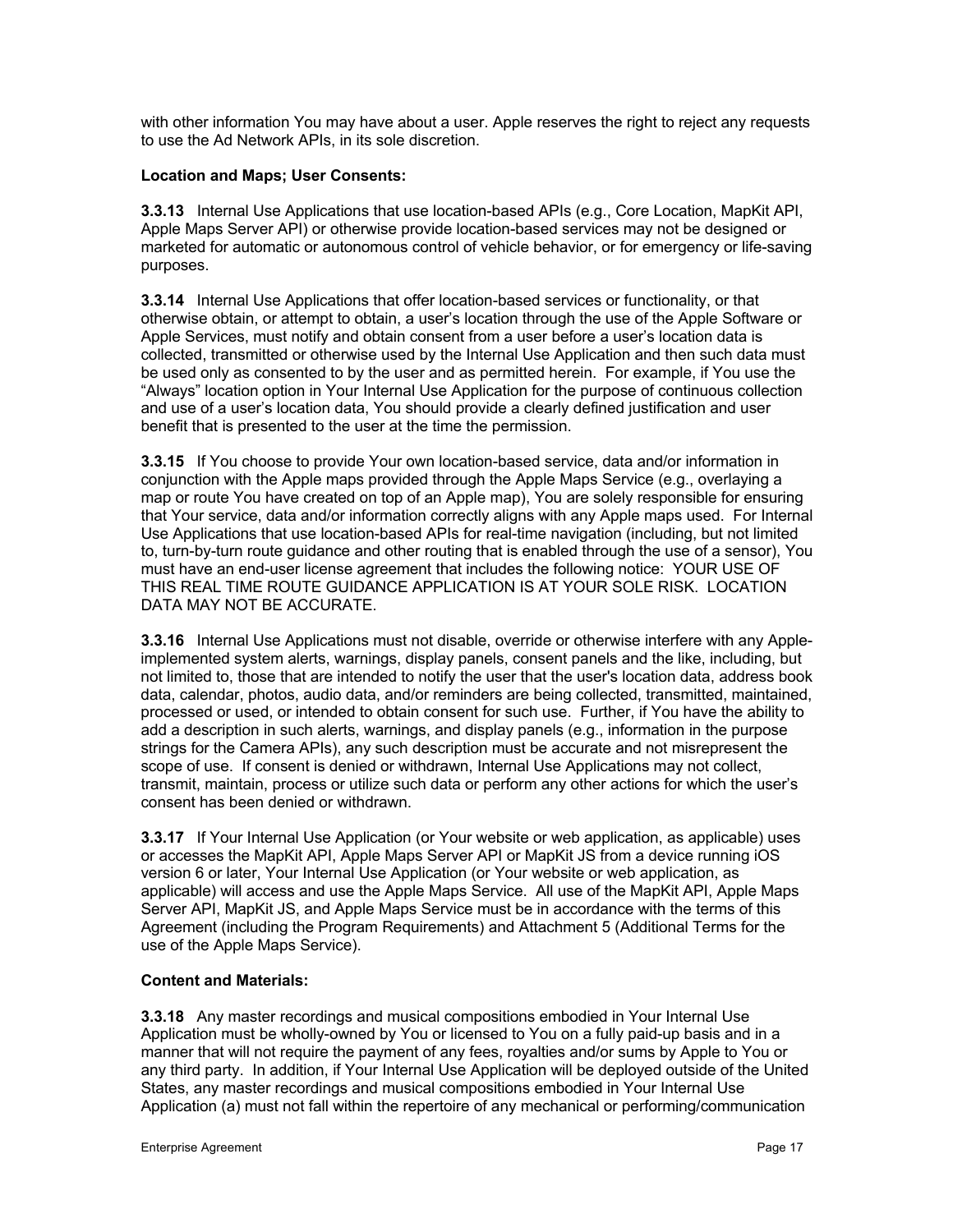with other information You may have about a user. Apple reserves the right to reject any requests to use the Ad Network APIs, in its sole discretion.

### **Location and Maps; User Consents:**

**3.3.13** Internal Use Applications that use location-based APIs (e.g., Core Location, MapKit API, Apple Maps Server API) or otherwise provide location-based services may not be designed or marketed for automatic or autonomous control of vehicle behavior, or for emergency or life-saving purposes.

**3.3.14** Internal Use Applications that offer location-based services or functionality, or that otherwise obtain, or attempt to obtain, a user's location through the use of the Apple Software or Apple Services, must notify and obtain consent from a user before a user's location data is collected, transmitted or otherwise used by the Internal Use Application and then such data must be used only as consented to by the user and as permitted herein. For example, if You use the "Always" location option in Your Internal Use Application for the purpose of continuous collection and use of a user's location data, You should provide a clearly defined justification and user benefit that is presented to the user at the time the permission.

**3.3.15** If You choose to provide Your own location-based service, data and/or information in conjunction with the Apple maps provided through the Apple Maps Service (e.g., overlaying a map or route You have created on top of an Apple map), You are solely responsible for ensuring that Your service, data and/or information correctly aligns with any Apple maps used. For Internal Use Applications that use location-based APIs for real-time navigation (including, but not limited to, turn-by-turn route guidance and other routing that is enabled through the use of a sensor), You must have an end-user license agreement that includes the following notice: YOUR USE OF THIS REAL TIME ROUTE GUIDANCE APPLICATION IS AT YOUR SOLE RISK. LOCATION DATA MAY NOT BE ACCURATE.

**3.3.16** Internal Use Applications must not disable, override or otherwise interfere with any Appleimplemented system alerts, warnings, display panels, consent panels and the like, including, but not limited to, those that are intended to notify the user that the user's location data, address book data, calendar, photos, audio data, and/or reminders are being collected, transmitted, maintained, processed or used, or intended to obtain consent for such use. Further, if You have the ability to add a description in such alerts, warnings, and display panels (e.g., information in the purpose strings for the Camera APIs), any such description must be accurate and not misrepresent the scope of use. If consent is denied or withdrawn, Internal Use Applications may not collect, transmit, maintain, process or utilize such data or perform any other actions for which the user's consent has been denied or withdrawn.

**3.3.17** If Your Internal Use Application (or Your website or web application, as applicable) uses or accesses the MapKit API, Apple Maps Server API or MapKit JS from a device running iOS version 6 or later, Your Internal Use Application (or Your website or web application, as applicable) will access and use the Apple Maps Service. All use of the MapKit API, Apple Maps Server API, MapKit JS, and Apple Maps Service must be in accordance with the terms of this Agreement (including the Program Requirements) and Attachment 5 (Additional Terms for the use of the Apple Maps Service).

# **Content and Materials:**

**3.3.18** Any master recordings and musical compositions embodied in Your Internal Use Application must be wholly-owned by You or licensed to You on a fully paid-up basis and in a manner that will not require the payment of any fees, royalties and/or sums by Apple to You or any third party. In addition, if Your Internal Use Application will be deployed outside of the United States, any master recordings and musical compositions embodied in Your Internal Use Application (a) must not fall within the repertoire of any mechanical or performing/communication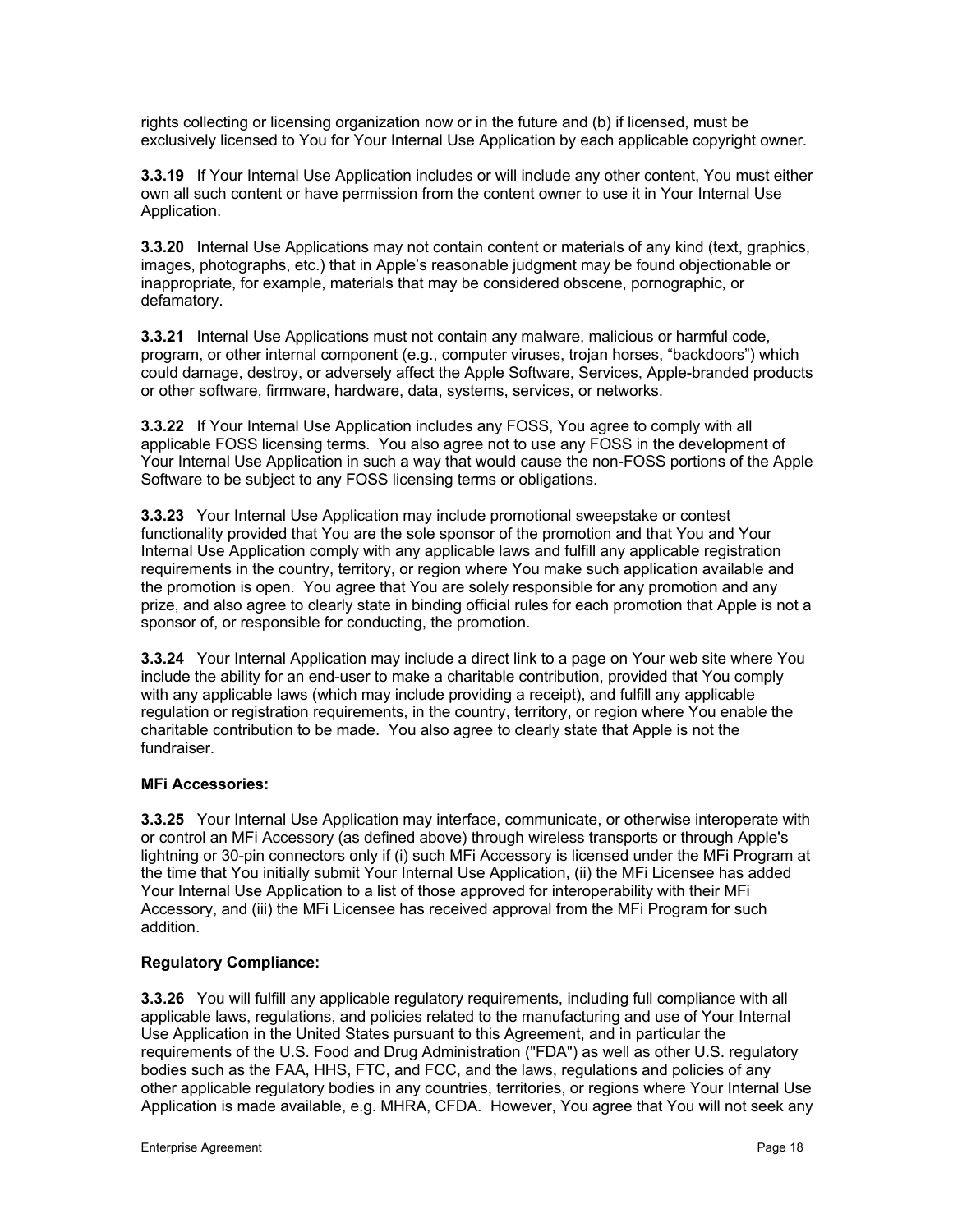rights collecting or licensing organization now or in the future and (b) if licensed, must be exclusively licensed to You for Your Internal Use Application by each applicable copyright owner.

**3.3.19** If Your Internal Use Application includes or will include any other content, You must either own all such content or have permission from the content owner to use it in Your Internal Use Application.

**3.3.20** Internal Use Applications may not contain content or materials of any kind (text, graphics, images, photographs, etc.) that in Apple's reasonable judgment may be found objectionable or inappropriate, for example, materials that may be considered obscene, pornographic, or defamatory.

**3.3.21** Internal Use Applications must not contain any malware, malicious or harmful code, program, or other internal component (e.g., computer viruses, trojan horses, "backdoors") which could damage, destroy, or adversely affect the Apple Software, Services, Apple-branded products or other software, firmware, hardware, data, systems, services, or networks.

**3.3.22** If Your Internal Use Application includes any FOSS, You agree to comply with all applicable FOSS licensing terms. You also agree not to use any FOSS in the development of Your Internal Use Application in such a way that would cause the non-FOSS portions of the Apple Software to be subject to any FOSS licensing terms or obligations.

**3.3.23** Your Internal Use Application may include promotional sweepstake or contest functionality provided that You are the sole sponsor of the promotion and that You and Your Internal Use Application comply with any applicable laws and fulfill any applicable registration requirements in the country, territory, or region where You make such application available and the promotion is open. You agree that You are solely responsible for any promotion and any prize, and also agree to clearly state in binding official rules for each promotion that Apple is not a sponsor of, or responsible for conducting, the promotion.

**3.3.24** Your Internal Application may include a direct link to a page on Your web site where You include the ability for an end-user to make a charitable contribution, provided that You comply with any applicable laws (which may include providing a receipt), and fulfill any applicable regulation or registration requirements, in the country, territory, or region where You enable the charitable contribution to be made. You also agree to clearly state that Apple is not the fundraiser.

### **MFi Accessories:**

**3.3.25** Your Internal Use Application may interface, communicate, or otherwise interoperate with or control an MFi Accessory (as defined above) through wireless transports or through Apple's lightning or 30-pin connectors only if (i) such MFi Accessory is licensed under the MFi Program at the time that You initially submit Your Internal Use Application, (ii) the MFi Licensee has added Your Internal Use Application to a list of those approved for interoperability with their MFi Accessory, and (iii) the MFi Licensee has received approval from the MFi Program for such addition.

# **Regulatory Compliance:**

**3.3.26** You will fulfill any applicable regulatory requirements, including full compliance with all applicable laws, regulations, and policies related to the manufacturing and use of Your Internal Use Application in the United States pursuant to this Agreement, and in particular the requirements of the U.S. Food and Drug Administration ("FDA") as well as other U.S. regulatory bodies such as the FAA, HHS, FTC, and FCC, and the laws, regulations and policies of any other applicable regulatory bodies in any countries, territories, or regions where Your Internal Use Application is made available, e.g. MHRA, CFDA. However, You agree that You will not seek any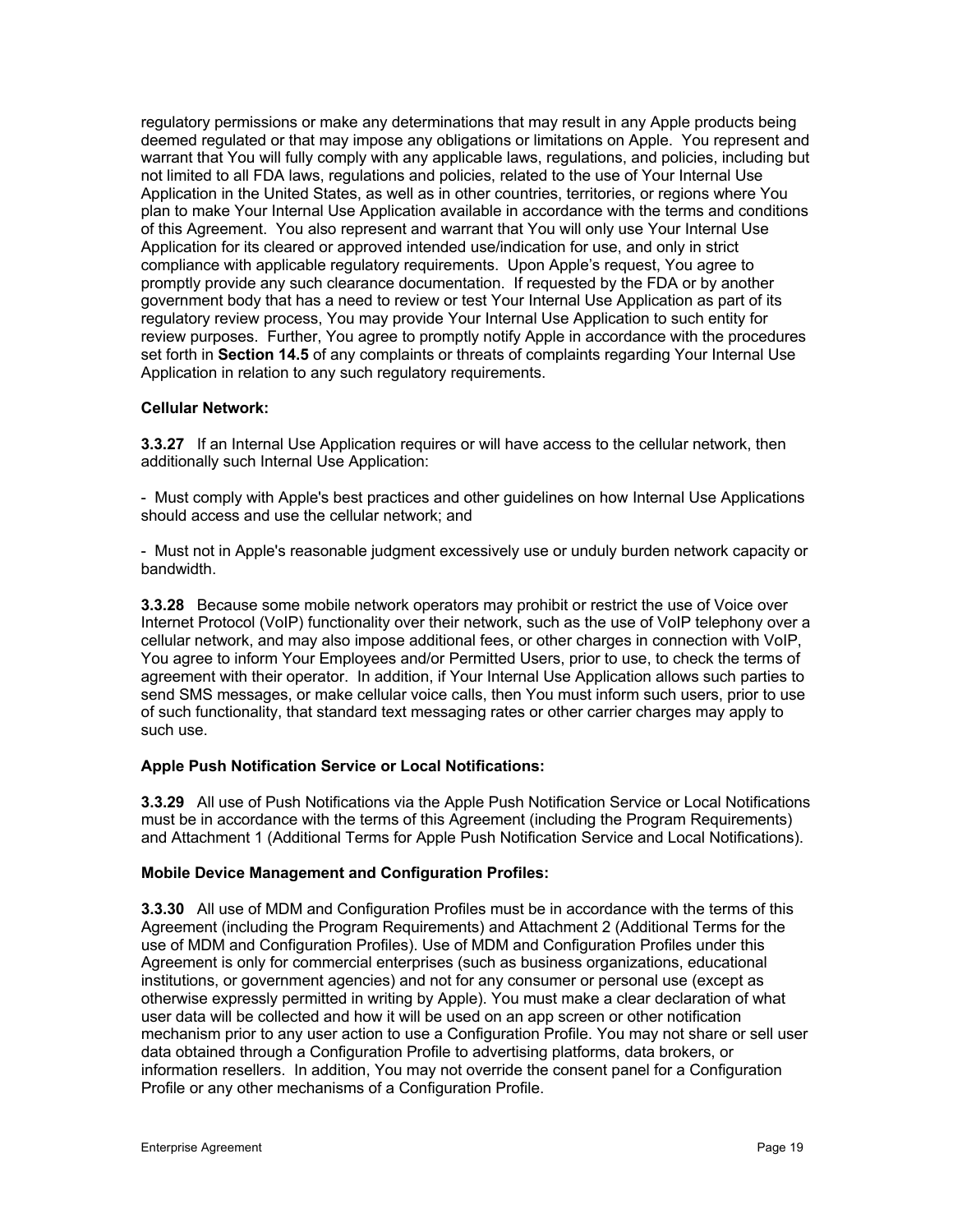regulatory permissions or make any determinations that may result in any Apple products being deemed regulated or that may impose any obligations or limitations on Apple. You represent and warrant that You will fully comply with any applicable laws, regulations, and policies, including but not limited to all FDA laws, regulations and policies, related to the use of Your Internal Use Application in the United States, as well as in other countries, territories, or regions where You plan to make Your Internal Use Application available in accordance with the terms and conditions of this Agreement. You also represent and warrant that You will only use Your Internal Use Application for its cleared or approved intended use/indication for use, and only in strict compliance with applicable regulatory requirements. Upon Apple's request, You agree to promptly provide any such clearance documentation. If requested by the FDA or by another government body that has a need to review or test Your Internal Use Application as part of its regulatory review process, You may provide Your Internal Use Application to such entity for review purposes. Further, You agree to promptly notify Apple in accordance with the procedures set forth in **Section 14.5** of any complaints or threats of complaints regarding Your Internal Use Application in relation to any such regulatory requirements.

### **Cellular Network:**

**3.3.27** If an Internal Use Application requires or will have access to the cellular network, then additionally such Internal Use Application:

- Must comply with Apple's best practices and other guidelines on how Internal Use Applications should access and use the cellular network; and

- Must not in Apple's reasonable judgment excessively use or unduly burden network capacity or bandwidth.

**3.3.28** Because some mobile network operators may prohibit or restrict the use of Voice over Internet Protocol (VoIP) functionality over their network, such as the use of VoIP telephony over a cellular network, and may also impose additional fees, or other charges in connection with VoIP, You agree to inform Your Employees and/or Permitted Users, prior to use, to check the terms of agreement with their operator. In addition, if Your Internal Use Application allows such parties to send SMS messages, or make cellular voice calls, then You must inform such users, prior to use of such functionality, that standard text messaging rates or other carrier charges may apply to such use.

### **Apple Push Notification Service or Local Notifications:**

**3.3.29** All use of Push Notifications via the Apple Push Notification Service or Local Notifications must be in accordance with the terms of this Agreement (including the Program Requirements) and Attachment 1 (Additional Terms for Apple Push Notification Service and Local Notifications).

#### **Mobile Device Management and Configuration Profiles:**

**3.3.30** All use of MDM and Configuration Profiles must be in accordance with the terms of this Agreement (including the Program Requirements) and Attachment 2 (Additional Terms for the use of MDM and Configuration Profiles). Use of MDM and Configuration Profiles under this Agreement is only for commercial enterprises (such as business organizations, educational institutions, or government agencies) and not for any consumer or personal use (except as otherwise expressly permitted in writing by Apple). You must make a clear declaration of what user data will be collected and how it will be used on an app screen or other notification mechanism prior to any user action to use a Configuration Profile. You may not share or sell user data obtained through a Configuration Profile to advertising platforms, data brokers, or information resellers. In addition, You may not override the consent panel for a Configuration Profile or any other mechanisms of a Configuration Profile.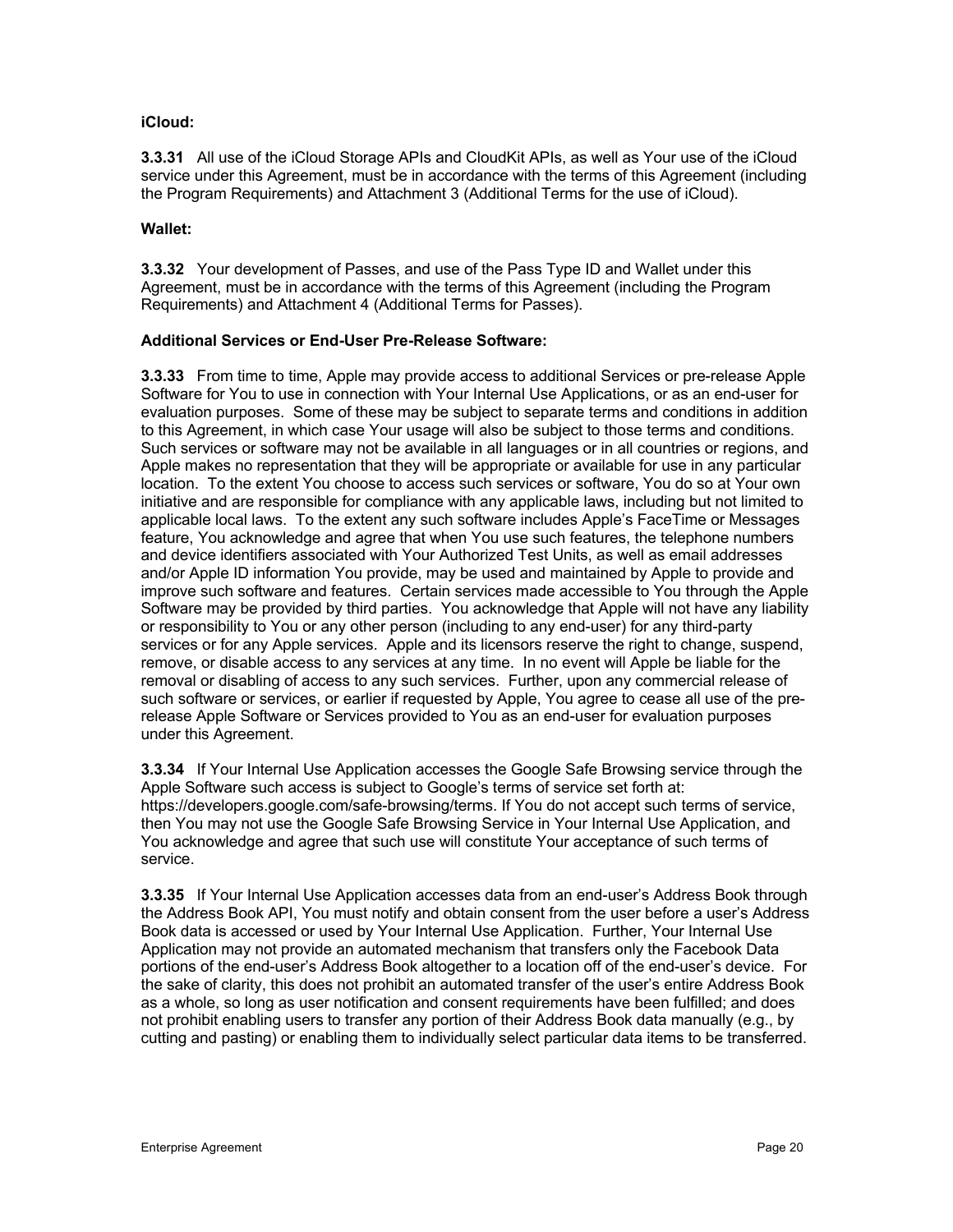### **iCloud:**

**3.3.31** All use of the iCloud Storage APIs and CloudKit APIs, as well as Your use of the iCloud service under this Agreement, must be in accordance with the terms of this Agreement (including the Program Requirements) and Attachment 3 (Additional Terms for the use of iCloud).

### **Wallet:**

**3.3.32** Your development of Passes, and use of the Pass Type ID and Wallet under this Agreement, must be in accordance with the terms of this Agreement (including the Program Requirements) and Attachment 4 (Additional Terms for Passes).

### **Additional Services or End-User Pre-Release Software:**

**3.3.33** From time to time, Apple may provide access to additional Services or pre-release Apple Software for You to use in connection with Your Internal Use Applications, or as an end-user for evaluation purposes. Some of these may be subject to separate terms and conditions in addition to this Agreement, in which case Your usage will also be subject to those terms and conditions. Such services or software may not be available in all languages or in all countries or regions, and Apple makes no representation that they will be appropriate or available for use in any particular location. To the extent You choose to access such services or software, You do so at Your own initiative and are responsible for compliance with any applicable laws, including but not limited to applicable local laws. To the extent any such software includes Apple's FaceTime or Messages feature, You acknowledge and agree that when You use such features, the telephone numbers and device identifiers associated with Your Authorized Test Units, as well as email addresses and/or Apple ID information You provide, may be used and maintained by Apple to provide and improve such software and features. Certain services made accessible to You through the Apple Software may be provided by third parties. You acknowledge that Apple will not have any liability or responsibility to You or any other person (including to any end-user) for any third-party services or for any Apple services. Apple and its licensors reserve the right to change, suspend, remove, or disable access to any services at any time. In no event will Apple be liable for the removal or disabling of access to any such services. Further, upon any commercial release of such software or services, or earlier if requested by Apple, You agree to cease all use of the prerelease Apple Software or Services provided to You as an end-user for evaluation purposes under this Agreement.

**3.3.34** If Your Internal Use Application accesses the Google Safe Browsing service through the Apple Software such access is subject to Google's terms of service set forth at: https://developers.google.com/safe-browsing/terms. If You do not accept such terms of service, then You may not use the Google Safe Browsing Service in Your Internal Use Application, and You acknowledge and agree that such use will constitute Your acceptance of such terms of service.

**3.3.35** If Your Internal Use Application accesses data from an end-user's Address Book through the Address Book API, You must notify and obtain consent from the user before a user's Address Book data is accessed or used by Your Internal Use Application. Further, Your Internal Use Application may not provide an automated mechanism that transfers only the Facebook Data portions of the end-user's Address Book altogether to a location off of the end-user's device. For the sake of clarity, this does not prohibit an automated transfer of the user's entire Address Book as a whole, so long as user notification and consent requirements have been fulfilled; and does not prohibit enabling users to transfer any portion of their Address Book data manually (e.g., by cutting and pasting) or enabling them to individually select particular data items to be transferred.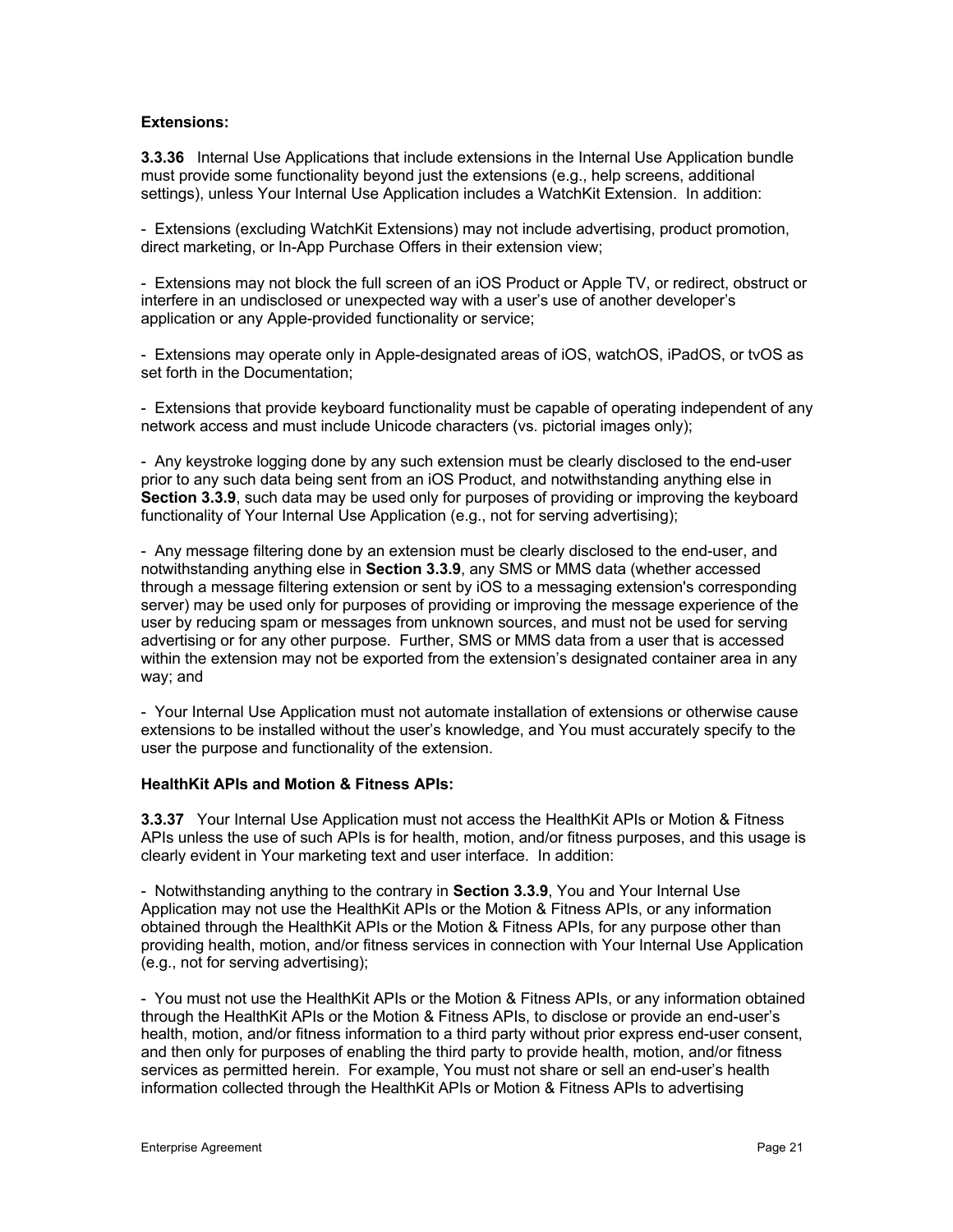### **Extensions:**

**3.3.36** Internal Use Applications that include extensions in the Internal Use Application bundle must provide some functionality beyond just the extensions (e.g., help screens, additional settings), unless Your Internal Use Application includes a WatchKit Extension. In addition:

- Extensions (excluding WatchKit Extensions) may not include advertising, product promotion, direct marketing, or In-App Purchase Offers in their extension view;

- Extensions may not block the full screen of an iOS Product or Apple TV, or redirect, obstruct or interfere in an undisclosed or unexpected way with a user's use of another developer's application or any Apple-provided functionality or service;

- Extensions may operate only in Apple-designated areas of iOS, watchOS, iPadOS, or tvOS as set forth in the Documentation;

- Extensions that provide keyboard functionality must be capable of operating independent of any network access and must include Unicode characters (vs. pictorial images only);

- Any keystroke logging done by any such extension must be clearly disclosed to the end-user prior to any such data being sent from an iOS Product, and notwithstanding anything else in **Section 3.3.9**, such data may be used only for purposes of providing or improving the keyboard functionality of Your Internal Use Application (e.g., not for serving advertising);

- Any message filtering done by an extension must be clearly disclosed to the end-user, and notwithstanding anything else in **Section 3.3.9**, any SMS or MMS data (whether accessed through a message filtering extension or sent by iOS to a messaging extension's corresponding server) may be used only for purposes of providing or improving the message experience of the user by reducing spam or messages from unknown sources, and must not be used for serving advertising or for any other purpose. Further, SMS or MMS data from a user that is accessed within the extension may not be exported from the extension's designated container area in any way; and

- Your Internal Use Application must not automate installation of extensions or otherwise cause extensions to be installed without the user's knowledge, and You must accurately specify to the user the purpose and functionality of the extension.

### **HealthKit APIs and Motion & Fitness APIs:**

**3.3.37** Your Internal Use Application must not access the HealthKit APIs or Motion & Fitness APIs unless the use of such APIs is for health, motion, and/or fitness purposes, and this usage is clearly evident in Your marketing text and user interface. In addition:

- Notwithstanding anything to the contrary in **Section 3.3.9**, You and Your Internal Use Application may not use the HealthKit APIs or the Motion & Fitness APIs, or any information obtained through the HealthKit APIs or the Motion & Fitness APIs, for any purpose other than providing health, motion, and/or fitness services in connection with Your Internal Use Application (e.g., not for serving advertising);

- You must not use the HealthKit APIs or the Motion & Fitness APIs, or any information obtained through the HealthKit APIs or the Motion & Fitness APIs, to disclose or provide an end-user's health, motion, and/or fitness information to a third party without prior express end-user consent, and then only for purposes of enabling the third party to provide health, motion, and/or fitness services as permitted herein. For example, You must not share or sell an end-user's health information collected through the HealthKit APIs or Motion & Fitness APIs to advertising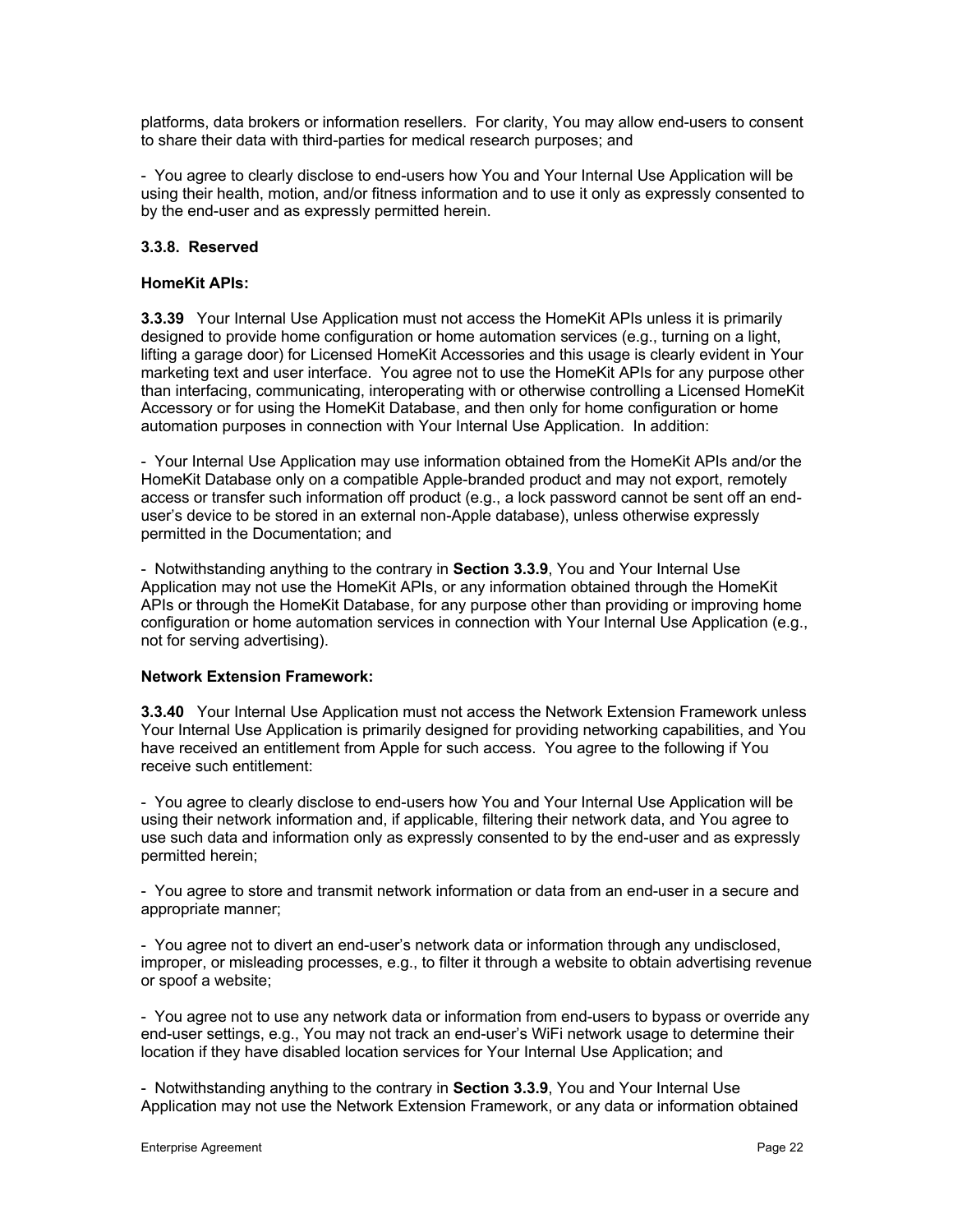platforms, data brokers or information resellers. For clarity, You may allow end-users to consent to share their data with third-parties for medical research purposes; and

- You agree to clearly disclose to end-users how You and Your Internal Use Application will be using their health, motion, and/or fitness information and to use it only as expressly consented to by the end-user and as expressly permitted herein.

### **3.3.8. Reserved**

### **HomeKit APIs:**

**3.3.39** Your Internal Use Application must not access the HomeKit APIs unless it is primarily designed to provide home configuration or home automation services (e.g., turning on a light, lifting a garage door) for Licensed HomeKit Accessories and this usage is clearly evident in Your marketing text and user interface. You agree not to use the HomeKit APIs for any purpose other than interfacing, communicating, interoperating with or otherwise controlling a Licensed HomeKit Accessory or for using the HomeKit Database, and then only for home configuration or home automation purposes in connection with Your Internal Use Application. In addition:

- Your Internal Use Application may use information obtained from the HomeKit APIs and/or the HomeKit Database only on a compatible Apple-branded product and may not export, remotely access or transfer such information off product (e.g., a lock password cannot be sent off an enduser's device to be stored in an external non-Apple database), unless otherwise expressly permitted in the Documentation; and

- Notwithstanding anything to the contrary in **Section 3.3.9**, You and Your Internal Use Application may not use the HomeKit APIs, or any information obtained through the HomeKit APIs or through the HomeKit Database, for any purpose other than providing or improving home configuration or home automation services in connection with Your Internal Use Application (e.g., not for serving advertising).

#### **Network Extension Framework:**

**3.3.40** Your Internal Use Application must not access the Network Extension Framework unless Your Internal Use Application is primarily designed for providing networking capabilities, and You have received an entitlement from Apple for such access. You agree to the following if You receive such entitlement:

- You agree to clearly disclose to end-users how You and Your Internal Use Application will be using their network information and, if applicable, filtering their network data, and You agree to use such data and information only as expressly consented to by the end-user and as expressly permitted herein;

- You agree to store and transmit network information or data from an end-user in a secure and appropriate manner;

- You agree not to divert an end-user's network data or information through any undisclosed, improper, or misleading processes, e.g., to filter it through a website to obtain advertising revenue or spoof a website;

- You agree not to use any network data or information from end-users to bypass or override any end-user settings, e.g., You may not track an end-user's WiFi network usage to determine their location if they have disabled location services for Your Internal Use Application; and

- Notwithstanding anything to the contrary in **Section 3.3.9**, You and Your Internal Use Application may not use the Network Extension Framework, or any data or information obtained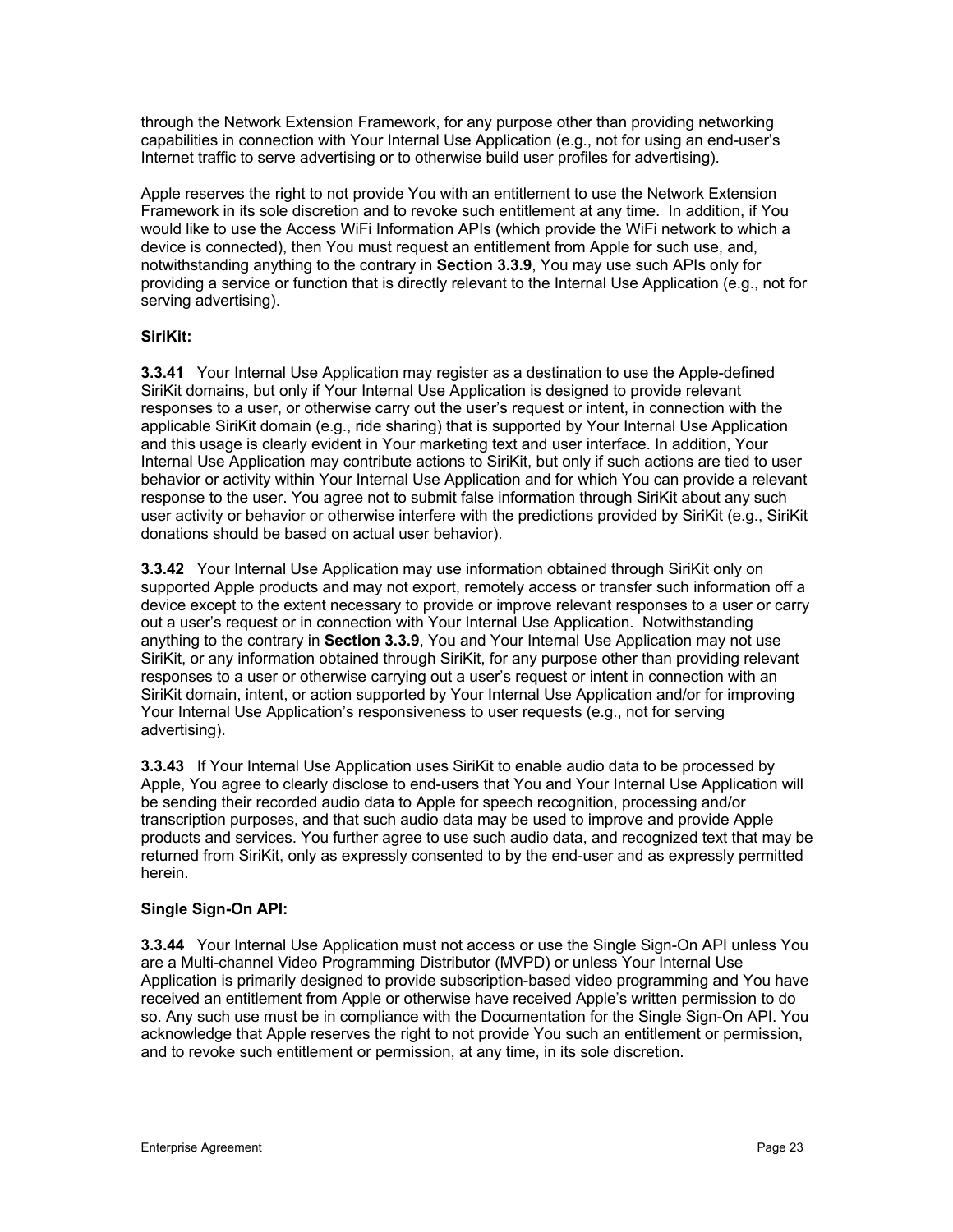through the Network Extension Framework, for any purpose other than providing networking capabilities in connection with Your Internal Use Application (e.g., not for using an end-user's Internet traffic to serve advertising or to otherwise build user profiles for advertising).

Apple reserves the right to not provide You with an entitlement to use the Network Extension Framework in its sole discretion and to revoke such entitlement at any time. In addition, if You would like to use the Access WiFi Information APIs (which provide the WiFi network to which a device is connected), then You must request an entitlement from Apple for such use, and, notwithstanding anything to the contrary in **Section 3.3.9**, You may use such APIs only for providing a service or function that is directly relevant to the Internal Use Application (e.g., not for serving advertising).

### **SiriKit:**

**3.3.41** Your Internal Use Application may register as a destination to use the Apple-defined SiriKit domains, but only if Your Internal Use Application is designed to provide relevant responses to a user, or otherwise carry out the user's request or intent, in connection with the applicable SiriKit domain (e.g., ride sharing) that is supported by Your Internal Use Application and this usage is clearly evident in Your marketing text and user interface. In addition, Your Internal Use Application may contribute actions to SiriKit, but only if such actions are tied to user behavior or activity within Your Internal Use Application and for which You can provide a relevant response to the user. You agree not to submit false information through SiriKit about any such user activity or behavior or otherwise interfere with the predictions provided by SiriKit (e.g., SiriKit donations should be based on actual user behavior).

**3.3.42** Your Internal Use Application may use information obtained through SiriKit only on supported Apple products and may not export, remotely access or transfer such information off a device except to the extent necessary to provide or improve relevant responses to a user or carry out a user's request or in connection with Your Internal Use Application. Notwithstanding anything to the contrary in **Section 3.3.9**, You and Your Internal Use Application may not use SiriKit, or any information obtained through SiriKit, for any purpose other than providing relevant responses to a user or otherwise carrying out a user's request or intent in connection with an SiriKit domain, intent, or action supported by Your Internal Use Application and/or for improving Your Internal Use Application's responsiveness to user requests (e.g., not for serving advertising).

**3.3.43** If Your Internal Use Application uses SiriKit to enable audio data to be processed by Apple, You agree to clearly disclose to end-users that You and Your Internal Use Application will be sending their recorded audio data to Apple for speech recognition, processing and/or transcription purposes, and that such audio data may be used to improve and provide Apple products and services. You further agree to use such audio data, and recognized text that may be returned from SiriKit, only as expressly consented to by the end-user and as expressly permitted herein.

### **Single Sign-On API:**

**3.3.44** Your Internal Use Application must not access or use the Single Sign-On API unless You are a Multi-channel Video Programming Distributor (MVPD) or unless Your Internal Use Application is primarily designed to provide subscription-based video programming and You have received an entitlement from Apple or otherwise have received Apple's written permission to do so. Any such use must be in compliance with the Documentation for the Single Sign-On API. You acknowledge that Apple reserves the right to not provide You such an entitlement or permission, and to revoke such entitlement or permission, at any time, in its sole discretion.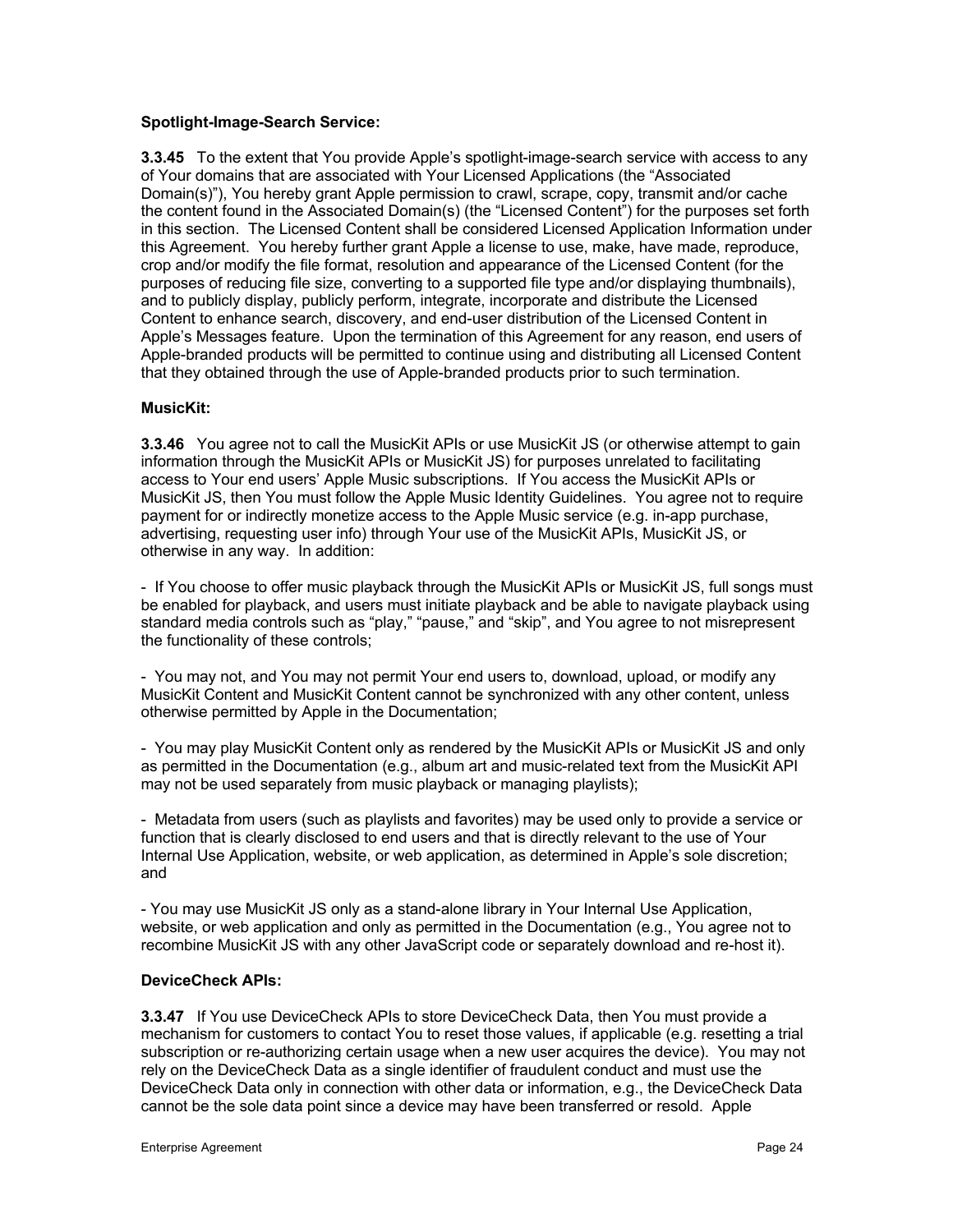### **Spotlight-Image-Search Service:**

**3.3.45** To the extent that You provide Apple's spotlight-image-search service with access to any of Your domains that are associated with Your Licensed Applications (the "Associated Domain(s)"), You hereby grant Apple permission to crawl, scrape, copy, transmit and/or cache the content found in the Associated Domain(s) (the "Licensed Content") for the purposes set forth in this section. The Licensed Content shall be considered Licensed Application Information under this Agreement. You hereby further grant Apple a license to use, make, have made, reproduce, crop and/or modify the file format, resolution and appearance of the Licensed Content (for the purposes of reducing file size, converting to a supported file type and/or displaying thumbnails), and to publicly display, publicly perform, integrate, incorporate and distribute the Licensed Content to enhance search, discovery, and end-user distribution of the Licensed Content in Apple's Messages feature. Upon the termination of this Agreement for any reason, end users of Apple-branded products will be permitted to continue using and distributing all Licensed Content that they obtained through the use of Apple-branded products prior to such termination.

### **MusicKit:**

**3.3.46** You agree not to call the MusicKit APIs or use MusicKit JS (or otherwise attempt to gain information through the MusicKit APIs or MusicKit JS) for purposes unrelated to facilitating access to Your end users' Apple Music subscriptions. If You access the MusicKit APIs or MusicKit JS, then You must follow the Apple Music Identity Guidelines. You agree not to require payment for or indirectly monetize access to the Apple Music service (e.g. in-app purchase, advertising, requesting user info) through Your use of the MusicKit APIs, MusicKit JS, or otherwise in any way. In addition:

- If You choose to offer music playback through the MusicKit APIs or MusicKit JS, full songs must be enabled for playback, and users must initiate playback and be able to navigate playback using standard media controls such as "play," "pause," and "skip", and You agree to not misrepresent the functionality of these controls;

- You may not, and You may not permit Your end users to, download, upload, or modify any MusicKit Content and MusicKit Content cannot be synchronized with any other content, unless otherwise permitted by Apple in the Documentation;

- You may play MusicKit Content only as rendered by the MusicKit APIs or MusicKit JS and only as permitted in the Documentation (e.g., album art and music-related text from the MusicKit API may not be used separately from music playback or managing playlists);

- Metadata from users (such as playlists and favorites) may be used only to provide a service or function that is clearly disclosed to end users and that is directly relevant to the use of Your Internal Use Application, website, or web application, as determined in Apple's sole discretion; and

- You may use MusicKit JS only as a stand-alone library in Your Internal Use Application, website, or web application and only as permitted in the Documentation (e.g., You agree not to recombine MusicKit JS with any other JavaScript code or separately download and re-host it).

# **DeviceCheck APIs:**

**3.3.47** If You use DeviceCheck APIs to store DeviceCheck Data, then You must provide a mechanism for customers to contact You to reset those values, if applicable (e.g. resetting a trial subscription or re-authorizing certain usage when a new user acquires the device). You may not rely on the DeviceCheck Data as a single identifier of fraudulent conduct and must use the DeviceCheck Data only in connection with other data or information, e.g., the DeviceCheck Data cannot be the sole data point since a device may have been transferred or resold. Apple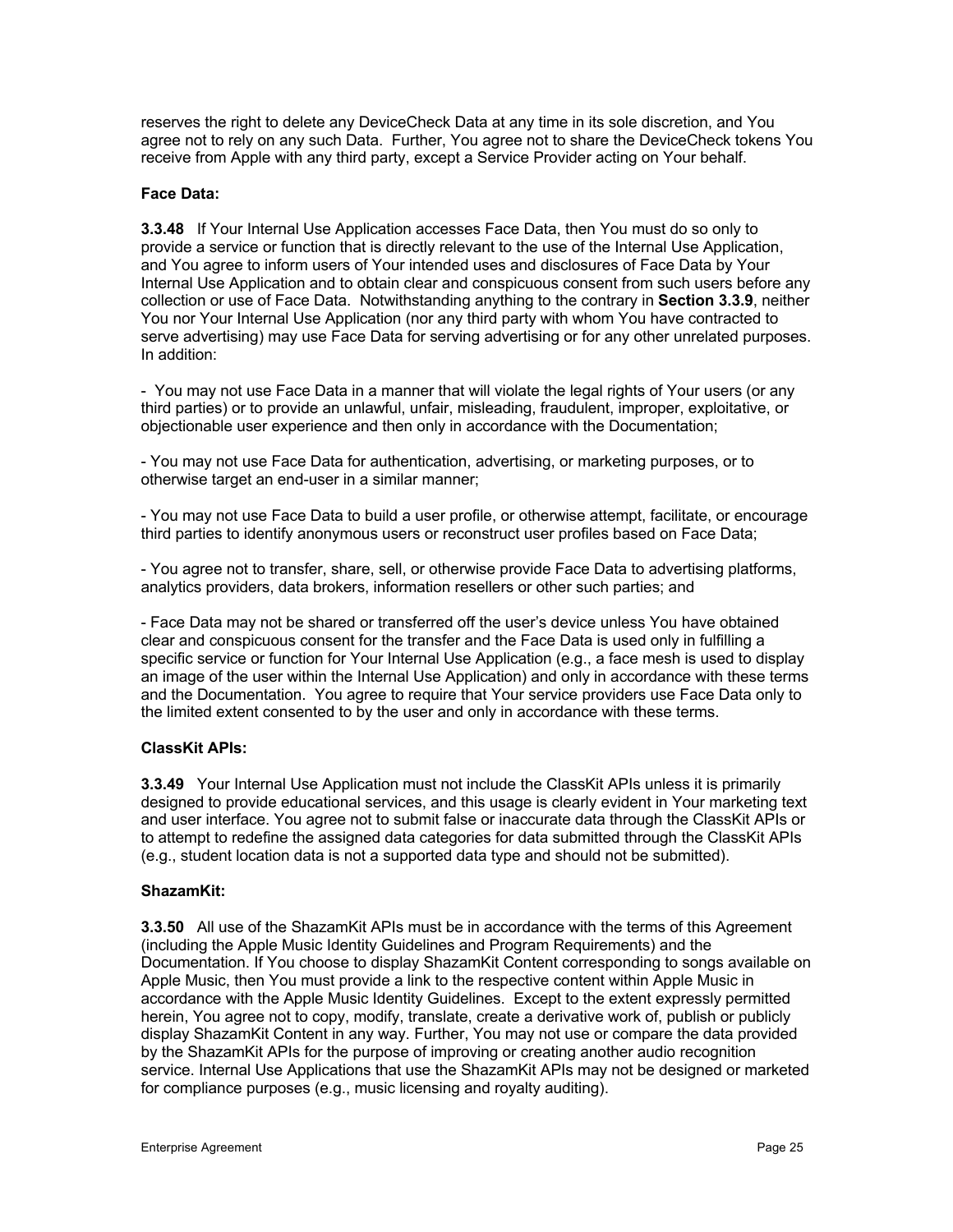reserves the right to delete any DeviceCheck Data at any time in its sole discretion, and You agree not to rely on any such Data. Further, You agree not to share the DeviceCheck tokens You receive from Apple with any third party, except a Service Provider acting on Your behalf.

### **Face Data:**

**3.3.48** If Your Internal Use Application accesses Face Data, then You must do so only to provide a service or function that is directly relevant to the use of the Internal Use Application, and You agree to inform users of Your intended uses and disclosures of Face Data by Your Internal Use Application and to obtain clear and conspicuous consent from such users before any collection or use of Face Data. Notwithstanding anything to the contrary in **Section 3.3.9**, neither You nor Your Internal Use Application (nor any third party with whom You have contracted to serve advertising) may use Face Data for serving advertising or for any other unrelated purposes. In addition:

- You may not use Face Data in a manner that will violate the legal rights of Your users (or any third parties) or to provide an unlawful, unfair, misleading, fraudulent, improper, exploitative, or objectionable user experience and then only in accordance with the Documentation;

- You may not use Face Data for authentication, advertising, or marketing purposes, or to otherwise target an end-user in a similar manner;

- You may not use Face Data to build a user profile, or otherwise attempt, facilitate, or encourage third parties to identify anonymous users or reconstruct user profiles based on Face Data;

- You agree not to transfer, share, sell, or otherwise provide Face Data to advertising platforms, analytics providers, data brokers, information resellers or other such parties; and

- Face Data may not be shared or transferred off the user's device unless You have obtained clear and conspicuous consent for the transfer and the Face Data is used only in fulfilling a specific service or function for Your Internal Use Application (e.g., a face mesh is used to display an image of the user within the Internal Use Application) and only in accordance with these terms and the Documentation. You agree to require that Your service providers use Face Data only to the limited extent consented to by the user and only in accordance with these terms.

### **ClassKit APIs:**

**3.3.49** Your Internal Use Application must not include the ClassKit APIs unless it is primarily designed to provide educational services, and this usage is clearly evident in Your marketing text and user interface. You agree not to submit false or inaccurate data through the ClassKit APIs or to attempt to redefine the assigned data categories for data submitted through the ClassKit APIs (e.g., student location data is not a supported data type and should not be submitted).

### **ShazamKit:**

**3.3.50** All use of the ShazamKit APIs must be in accordance with the terms of this Agreement (including the Apple Music Identity Guidelines and Program Requirements) and the Documentation. If You choose to display ShazamKit Content corresponding to songs available on Apple Music, then You must provide a link to the respective content within Apple Music in accordance with the Apple Music Identity Guidelines. Except to the extent expressly permitted herein, You agree not to copy, modify, translate, create a derivative work of, publish or publicly display ShazamKit Content in any way. Further, You may not use or compare the data provided by the ShazamKit APIs for the purpose of improving or creating another audio recognition service. Internal Use Applications that use the ShazamKit APIs may not be designed or marketed for compliance purposes (e.g., music licensing and royalty auditing).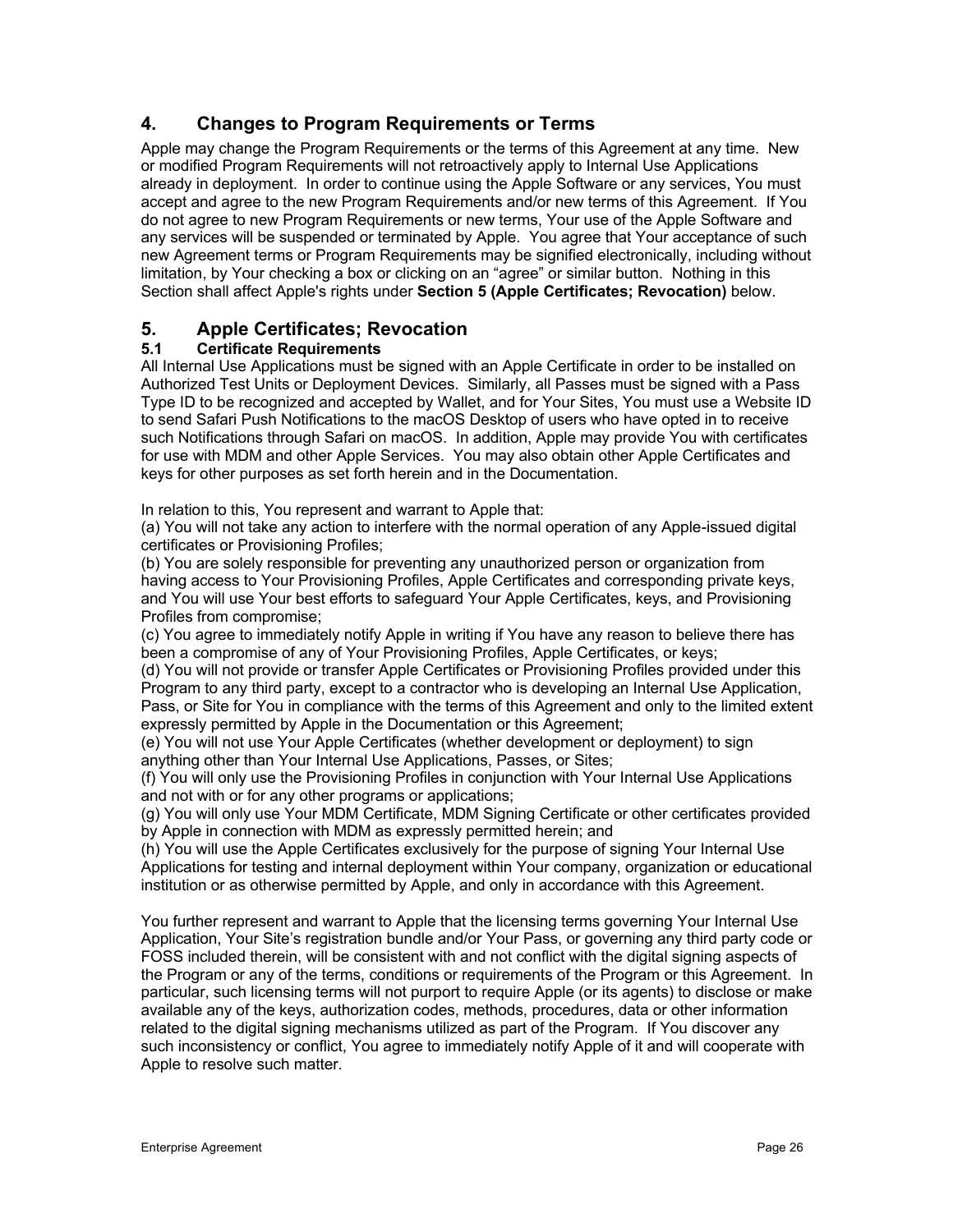# **4. Changes to Program Requirements or Terms**

Apple may change the Program Requirements or the terms of this Agreement at any time. New or modified Program Requirements will not retroactively apply to Internal Use Applications already in deployment. In order to continue using the Apple Software or any services, You must accept and agree to the new Program Requirements and/or new terms of this Agreement. If You do not agree to new Program Requirements or new terms, Your use of the Apple Software and any services will be suspended or terminated by Apple. You agree that Your acceptance of such new Agreement terms or Program Requirements may be signified electronically, including without limitation, by Your checking a box or clicking on an "agree" or similar button. Nothing in this Section shall affect Apple's rights under **Section 5 (Apple Certificates; Revocation)** below.

# **5. Apple Certificates; Revocation**

# **5.1 Certificate Requirements**

All Internal Use Applications must be signed with an Apple Certificate in order to be installed on Authorized Test Units or Deployment Devices. Similarly, all Passes must be signed with a Pass Type ID to be recognized and accepted by Wallet, and for Your Sites, You must use a Website ID to send Safari Push Notifications to the macOS Desktop of users who have opted in to receive such Notifications through Safari on macOS. In addition, Apple may provide You with certificates for use with MDM and other Apple Services. You may also obtain other Apple Certificates and keys for other purposes as set forth herein and in the Documentation.

In relation to this, You represent and warrant to Apple that:

(a) You will not take any action to interfere with the normal operation of any Apple-issued digital certificates or Provisioning Profiles;

(b) You are solely responsible for preventing any unauthorized person or organization from having access to Your Provisioning Profiles, Apple Certificates and corresponding private keys, and You will use Your best efforts to safeguard Your Apple Certificates, keys, and Provisioning Profiles from compromise;

(c) You agree to immediately notify Apple in writing if You have any reason to believe there has been a compromise of any of Your Provisioning Profiles, Apple Certificates, or keys;

(d) You will not provide or transfer Apple Certificates or Provisioning Profiles provided under this Program to any third party, except to a contractor who is developing an Internal Use Application, Pass, or Site for You in compliance with the terms of this Agreement and only to the limited extent expressly permitted by Apple in the Documentation or this Agreement;

(e) You will not use Your Apple Certificates (whether development or deployment) to sign anything other than Your Internal Use Applications, Passes, or Sites;

(f) You will only use the Provisioning Profiles in conjunction with Your Internal Use Applications and not with or for any other programs or applications;

(g) You will only use Your MDM Certificate, MDM Signing Certificate or other certificates provided by Apple in connection with MDM as expressly permitted herein; and

(h) You will use the Apple Certificates exclusively for the purpose of signing Your Internal Use Applications for testing and internal deployment within Your company, organization or educational institution or as otherwise permitted by Apple, and only in accordance with this Agreement.

You further represent and warrant to Apple that the licensing terms governing Your Internal Use Application, Your Site's registration bundle and/or Your Pass, or governing any third party code or FOSS included therein, will be consistent with and not conflict with the digital signing aspects of the Program or any of the terms, conditions or requirements of the Program or this Agreement. In particular, such licensing terms will not purport to require Apple (or its agents) to disclose or make available any of the keys, authorization codes, methods, procedures, data or other information related to the digital signing mechanisms utilized as part of the Program. If You discover any such inconsistency or conflict, You agree to immediately notify Apple of it and will cooperate with Apple to resolve such matter.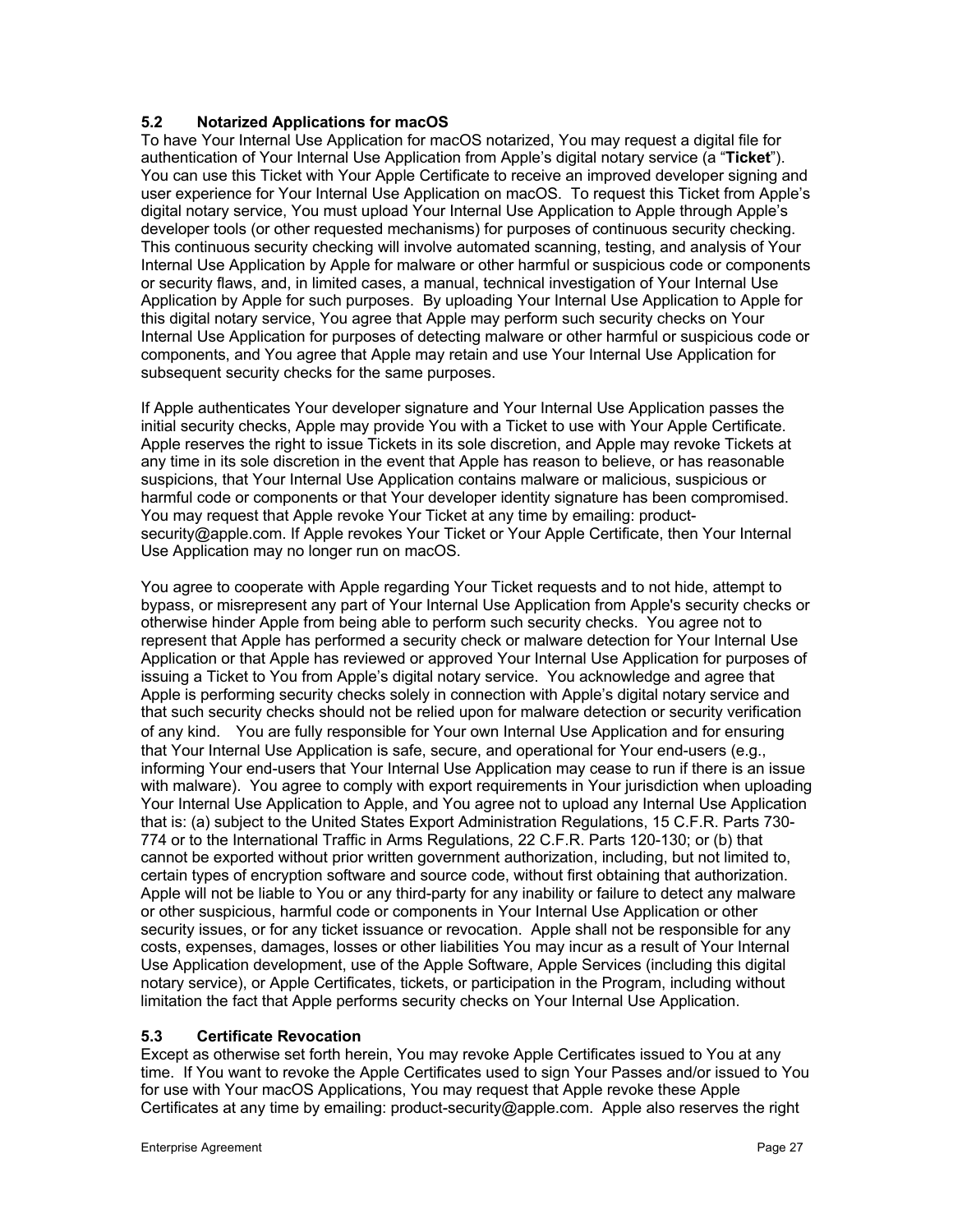### **5.2 Notarized Applications for macOS**

To have Your Internal Use Application for macOS notarized, You may request a digital file for authentication of Your Internal Use Application from Apple's digital notary service (a "**Ticket**"). You can use this Ticket with Your Apple Certificate to receive an improved developer signing and user experience for Your Internal Use Application on macOS. To request this Ticket from Apple's digital notary service, You must upload Your Internal Use Application to Apple through Apple's developer tools (or other requested mechanisms) for purposes of continuous security checking. This continuous security checking will involve automated scanning, testing, and analysis of Your Internal Use Application by Apple for malware or other harmful or suspicious code or components or security flaws, and, in limited cases, a manual, technical investigation of Your Internal Use Application by Apple for such purposes. By uploading Your Internal Use Application to Apple for this digital notary service, You agree that Apple may perform such security checks on Your Internal Use Application for purposes of detecting malware or other harmful or suspicious code or components, and You agree that Apple may retain and use Your Internal Use Application for subsequent security checks for the same purposes.

If Apple authenticates Your developer signature and Your Internal Use Application passes the initial security checks, Apple may provide You with a Ticket to use with Your Apple Certificate. Apple reserves the right to issue Tickets in its sole discretion, and Apple may revoke Tickets at any time in its sole discretion in the event that Apple has reason to believe, or has reasonable suspicions, that Your Internal Use Application contains malware or malicious, suspicious or harmful code or components or that Your developer identity signature has been compromised. You may request that Apple revoke Your Ticket at any time by emailing: productsecurity@apple.com. If Apple revokes Your Ticket or Your Apple Certificate, then Your Internal Use Application may no longer run on macOS.

You agree to cooperate with Apple regarding Your Ticket requests and to not hide, attempt to bypass, or misrepresent any part of Your Internal Use Application from Apple's security checks or otherwise hinder Apple from being able to perform such security checks. You agree not to represent that Apple has performed a security check or malware detection for Your Internal Use Application or that Apple has reviewed or approved Your Internal Use Application for purposes of issuing a Ticket to You from Apple's digital notary service. You acknowledge and agree that Apple is performing security checks solely in connection with Apple's digital notary service and that such security checks should not be relied upon for malware detection or security verification of any kind. You are fully responsible for Your own Internal Use Application and for ensuring that Your Internal Use Application is safe, secure, and operational for Your end-users (e.g., informing Your end-users that Your Internal Use Application may cease to run if there is an issue with malware). You agree to comply with export requirements in Your jurisdiction when uploading Your Internal Use Application to Apple, and You agree not to upload any Internal Use Application that is: (a) subject to the United States Export Administration Regulations, 15 C.F.R. Parts 730- 774 or to the International Traffic in Arms Regulations, 22 C.F.R. Parts 120-130; or (b) that cannot be exported without prior written government authorization, including, but not limited to, certain types of encryption software and source code, without first obtaining that authorization. Apple will not be liable to You or any third-party for any inability or failure to detect any malware or other suspicious, harmful code or components in Your Internal Use Application or other security issues, or for any ticket issuance or revocation. Apple shall not be responsible for any costs, expenses, damages, losses or other liabilities You may incur as a result of Your Internal Use Application development, use of the Apple Software, Apple Services (including this digital notary service), or Apple Certificates, tickets, or participation in the Program, including without limitation the fact that Apple performs security checks on Your Internal Use Application.

### **5.3 Certificate Revocation**

Except as otherwise set forth herein, You may revoke Apple Certificates issued to You at any time. If You want to revoke the Apple Certificates used to sign Your Passes and/or issued to You for use with Your macOS Applications, You may request that Apple revoke these Apple Certificates at any time by emailing: product-security@apple.com. Apple also reserves the right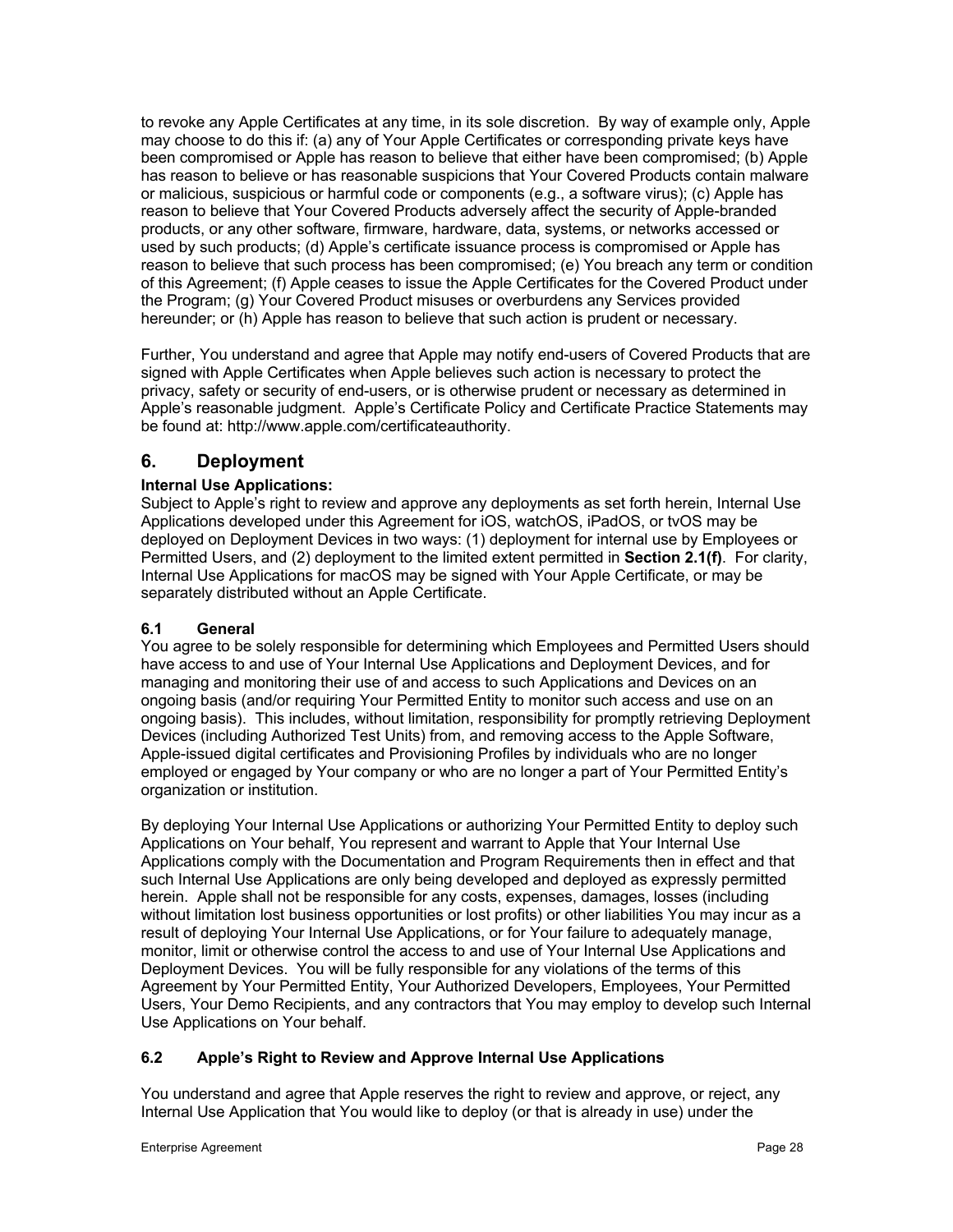to revoke any Apple Certificates at any time, in its sole discretion. By way of example only, Apple may choose to do this if: (a) any of Your Apple Certificates or corresponding private keys have been compromised or Apple has reason to believe that either have been compromised; (b) Apple has reason to believe or has reasonable suspicions that Your Covered Products contain malware or malicious, suspicious or harmful code or components (e.g., a software virus); (c) Apple has reason to believe that Your Covered Products adversely affect the security of Apple-branded products, or any other software, firmware, hardware, data, systems, or networks accessed or used by such products; (d) Apple's certificate issuance process is compromised or Apple has reason to believe that such process has been compromised; (e) You breach any term or condition of this Agreement; (f) Apple ceases to issue the Apple Certificates for the Covered Product under the Program; (g) Your Covered Product misuses or overburdens any Services provided hereunder; or (h) Apple has reason to believe that such action is prudent or necessary.

Further, You understand and agree that Apple may notify end-users of Covered Products that are signed with Apple Certificates when Apple believes such action is necessary to protect the privacy, safety or security of end-users, or is otherwise prudent or necessary as determined in Apple's reasonable judgment. Apple's Certificate Policy and Certificate Practice Statements may be found at: http://www.apple.com/certificateauthority.

# **6. Deployment**

# **Internal Use Applications:**

Subject to Apple's right to review and approve any deployments as set forth herein, Internal Use Applications developed under this Agreement for iOS, watchOS, iPadOS, or tvOS may be deployed on Deployment Devices in two ways: (1) deployment for internal use by Employees or Permitted Users, and (2) deployment to the limited extent permitted in **Section 2.1(f)**. For clarity, Internal Use Applications for macOS may be signed with Your Apple Certificate, or may be separately distributed without an Apple Certificate.

# **6.1 General**

You agree to be solely responsible for determining which Employees and Permitted Users should have access to and use of Your Internal Use Applications and Deployment Devices, and for managing and monitoring their use of and access to such Applications and Devices on an ongoing basis (and/or requiring Your Permitted Entity to monitor such access and use on an ongoing basis). This includes, without limitation, responsibility for promptly retrieving Deployment Devices (including Authorized Test Units) from, and removing access to the Apple Software, Apple-issued digital certificates and Provisioning Profiles by individuals who are no longer employed or engaged by Your company or who are no longer a part of Your Permitted Entity's organization or institution.

By deploying Your Internal Use Applications or authorizing Your Permitted Entity to deploy such Applications on Your behalf, You represent and warrant to Apple that Your Internal Use Applications comply with the Documentation and Program Requirements then in effect and that such Internal Use Applications are only being developed and deployed as expressly permitted herein. Apple shall not be responsible for any costs, expenses, damages, losses (including without limitation lost business opportunities or lost profits) or other liabilities You may incur as a result of deploying Your Internal Use Applications, or for Your failure to adequately manage, monitor, limit or otherwise control the access to and use of Your Internal Use Applications and Deployment Devices. You will be fully responsible for any violations of the terms of this Agreement by Your Permitted Entity, Your Authorized Developers, Employees, Your Permitted Users, Your Demo Recipients, and any contractors that You may employ to develop such Internal Use Applications on Your behalf.

# **6.2 Apple's Right to Review and Approve Internal Use Applications**

You understand and agree that Apple reserves the right to review and approve, or reject, any Internal Use Application that You would like to deploy (or that is already in use) under the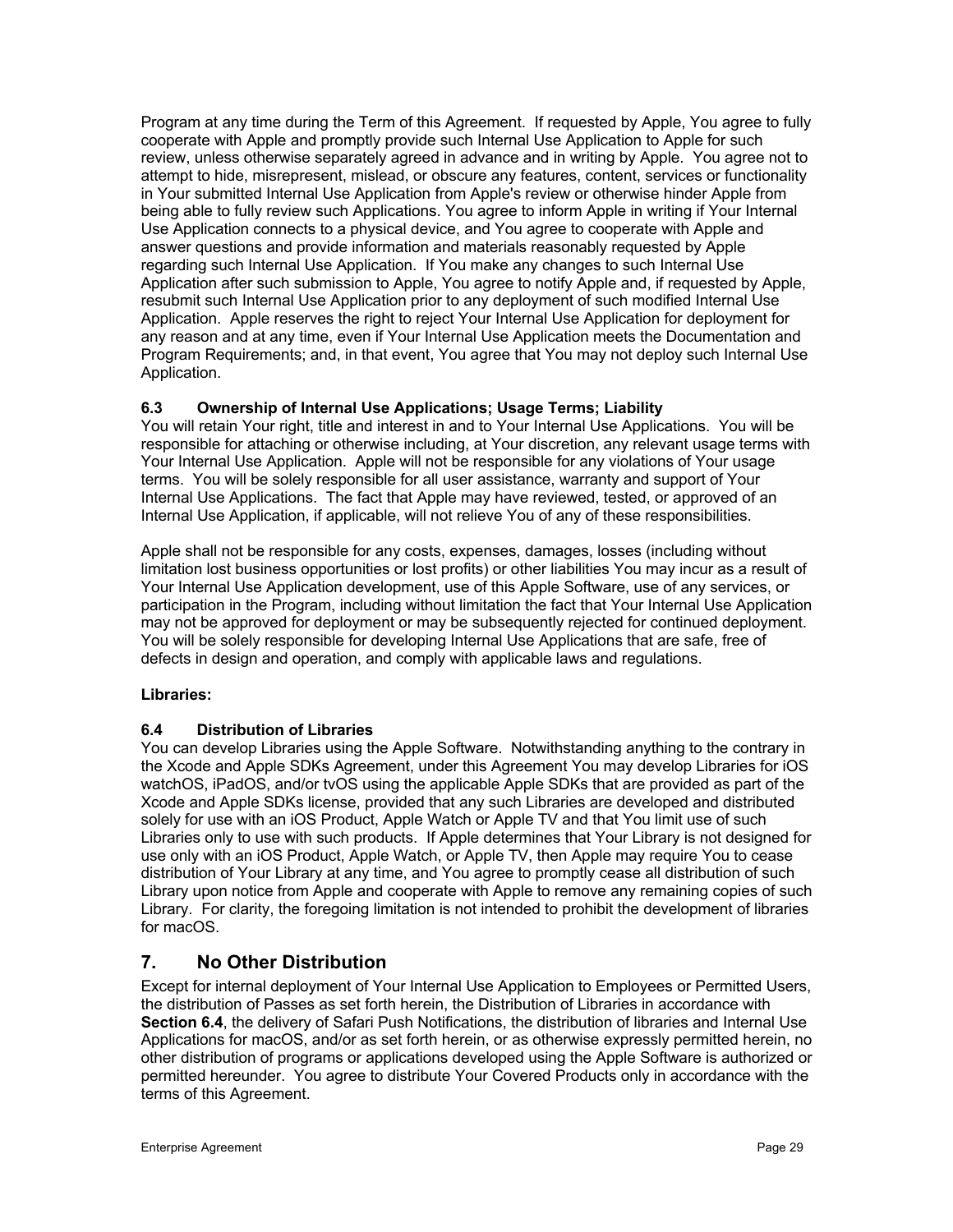Program at any time during the Term of this Agreement. If requested by Apple, You agree to fully cooperate with Apple and promptly provide such Internal Use Application to Apple for such review, unless otherwise separately agreed in advance and in writing by Apple. You agree not to attempt to hide, misrepresent, mislead, or obscure any features, content, services or functionality in Your submitted Internal Use Application from Apple's review or otherwise hinder Apple from being able to fully review such Applications. You agree to inform Apple in writing if Your Internal Use Application connects to a physical device, and You agree to cooperate with Apple and answer questions and provide information and materials reasonably requested by Apple regarding such Internal Use Application. If You make any changes to such Internal Use Application after such submission to Apple, You agree to notify Apple and, if requested by Apple, resubmit such Internal Use Application prior to any deployment of such modified Internal Use Application. Apple reserves the right to reject Your Internal Use Application for deployment for any reason and at any time, even if Your Internal Use Application meets the Documentation and Program Requirements; and, in that event, You agree that You may not deploy such Internal Use Application.

# **6.3 Ownership of Internal Use Applications; Usage Terms; Liability**

You will retain Your right, title and interest in and to Your Internal Use Applications. You will be responsible for attaching or otherwise including, at Your discretion, any relevant usage terms with Your Internal Use Application. Apple will not be responsible for any violations of Your usage terms. You will be solely responsible for all user assistance, warranty and support of Your Internal Use Applications. The fact that Apple may have reviewed, tested, or approved of an Internal Use Application, if applicable, will not relieve You of any of these responsibilities.

Apple shall not be responsible for any costs, expenses, damages, losses (including without limitation lost business opportunities or lost profits) or other liabilities You may incur as a result of Your Internal Use Application development, use of this Apple Software, use of any services, or participation in the Program, including without limitation the fact that Your Internal Use Application may not be approved for deployment or may be subsequently rejected for continued deployment. You will be solely responsible for developing Internal Use Applications that are safe, free of defects in design and operation, and comply with applicable laws and regulations.

# **Libraries:**

# **6.4 Distribution of Libraries**

You can develop Libraries using the Apple Software. Notwithstanding anything to the contrary in the Xcode and Apple SDKs Agreement, under this Agreement You may develop Libraries for iOS watchOS, iPadOS, and/or tvOS using the applicable Apple SDKs that are provided as part of the Xcode and Apple SDKs license, provided that any such Libraries are developed and distributed solely for use with an iOS Product, Apple Watch or Apple TV and that You limit use of such Libraries only to use with such products. If Apple determines that Your Library is not designed for use only with an iOS Product, Apple Watch, or Apple TV, then Apple may require You to cease distribution of Your Library at any time, and You agree to promptly cease all distribution of such Library upon notice from Apple and cooperate with Apple to remove any remaining copies of such Library. For clarity, the foregoing limitation is not intended to prohibit the development of libraries for macOS.

# **7. No Other Distribution**

Except for internal deployment of Your Internal Use Application to Employees or Permitted Users, the distribution of Passes as set forth herein, the Distribution of Libraries in accordance with **Section 6.4**, the delivery of Safari Push Notifications, the distribution of libraries and Internal Use Applications for macOS, and/or as set forth herein, or as otherwise expressly permitted herein, no other distribution of programs or applications developed using the Apple Software is authorized or permitted hereunder. You agree to distribute Your Covered Products only in accordance with the terms of this Agreement.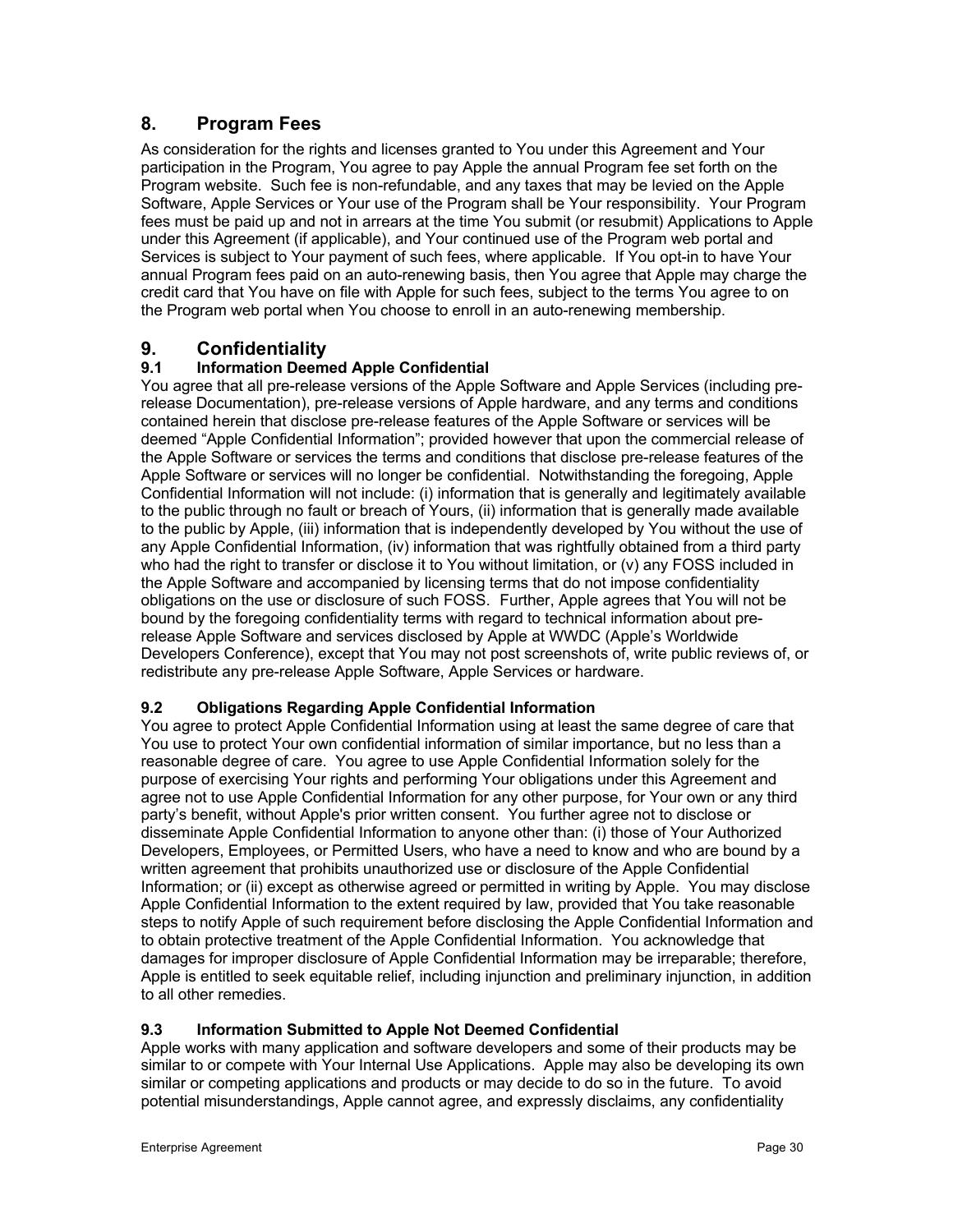# **8. Program Fees**

As consideration for the rights and licenses granted to You under this Agreement and Your participation in the Program, You agree to pay Apple the annual Program fee set forth on the Program website. Such fee is non-refundable, and any taxes that may be levied on the Apple Software, Apple Services or Your use of the Program shall be Your responsibility. Your Program fees must be paid up and not in arrears at the time You submit (or resubmit) Applications to Apple under this Agreement (if applicable), and Your continued use of the Program web portal and Services is subject to Your payment of such fees, where applicable. If You opt-in to have Your annual Program fees paid on an auto-renewing basis, then You agree that Apple may charge the credit card that You have on file with Apple for such fees, subject to the terms You agree to on the Program web portal when You choose to enroll in an auto-renewing membership.

# **9. Confidentiality**

# **9.1 Information Deemed Apple Confidential**

You agree that all pre-release versions of the Apple Software and Apple Services (including prerelease Documentation), pre-release versions of Apple hardware, and any terms and conditions contained herein that disclose pre-release features of the Apple Software or services will be deemed "Apple Confidential Information"; provided however that upon the commercial release of the Apple Software or services the terms and conditions that disclose pre-release features of the Apple Software or services will no longer be confidential. Notwithstanding the foregoing, Apple Confidential Information will not include: (i) information that is generally and legitimately available to the public through no fault or breach of Yours, (ii) information that is generally made available to the public by Apple, (iii) information that is independently developed by You without the use of any Apple Confidential Information, (iv) information that was rightfully obtained from a third party who had the right to transfer or disclose it to You without limitation, or (v) any FOSS included in the Apple Software and accompanied by licensing terms that do not impose confidentiality obligations on the use or disclosure of such FOSS. Further, Apple agrees that You will not be bound by the foregoing confidentiality terms with regard to technical information about prerelease Apple Software and services disclosed by Apple at WWDC (Apple's Worldwide Developers Conference), except that You may not post screenshots of, write public reviews of, or redistribute any pre-release Apple Software, Apple Services or hardware.

# **9.2 Obligations Regarding Apple Confidential Information**

You agree to protect Apple Confidential Information using at least the same degree of care that You use to protect Your own confidential information of similar importance, but no less than a reasonable degree of care. You agree to use Apple Confidential Information solely for the purpose of exercising Your rights and performing Your obligations under this Agreement and agree not to use Apple Confidential Information for any other purpose, for Your own or any third party's benefit, without Apple's prior written consent. You further agree not to disclose or disseminate Apple Confidential Information to anyone other than: (i) those of Your Authorized Developers, Employees, or Permitted Users, who have a need to know and who are bound by a written agreement that prohibits unauthorized use or disclosure of the Apple Confidential Information; or (ii) except as otherwise agreed or permitted in writing by Apple. You may disclose Apple Confidential Information to the extent required by law, provided that You take reasonable steps to notify Apple of such requirement before disclosing the Apple Confidential Information and to obtain protective treatment of the Apple Confidential Information. You acknowledge that damages for improper disclosure of Apple Confidential Information may be irreparable; therefore, Apple is entitled to seek equitable relief, including injunction and preliminary injunction, in addition to all other remedies.

# **9.3 Information Submitted to Apple Not Deemed Confidential**

Apple works with many application and software developers and some of their products may be similar to or compete with Your Internal Use Applications. Apple may also be developing its own similar or competing applications and products or may decide to do so in the future. To avoid potential misunderstandings, Apple cannot agree, and expressly disclaims, any confidentiality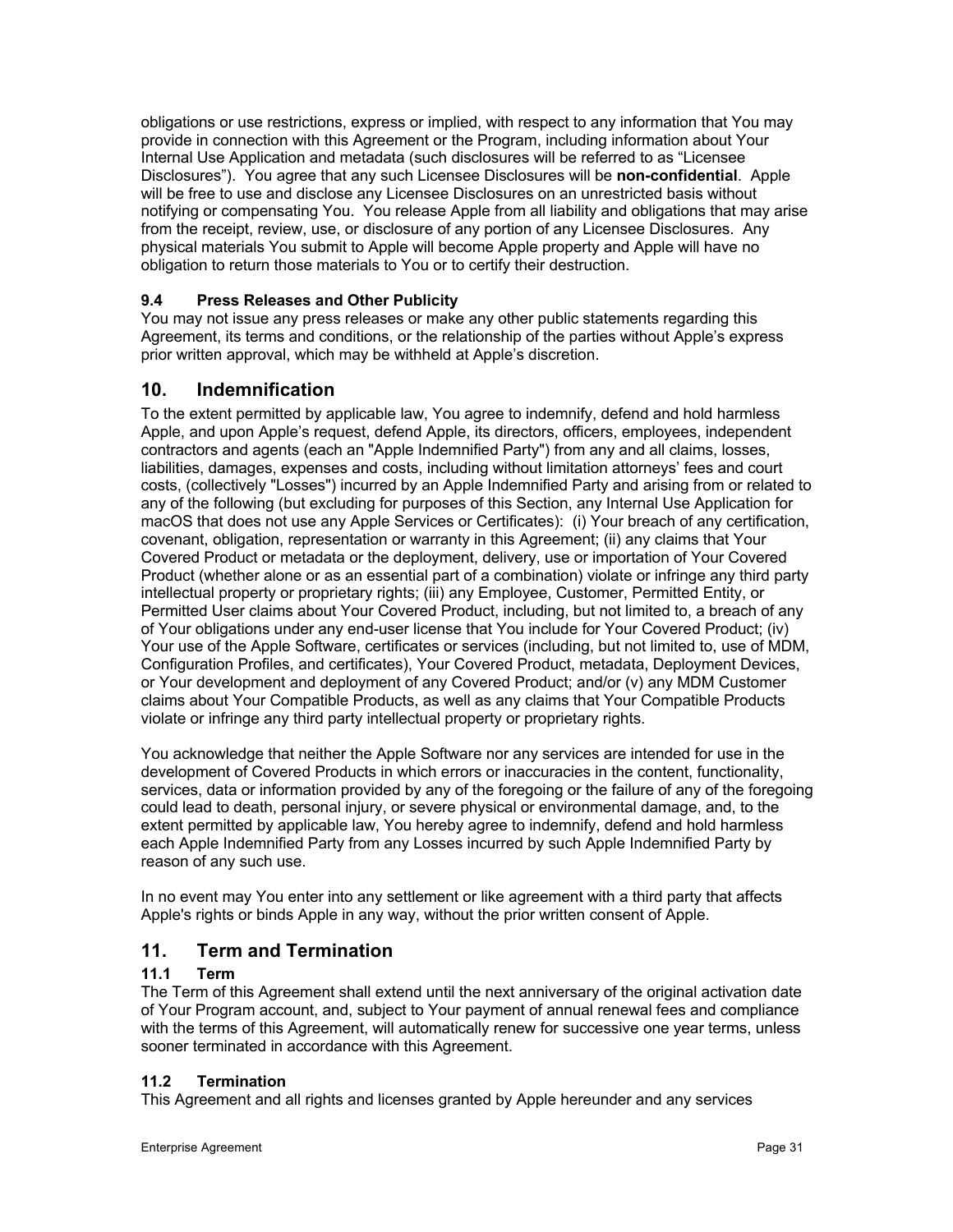obligations or use restrictions, express or implied, with respect to any information that You may provide in connection with this Agreement or the Program, including information about Your Internal Use Application and metadata (such disclosures will be referred to as "Licensee Disclosures"). You agree that any such Licensee Disclosures will be **non-confidential**. Apple will be free to use and disclose any Licensee Disclosures on an unrestricted basis without notifying or compensating You. You release Apple from all liability and obligations that may arise from the receipt, review, use, or disclosure of any portion of any Licensee Disclosures. Any physical materials You submit to Apple will become Apple property and Apple will have no obligation to return those materials to You or to certify their destruction.

# **9.4 Press Releases and Other Publicity**

You may not issue any press releases or make any other public statements regarding this Agreement, its terms and conditions, or the relationship of the parties without Apple's express prior written approval, which may be withheld at Apple's discretion.

# **10. Indemnification**

To the extent permitted by applicable law, You agree to indemnify, defend and hold harmless Apple, and upon Apple's request, defend Apple, its directors, officers, employees, independent contractors and agents (each an "Apple Indemnified Party") from any and all claims, losses, liabilities, damages, expenses and costs, including without limitation attorneys' fees and court costs, (collectively "Losses") incurred by an Apple Indemnified Party and arising from or related to any of the following (but excluding for purposes of this Section, any Internal Use Application for macOS that does not use any Apple Services or Certificates): (i) Your breach of any certification, covenant, obligation, representation or warranty in this Agreement; (ii) any claims that Your Covered Product or metadata or the deployment, delivery, use or importation of Your Covered Product (whether alone or as an essential part of a combination) violate or infringe any third party intellectual property or proprietary rights; (iii) any Employee, Customer, Permitted Entity, or Permitted User claims about Your Covered Product, including, but not limited to, a breach of any of Your obligations under any end-user license that You include for Your Covered Product; (iv) Your use of the Apple Software, certificates or services (including, but not limited to, use of MDM, Configuration Profiles, and certificates), Your Covered Product, metadata, Deployment Devices, or Your development and deployment of any Covered Product; and/or (v) any MDM Customer claims about Your Compatible Products, as well as any claims that Your Compatible Products violate or infringe any third party intellectual property or proprietary rights.

You acknowledge that neither the Apple Software nor any services are intended for use in the development of Covered Products in which errors or inaccuracies in the content, functionality, services, data or information provided by any of the foregoing or the failure of any of the foregoing could lead to death, personal injury, or severe physical or environmental damage, and, to the extent permitted by applicable law, You hereby agree to indemnify, defend and hold harmless each Apple Indemnified Party from any Losses incurred by such Apple Indemnified Party by reason of any such use.

In no event may You enter into any settlement or like agreement with a third party that affects Apple's rights or binds Apple in any way, without the prior written consent of Apple.

# **11. Term and Termination**

# **11.1 Term**

The Term of this Agreement shall extend until the next anniversary of the original activation date of Your Program account, and, subject to Your payment of annual renewal fees and compliance with the terms of this Agreement, will automatically renew for successive one year terms, unless sooner terminated in accordance with this Agreement.

# **11.2 Termination**

This Agreement and all rights and licenses granted by Apple hereunder and any services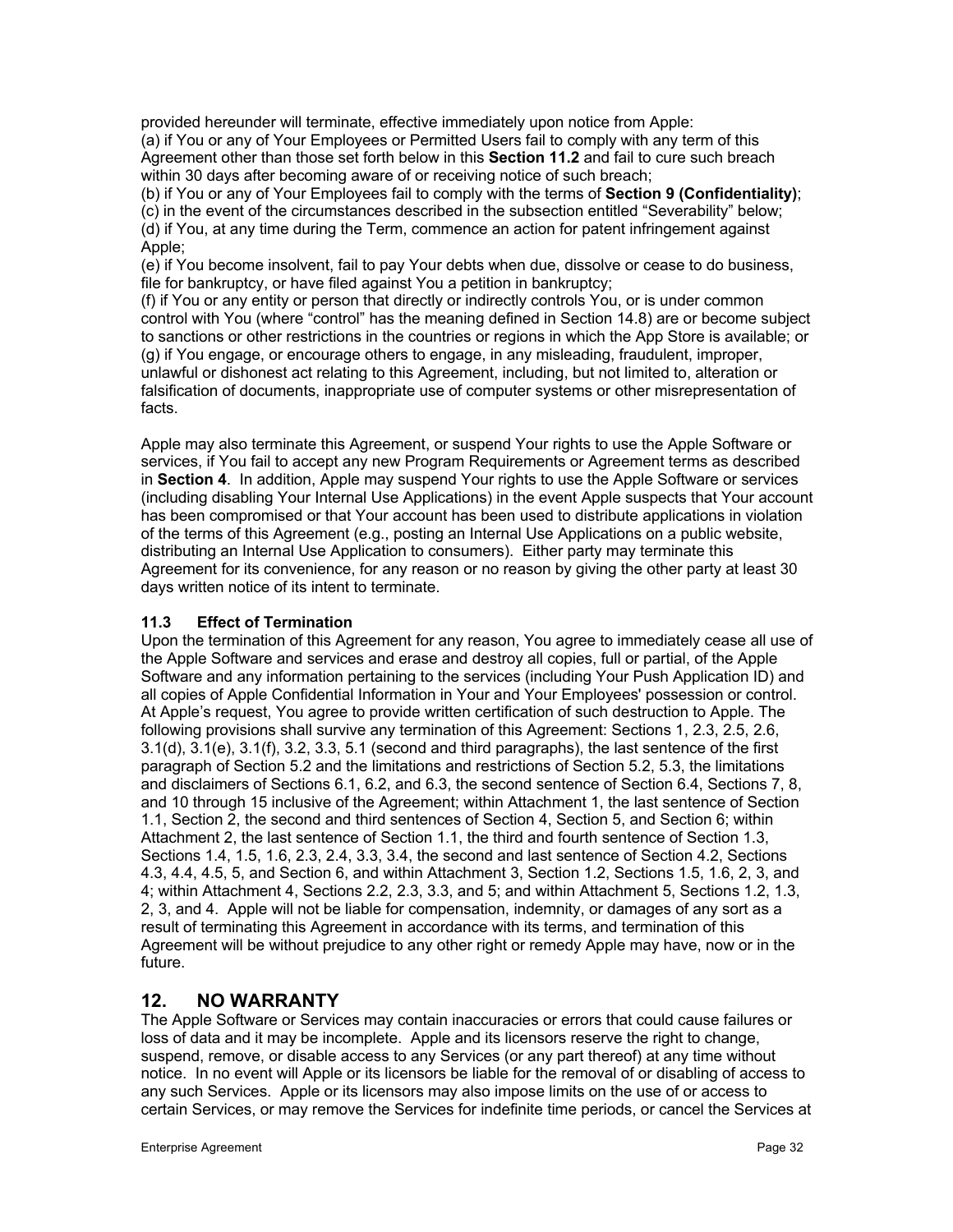provided hereunder will terminate, effective immediately upon notice from Apple: (a) if You or any of Your Employees or Permitted Users fail to comply with any term of this Agreement other than those set forth below in this **Section 11.2** and fail to cure such breach within 30 days after becoming aware of or receiving notice of such breach;

(b) if You or any of Your Employees fail to comply with the terms of **Section 9 (Confidentiality)**; (c) in the event of the circumstances described in the subsection entitled "Severability" below; (d) if You, at any time during the Term, commence an action for patent infringement against Apple;

(e) if You become insolvent, fail to pay Your debts when due, dissolve or cease to do business, file for bankruptcy, or have filed against You a petition in bankruptcy;

(f) if You or any entity or person that directly or indirectly controls You, or is under common control with You (where "control" has the meaning defined in Section 14.8) are or become subject to sanctions or other restrictions in the countries or regions in which the App Store is available; or (g) if You engage, or encourage others to engage, in any misleading, fraudulent, improper, unlawful or dishonest act relating to this Agreement, including, but not limited to, alteration or falsification of documents, inappropriate use of computer systems or other misrepresentation of facts.

Apple may also terminate this Agreement, or suspend Your rights to use the Apple Software or services, if You fail to accept any new Program Requirements or Agreement terms as described in **Section 4**. In addition, Apple may suspend Your rights to use the Apple Software or services (including disabling Your Internal Use Applications) in the event Apple suspects that Your account has been compromised or that Your account has been used to distribute applications in violation of the terms of this Agreement (e.g., posting an Internal Use Applications on a public website, distributing an Internal Use Application to consumers). Either party may terminate this Agreement for its convenience, for any reason or no reason by giving the other party at least 30 days written notice of its intent to terminate.

### **11.3 Effect of Termination**

Upon the termination of this Agreement for any reason, You agree to immediately cease all use of the Apple Software and services and erase and destroy all copies, full or partial, of the Apple Software and any information pertaining to the services (including Your Push Application ID) and all copies of Apple Confidential Information in Your and Your Employees' possession or control. At Apple's request, You agree to provide written certification of such destruction to Apple. The following provisions shall survive any termination of this Agreement: Sections 1, 2.3, 2.5, 2.6, 3.1(d), 3.1(e), 3.1(f), 3.2, 3.3, 5.1 (second and third paragraphs), the last sentence of the first paragraph of Section 5.2 and the limitations and restrictions of Section 5.2, 5.3, the limitations and disclaimers of Sections 6.1, 6.2, and 6.3, the second sentence of Section 6.4, Sections 7, 8, and 10 through 15 inclusive of the Agreement; within Attachment 1, the last sentence of Section 1.1, Section 2, the second and third sentences of Section 4, Section 5, and Section 6; within Attachment 2, the last sentence of Section 1.1, the third and fourth sentence of Section 1.3, Sections 1.4, 1.5, 1.6, 2.3, 2.4, 3.3, 3.4, the second and last sentence of Section 4.2, Sections 4.3, 4.4, 4.5, 5, and Section 6, and within Attachment 3, Section 1.2, Sections 1.5, 1.6, 2, 3, and 4; within Attachment 4, Sections 2.2, 2.3, 3.3, and 5; and within Attachment 5, Sections 1.2, 1.3, 2, 3, and 4. Apple will not be liable for compensation, indemnity, or damages of any sort as a result of terminating this Agreement in accordance with its terms, and termination of this Agreement will be without prejudice to any other right or remedy Apple may have, now or in the future.

# **12. NO WARRANTY**

The Apple Software or Services may contain inaccuracies or errors that could cause failures or loss of data and it may be incomplete. Apple and its licensors reserve the right to change, suspend, remove, or disable access to any Services (or any part thereof) at any time without notice. In no event will Apple or its licensors be liable for the removal of or disabling of access to any such Services. Apple or its licensors may also impose limits on the use of or access to certain Services, or may remove the Services for indefinite time periods, or cancel the Services at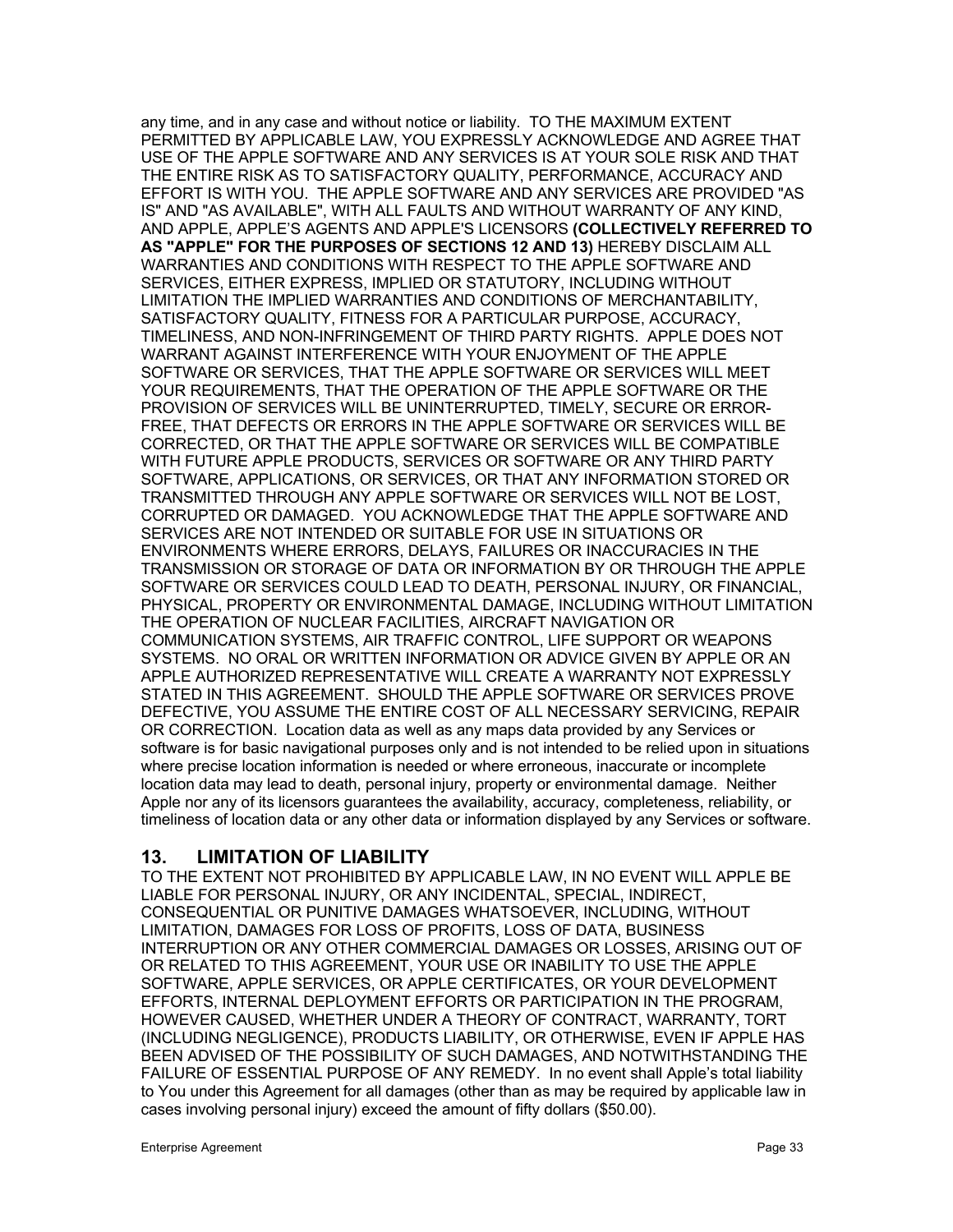any time, and in any case and without notice or liability. TO THE MAXIMUM EXTENT PERMITTED BY APPLICABLE LAW, YOU EXPRESSLY ACKNOWLEDGE AND AGREE THAT USE OF THE APPLE SOFTWARE AND ANY SERVICES IS AT YOUR SOLE RISK AND THAT THE ENTIRE RISK AS TO SATISFACTORY QUALITY, PERFORMANCE, ACCURACY AND EFFORT IS WITH YOU. THE APPLE SOFTWARE AND ANY SERVICES ARE PROVIDED "AS IS" AND "AS AVAILABLE", WITH ALL FAULTS AND WITHOUT WARRANTY OF ANY KIND, AND APPLE, APPLE'S AGENTS AND APPLE'S LICENSORS **(COLLECTIVELY REFERRED TO AS "APPLE" FOR THE PURPOSES OF SECTIONS 12 AND 13)** HEREBY DISCLAIM ALL WARRANTIES AND CONDITIONS WITH RESPECT TO THE APPLE SOFTWARE AND SERVICES, EITHER EXPRESS, IMPLIED OR STATUTORY, INCLUDING WITHOUT LIMITATION THE IMPLIED WARRANTIES AND CONDITIONS OF MERCHANTABILITY, SATISFACTORY QUALITY, FITNESS FOR A PARTICULAR PURPOSE, ACCURACY, TIMELINESS, AND NON-INFRINGEMENT OF THIRD PARTY RIGHTS. APPLE DOES NOT WARRANT AGAINST INTERFERENCE WITH YOUR ENJOYMENT OF THE APPLE SOFTWARE OR SERVICES, THAT THE APPLE SOFTWARE OR SERVICES WILL MEET YOUR REQUIREMENTS, THAT THE OPERATION OF THE APPLE SOFTWARE OR THE PROVISION OF SERVICES WILL BE UNINTERRUPTED, TIMELY, SECURE OR ERROR-FREE, THAT DEFECTS OR ERRORS IN THE APPLE SOFTWARE OR SERVICES WILL BE CORRECTED, OR THAT THE APPLE SOFTWARE OR SERVICES WILL BE COMPATIBLE WITH FUTURE APPLE PRODUCTS, SERVICES OR SOFTWARE OR ANY THIRD PARTY SOFTWARE, APPLICATIONS, OR SERVICES, OR THAT ANY INFORMATION STORED OR TRANSMITTED THROUGH ANY APPLE SOFTWARE OR SERVICES WILL NOT BE LOST, CORRUPTED OR DAMAGED. YOU ACKNOWLEDGE THAT THE APPLE SOFTWARE AND SERVICES ARE NOT INTENDED OR SUITABLE FOR USE IN SITUATIONS OR ENVIRONMENTS WHERE ERRORS, DELAYS, FAILURES OR INACCURACIES IN THE TRANSMISSION OR STORAGE OF DATA OR INFORMATION BY OR THROUGH THE APPLE SOFTWARE OR SERVICES COULD LEAD TO DEATH, PERSONAL INJURY, OR FINANCIAL, PHYSICAL, PROPERTY OR ENVIRONMENTAL DAMAGE, INCLUDING WITHOUT LIMITATION THE OPERATION OF NUCLEAR FACILITIES, AIRCRAFT NAVIGATION OR COMMUNICATION SYSTEMS, AIR TRAFFIC CONTROL, LIFE SUPPORT OR WEAPONS SYSTEMS. NO ORAL OR WRITTEN INFORMATION OR ADVICE GIVEN BY APPLE OR AN APPLE AUTHORIZED REPRESENTATIVE WILL CREATE A WARRANTY NOT EXPRESSLY STATED IN THIS AGREEMENT. SHOULD THE APPLE SOFTWARE OR SERVICES PROVE DEFECTIVE, YOU ASSUME THE ENTIRE COST OF ALL NECESSARY SERVICING, REPAIR OR CORRECTION. Location data as well as any maps data provided by any Services or software is for basic navigational purposes only and is not intended to be relied upon in situations where precise location information is needed or where erroneous, inaccurate or incomplete location data may lead to death, personal injury, property or environmental damage. Neither Apple nor any of its licensors guarantees the availability, accuracy, completeness, reliability, or timeliness of location data or any other data or information displayed by any Services or software.

# **13. LIMITATION OF LIABILITY**

TO THE EXTENT NOT PROHIBITED BY APPLICABLE LAW, IN NO EVENT WILL APPLE BE LIABLE FOR PERSONAL INJURY, OR ANY INCIDENTAL, SPECIAL, INDIRECT, CONSEQUENTIAL OR PUNITIVE DAMAGES WHATSOEVER, INCLUDING, WITHOUT LIMITATION, DAMAGES FOR LOSS OF PROFITS, LOSS OF DATA, BUSINESS INTERRUPTION OR ANY OTHER COMMERCIAL DAMAGES OR LOSSES, ARISING OUT OF OR RELATED TO THIS AGREEMENT, YOUR USE OR INABILITY TO USE THE APPLE SOFTWARE, APPLE SERVICES, OR APPLE CERTIFICATES, OR YOUR DEVELOPMENT EFFORTS, INTERNAL DEPLOYMENT EFFORTS OR PARTICIPATION IN THE PROGRAM, HOWEVER CAUSED, WHETHER UNDER A THEORY OF CONTRACT, WARRANTY, TORT (INCLUDING NEGLIGENCE), PRODUCTS LIABILITY, OR OTHERWISE, EVEN IF APPLE HAS BEEN ADVISED OF THE POSSIBILITY OF SUCH DAMAGES, AND NOTWITHSTANDING THE FAILURE OF ESSENTIAL PURPOSE OF ANY REMEDY. In no event shall Apple's total liability to You under this Agreement for all damages (other than as may be required by applicable law in cases involving personal injury) exceed the amount of fifty dollars (\$50.00).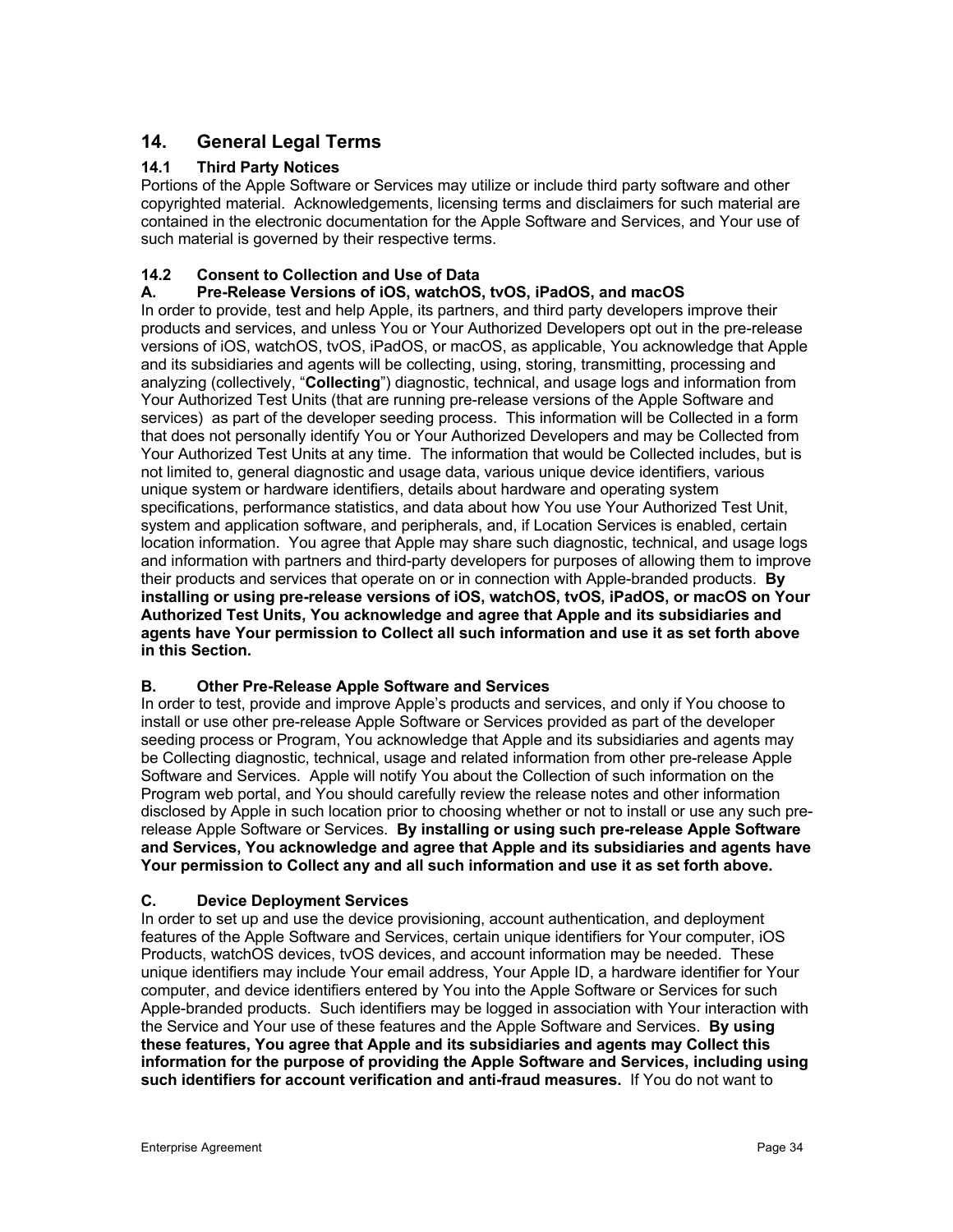# **14. General Legal Terms**

# **14.1 Third Party Notices**

Portions of the Apple Software or Services may utilize or include third party software and other copyrighted material. Acknowledgements, licensing terms and disclaimers for such material are contained in the electronic documentation for the Apple Software and Services, and Your use of such material is governed by their respective terms.

### **14.2 Consent to Collection and Use of Data**

# **A. Pre-Release Versions of iOS, watchOS, tvOS, iPadOS, and macOS**

In order to provide, test and help Apple, its partners, and third party developers improve their products and services, and unless You or Your Authorized Developers opt out in the pre-release versions of iOS, watchOS, tvOS, iPadOS, or macOS, as applicable, You acknowledge that Apple and its subsidiaries and agents will be collecting, using, storing, transmitting, processing and analyzing (collectively, "**Collecting**") diagnostic, technical, and usage logs and information from Your Authorized Test Units (that are running pre-release versions of the Apple Software and services) as part of the developer seeding process. This information will be Collected in a form that does not personally identify You or Your Authorized Developers and may be Collected from Your Authorized Test Units at any time. The information that would be Collected includes, but is not limited to, general diagnostic and usage data, various unique device identifiers, various unique system or hardware identifiers, details about hardware and operating system specifications, performance statistics, and data about how You use Your Authorized Test Unit, system and application software, and peripherals, and, if Location Services is enabled, certain location information. You agree that Apple may share such diagnostic, technical, and usage logs and information with partners and third-party developers for purposes of allowing them to improve their products and services that operate on or in connection with Apple-branded products. **By installing or using pre-release versions of iOS, watchOS, tvOS, iPadOS, or macOS on Your Authorized Test Units, You acknowledge and agree that Apple and its subsidiaries and agents have Your permission to Collect all such information and use it as set forth above in this Section.**

### **B. Other Pre-Release Apple Software and Services**

In order to test, provide and improve Apple's products and services, and only if You choose to install or use other pre-release Apple Software or Services provided as part of the developer seeding process or Program, You acknowledge that Apple and its subsidiaries and agents may be Collecting diagnostic, technical, usage and related information from other pre-release Apple Software and Services. Apple will notify You about the Collection of such information on the Program web portal, and You should carefully review the release notes and other information disclosed by Apple in such location prior to choosing whether or not to install or use any such prerelease Apple Software or Services. **By installing or using such pre-release Apple Software and Services, You acknowledge and agree that Apple and its subsidiaries and agents have Your permission to Collect any and all such information and use it as set forth above.**

### **C. Device Deployment Services**

In order to set up and use the device provisioning, account authentication, and deployment features of the Apple Software and Services, certain unique identifiers for Your computer, iOS Products, watchOS devices, tvOS devices, and account information may be needed. These unique identifiers may include Your email address, Your Apple ID, a hardware identifier for Your computer, and device identifiers entered by You into the Apple Software or Services for such Apple-branded products. Such identifiers may be logged in association with Your interaction with the Service and Your use of these features and the Apple Software and Services. **By using these features, You agree that Apple and its subsidiaries and agents may Collect this information for the purpose of providing the Apple Software and Services, including using such identifiers for account verification and anti-fraud measures.** If You do not want to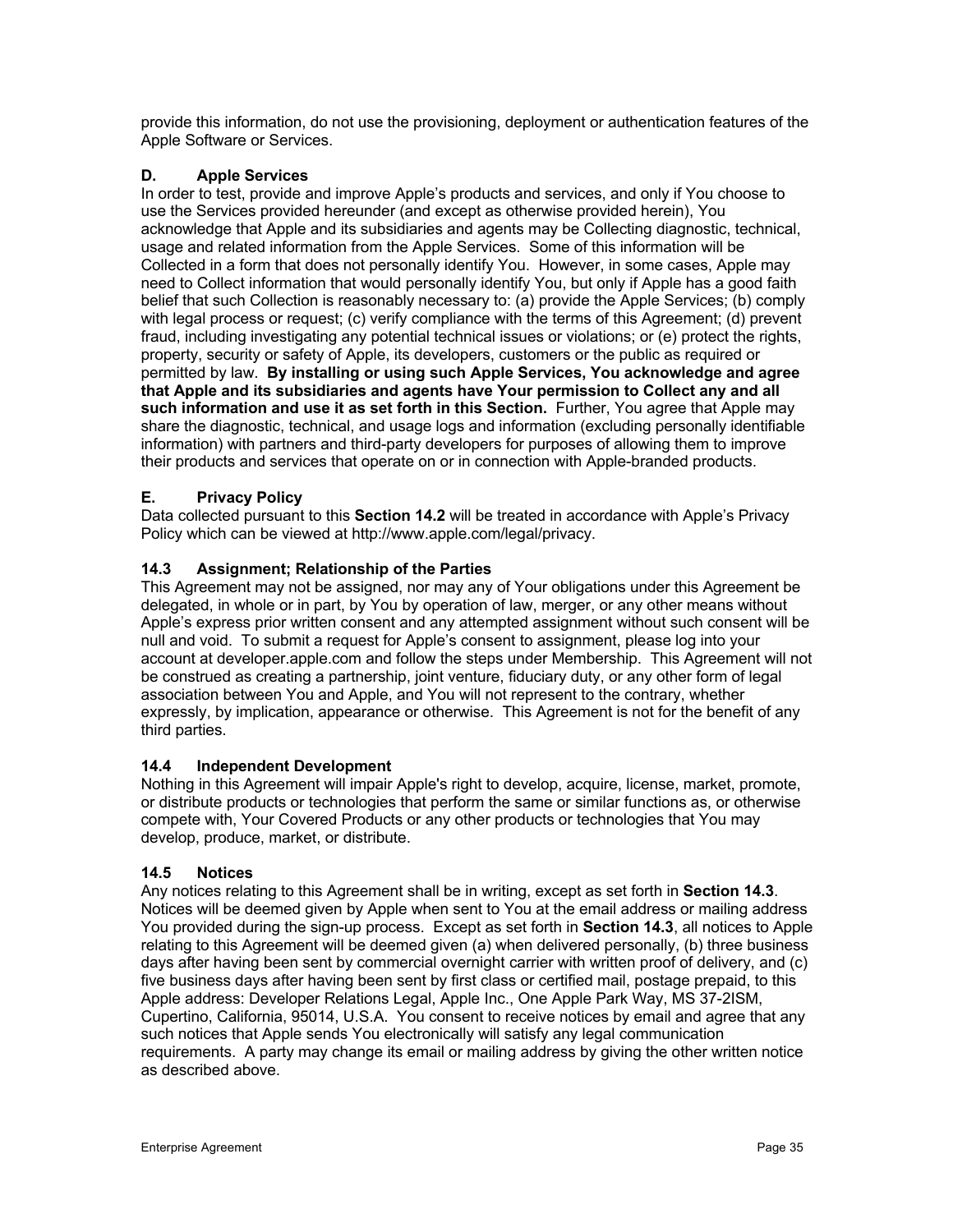provide this information, do not use the provisioning, deployment or authentication features of the Apple Software or Services.

# **D. Apple Services**

In order to test, provide and improve Apple's products and services, and only if You choose to use the Services provided hereunder (and except as otherwise provided herein), You acknowledge that Apple and its subsidiaries and agents may be Collecting diagnostic, technical, usage and related information from the Apple Services. Some of this information will be Collected in a form that does not personally identify You. However, in some cases, Apple may need to Collect information that would personally identify You, but only if Apple has a good faith belief that such Collection is reasonably necessary to: (a) provide the Apple Services; (b) comply with legal process or request; (c) verify compliance with the terms of this Agreement; (d) prevent fraud, including investigating any potential technical issues or violations; or (e) protect the rights, property, security or safety of Apple, its developers, customers or the public as required or permitted by law. **By installing or using such Apple Services, You acknowledge and agree that Apple and its subsidiaries and agents have Your permission to Collect any and all such information and use it as set forth in this Section.** Further, You agree that Apple may share the diagnostic, technical, and usage logs and information (excluding personally identifiable information) with partners and third-party developers for purposes of allowing them to improve their products and services that operate on or in connection with Apple-branded products.

# **E. Privacy Policy**

Data collected pursuant to this **Section 14.2** will be treated in accordance with Apple's Privacy Policy which can be viewed at http://www.apple.com/legal/privacy.

# **14.3 Assignment; Relationship of the Parties**

This Agreement may not be assigned, nor may any of Your obligations under this Agreement be delegated, in whole or in part, by You by operation of law, merger, or any other means without Apple's express prior written consent and any attempted assignment without such consent will be null and void. To submit a request for Apple's consent to assignment, please log into your account at developer.apple.com and follow the steps under Membership. This Agreement will not be construed as creating a partnership, joint venture, fiduciary duty, or any other form of legal association between You and Apple, and You will not represent to the contrary, whether expressly, by implication, appearance or otherwise. This Agreement is not for the benefit of any third parties.

# **14.4 Independent Development**

Nothing in this Agreement will impair Apple's right to develop, acquire, license, market, promote, or distribute products or technologies that perform the same or similar functions as, or otherwise compete with, Your Covered Products or any other products or technologies that You may develop, produce, market, or distribute.

# **14.5 Notices**

Any notices relating to this Agreement shall be in writing, except as set forth in **Section 14.3**. Notices will be deemed given by Apple when sent to You at the email address or mailing address You provided during the sign-up process. Except as set forth in **Section 14.3**, all notices to Apple relating to this Agreement will be deemed given (a) when delivered personally, (b) three business days after having been sent by commercial overnight carrier with written proof of delivery, and (c) five business days after having been sent by first class or certified mail, postage prepaid, to this Apple address: Developer Relations Legal, Apple Inc., One Apple Park Way, MS 37-2ISM, Cupertino, California, 95014, U.S.A. You consent to receive notices by email and agree that any such notices that Apple sends You electronically will satisfy any legal communication requirements. A party may change its email or mailing address by giving the other written notice as described above.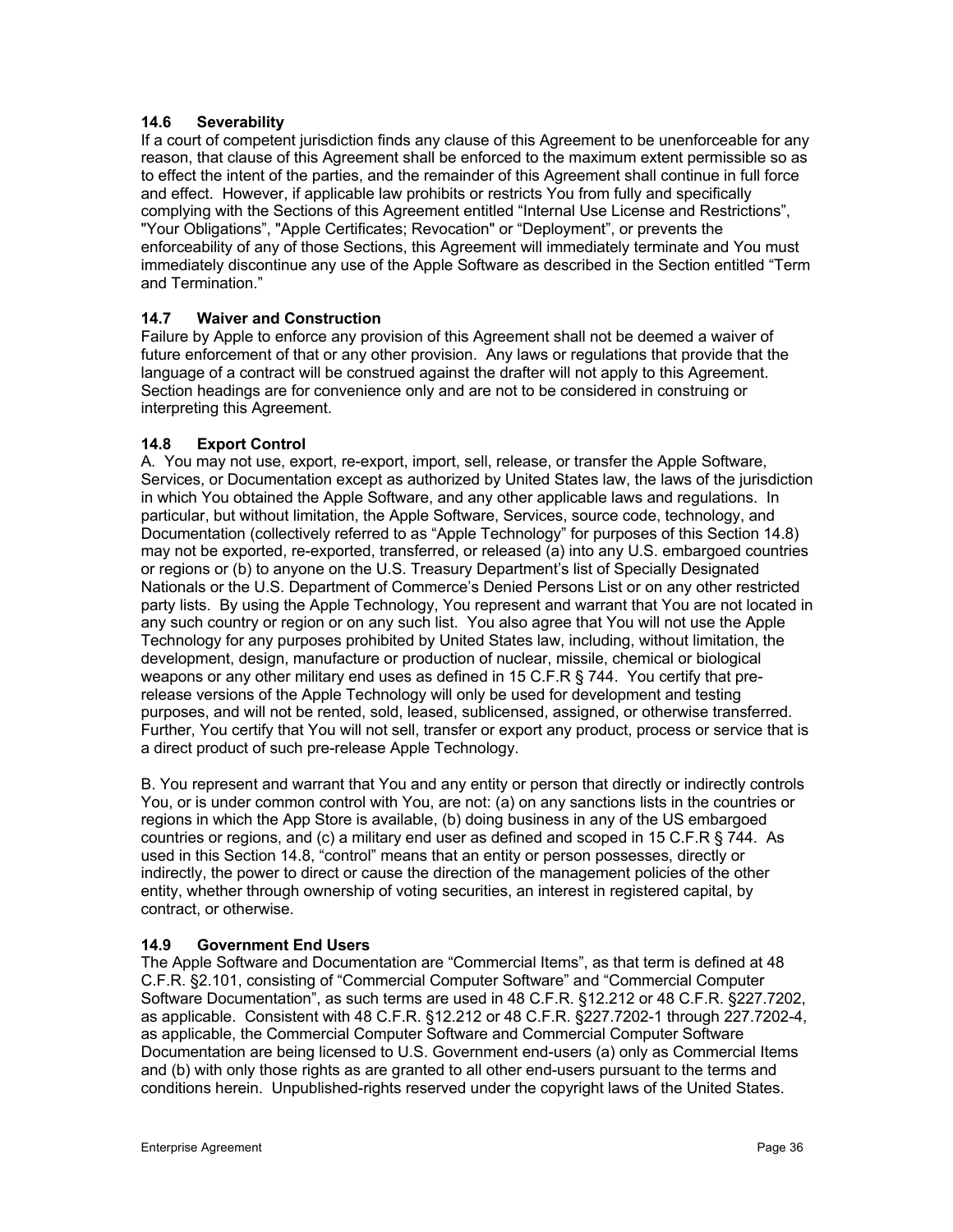### **14.6 Severability**

If a court of competent jurisdiction finds any clause of this Agreement to be unenforceable for any reason, that clause of this Agreement shall be enforced to the maximum extent permissible so as to effect the intent of the parties, and the remainder of this Agreement shall continue in full force and effect. However, if applicable law prohibits or restricts You from fully and specifically complying with the Sections of this Agreement entitled "Internal Use License and Restrictions", "Your Obligations", "Apple Certificates; Revocation" or "Deployment", or prevents the enforceability of any of those Sections, this Agreement will immediately terminate and You must immediately discontinue any use of the Apple Software as described in the Section entitled "Term and Termination."

# **14.7 Waiver and Construction**

Failure by Apple to enforce any provision of this Agreement shall not be deemed a waiver of future enforcement of that or any other provision. Any laws or regulations that provide that the language of a contract will be construed against the drafter will not apply to this Agreement. Section headings are for convenience only and are not to be considered in construing or interpreting this Agreement.

### **14.8 Export Control**

A. You may not use, export, re-export, import, sell, release, or transfer the Apple Software, Services, or Documentation except as authorized by United States law, the laws of the jurisdiction in which You obtained the Apple Software, and any other applicable laws and regulations. In particular, but without limitation, the Apple Software, Services, source code, technology, and Documentation (collectively referred to as "Apple Technology" for purposes of this Section 14.8) may not be exported, re-exported, transferred, or released (a) into any U.S. embargoed countries or regions or (b) to anyone on the U.S. Treasury Department's list of Specially Designated Nationals or the U.S. Department of Commerce's Denied Persons List or on any other restricted party lists. By using the Apple Technology, You represent and warrant that You are not located in any such country or region or on any such list. You also agree that You will not use the Apple Technology for any purposes prohibited by United States law, including, without limitation, the development, design, manufacture or production of nuclear, missile, chemical or biological weapons or any other military end uses as defined in 15 C.F.R § 744. You certify that prerelease versions of the Apple Technology will only be used for development and testing purposes, and will not be rented, sold, leased, sublicensed, assigned, or otherwise transferred. Further, You certify that You will not sell, transfer or export any product, process or service that is a direct product of such pre-release Apple Technology.

B. You represent and warrant that You and any entity or person that directly or indirectly controls You, or is under common control with You, are not: (a) on any sanctions lists in the countries or regions in which the App Store is available, (b) doing business in any of the US embargoed countries or regions, and (c) a military end user as defined and scoped in 15 C.F.R § 744. As used in this Section 14.8, "control" means that an entity or person possesses, directly or indirectly, the power to direct or cause the direction of the management policies of the other entity, whether through ownership of voting securities, an interest in registered capital, by contract, or otherwise.

### **14.9 Government End Users**

The Apple Software and Documentation are "Commercial Items", as that term is defined at 48 C.F.R. §2.101, consisting of "Commercial Computer Software" and "Commercial Computer Software Documentation", as such terms are used in 48 C.F.R. §12.212 or 48 C.F.R. §227.7202, as applicable. Consistent with 48 C.F.R. §12.212 or 48 C.F.R. §227.7202-1 through 227.7202-4, as applicable, the Commercial Computer Software and Commercial Computer Software Documentation are being licensed to U.S. Government end-users (a) only as Commercial Items and (b) with only those rights as are granted to all other end-users pursuant to the terms and conditions herein. Unpublished-rights reserved under the copyright laws of the United States.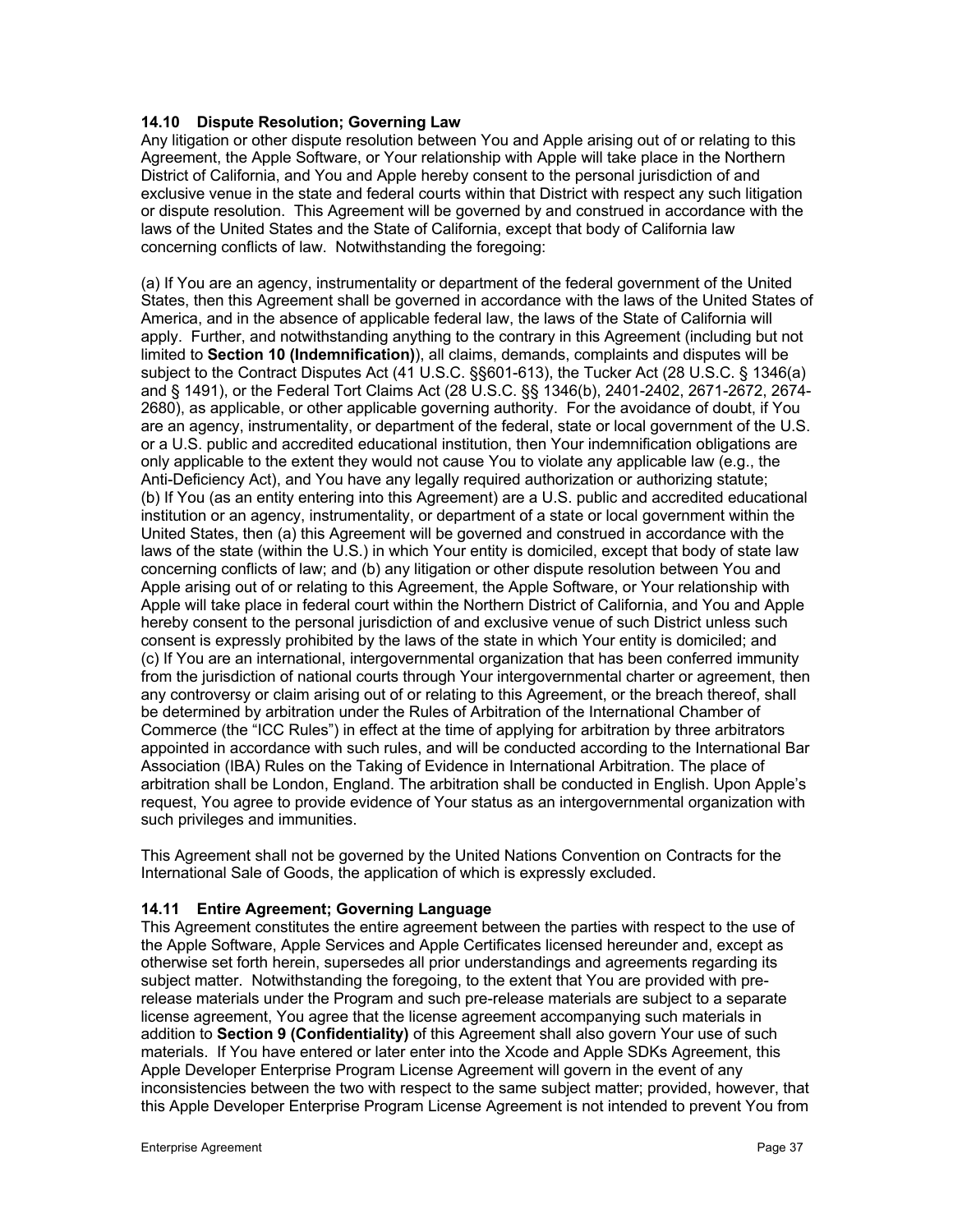### **14.10 Dispute Resolution; Governing Law**

Any litigation or other dispute resolution between You and Apple arising out of or relating to this Agreement, the Apple Software, or Your relationship with Apple will take place in the Northern District of California, and You and Apple hereby consent to the personal jurisdiction of and exclusive venue in the state and federal courts within that District with respect any such litigation or dispute resolution. This Agreement will be governed by and construed in accordance with the laws of the United States and the State of California, except that body of California law concerning conflicts of law. Notwithstanding the foregoing:

(a) If You are an agency, instrumentality or department of the federal government of the United States, then this Agreement shall be governed in accordance with the laws of the United States of America, and in the absence of applicable federal law, the laws of the State of California will apply. Further, and notwithstanding anything to the contrary in this Agreement (including but not limited to **Section 10 (Indemnification)**), all claims, demands, complaints and disputes will be subject to the Contract Disputes Act (41 U.S.C. §§601-613), the Tucker Act (28 U.S.C. § 1346(a) and § 1491), or the Federal Tort Claims Act (28 U.S.C. §§ 1346(b), 2401-2402, 2671-2672, 2674- 2680), as applicable, or other applicable governing authority. For the avoidance of doubt, if You are an agency, instrumentality, or department of the federal, state or local government of the U.S. or a U.S. public and accredited educational institution, then Your indemnification obligations are only applicable to the extent they would not cause You to violate any applicable law (e.g., the Anti-Deficiency Act), and You have any legally required authorization or authorizing statute; (b) If You (as an entity entering into this Agreement) are a U.S. public and accredited educational institution or an agency, instrumentality, or department of a state or local government within the United States, then (a) this Agreement will be governed and construed in accordance with the laws of the state (within the U.S.) in which Your entity is domiciled, except that body of state law concerning conflicts of law; and (b) any litigation or other dispute resolution between You and Apple arising out of or relating to this Agreement, the Apple Software, or Your relationship with Apple will take place in federal court within the Northern District of California, and You and Apple hereby consent to the personal jurisdiction of and exclusive venue of such District unless such consent is expressly prohibited by the laws of the state in which Your entity is domiciled; and (c) If You are an international, intergovernmental organization that has been conferred immunity from the jurisdiction of national courts through Your intergovernmental charter or agreement, then any controversy or claim arising out of or relating to this Agreement, or the breach thereof, shall be determined by arbitration under the Rules of Arbitration of the International Chamber of Commerce (the "ICC Rules") in effect at the time of applying for arbitration by three arbitrators appointed in accordance with such rules, and will be conducted according to the International Bar Association (IBA) Rules on the Taking of Evidence in International Arbitration. The place of arbitration shall be London, England. The arbitration shall be conducted in English. Upon Apple's request, You agree to provide evidence of Your status as an intergovernmental organization with such privileges and immunities.

This Agreement shall not be governed by the United Nations Convention on Contracts for the International Sale of Goods, the application of which is expressly excluded.

### **14.11 Entire Agreement; Governing Language**

This Agreement constitutes the entire agreement between the parties with respect to the use of the Apple Software, Apple Services and Apple Certificates licensed hereunder and, except as otherwise set forth herein, supersedes all prior understandings and agreements regarding its subject matter. Notwithstanding the foregoing, to the extent that You are provided with prerelease materials under the Program and such pre-release materials are subject to a separate license agreement, You agree that the license agreement accompanying such materials in addition to **Section 9 (Confidentiality)** of this Agreement shall also govern Your use of such materials. If You have entered or later enter into the Xcode and Apple SDKs Agreement, this Apple Developer Enterprise Program License Agreement will govern in the event of any inconsistencies between the two with respect to the same subject matter; provided, however, that this Apple Developer Enterprise Program License Agreement is not intended to prevent You from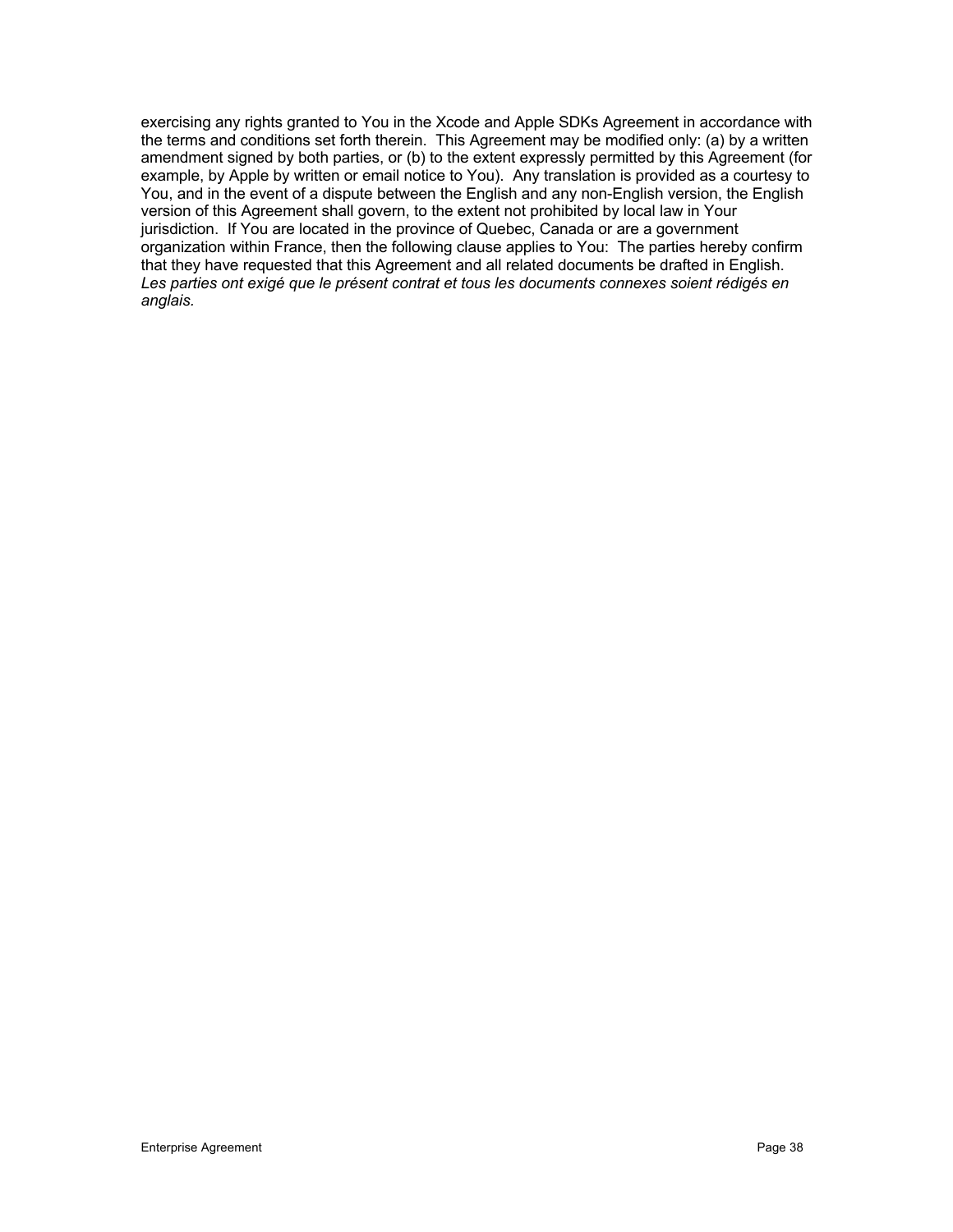exercising any rights granted to You in the Xcode and Apple SDKs Agreement in accordance with the terms and conditions set forth therein. This Agreement may be modified only: (a) by a written amendment signed by both parties, or (b) to the extent expressly permitted by this Agreement (for example, by Apple by written or email notice to You). Any translation is provided as a courtesy to You, and in the event of a dispute between the English and any non-English version, the English version of this Agreement shall govern, to the extent not prohibited by local law in Your jurisdiction. If You are located in the province of Quebec, Canada or are a government organization within France, then the following clause applies to You: The parties hereby confirm that they have requested that this Agreement and all related documents be drafted in English. *Les parties ont exigé que le présent contrat et tous les documents connexes soient rédigés en anglais.*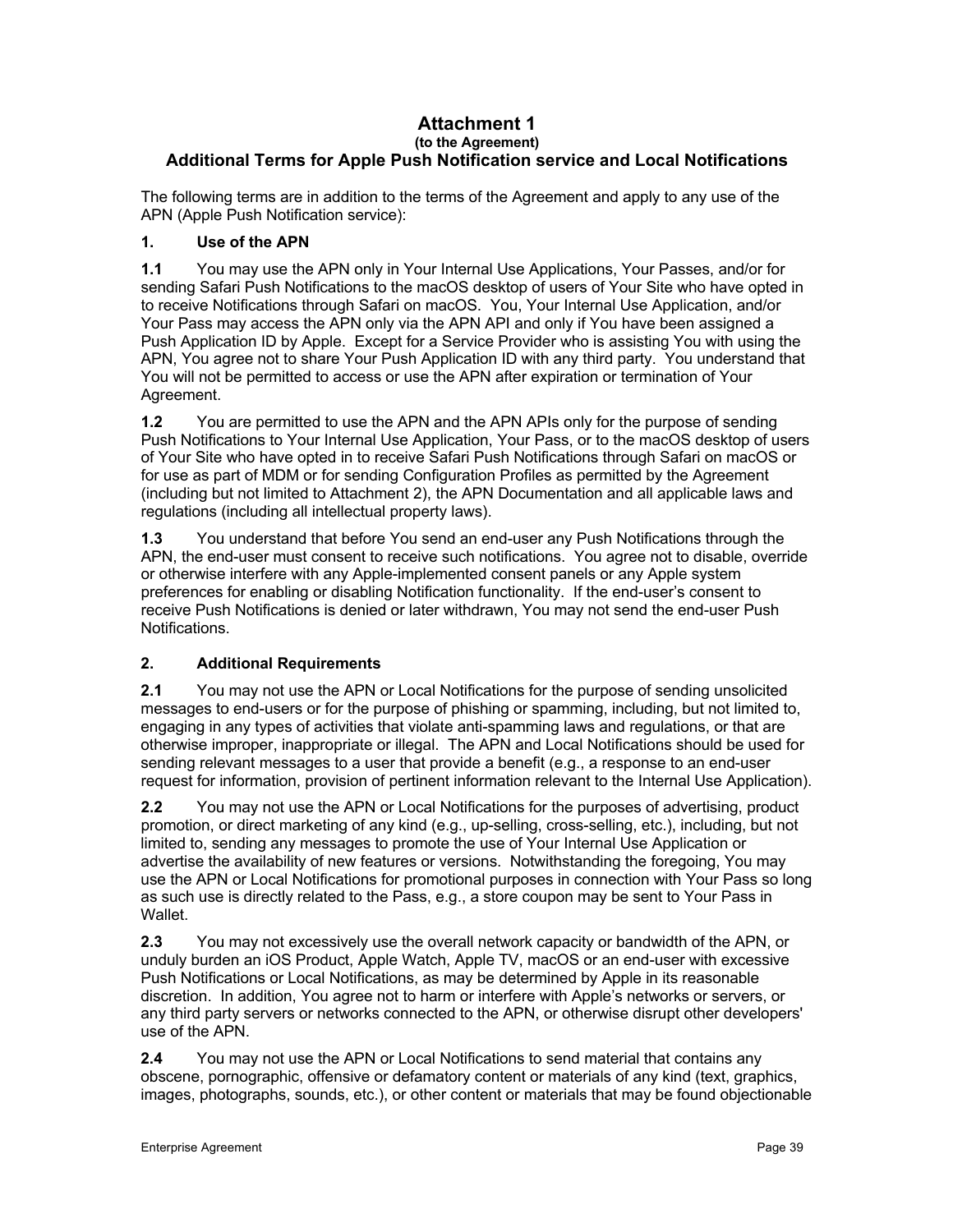### **Attachment 1 (to the Agreement) Additional Terms for Apple Push Notification service and Local Notifications**

The following terms are in addition to the terms of the Agreement and apply to any use of the APN (Apple Push Notification service):

# **1. Use of the APN**

**1.1** You may use the APN only in Your Internal Use Applications, Your Passes, and/or for sending Safari Push Notifications to the macOS desktop of users of Your Site who have opted in to receive Notifications through Safari on macOS. You, Your Internal Use Application, and/or Your Pass may access the APN only via the APN API and only if You have been assigned a Push Application ID by Apple. Except for a Service Provider who is assisting You with using the APN, You agree not to share Your Push Application ID with any third party. You understand that You will not be permitted to access or use the APN after expiration or termination of Your Agreement.

**1.2** You are permitted to use the APN and the APN APIs only for the purpose of sending Push Notifications to Your Internal Use Application, Your Pass, or to the macOS desktop of users of Your Site who have opted in to receive Safari Push Notifications through Safari on macOS or for use as part of MDM or for sending Configuration Profiles as permitted by the Agreement (including but not limited to Attachment 2), the APN Documentation and all applicable laws and regulations (including all intellectual property laws).

**1.3** You understand that before You send an end-user any Push Notifications through the APN, the end-user must consent to receive such notifications. You agree not to disable, override or otherwise interfere with any Apple-implemented consent panels or any Apple system preferences for enabling or disabling Notification functionality. If the end-user's consent to receive Push Notifications is denied or later withdrawn, You may not send the end-user Push Notifications.

# **2. Additional Requirements**

**2.1** You may not use the APN or Local Notifications for the purpose of sending unsolicited messages to end-users or for the purpose of phishing or spamming, including, but not limited to, engaging in any types of activities that violate anti-spamming laws and regulations, or that are otherwise improper, inappropriate or illegal. The APN and Local Notifications should be used for sending relevant messages to a user that provide a benefit (e.g., a response to an end-user request for information, provision of pertinent information relevant to the Internal Use Application).

**2.2** You may not use the APN or Local Notifications for the purposes of advertising, product promotion, or direct marketing of any kind (e.g., up-selling, cross-selling, etc.), including, but not limited to, sending any messages to promote the use of Your Internal Use Application or advertise the availability of new features or versions. Notwithstanding the foregoing, You may use the APN or Local Notifications for promotional purposes in connection with Your Pass so long as such use is directly related to the Pass, e.g., a store coupon may be sent to Your Pass in Wallet.

**2.3** You may not excessively use the overall network capacity or bandwidth of the APN, or unduly burden an iOS Product, Apple Watch, Apple TV, macOS or an end-user with excessive Push Notifications or Local Notifications, as may be determined by Apple in its reasonable discretion. In addition, You agree not to harm or interfere with Apple's networks or servers, or any third party servers or networks connected to the APN, or otherwise disrupt other developers' use of the APN.

**2.4** You may not use the APN or Local Notifications to send material that contains any obscene, pornographic, offensive or defamatory content or materials of any kind (text, graphics, images, photographs, sounds, etc.), or other content or materials that may be found objectionable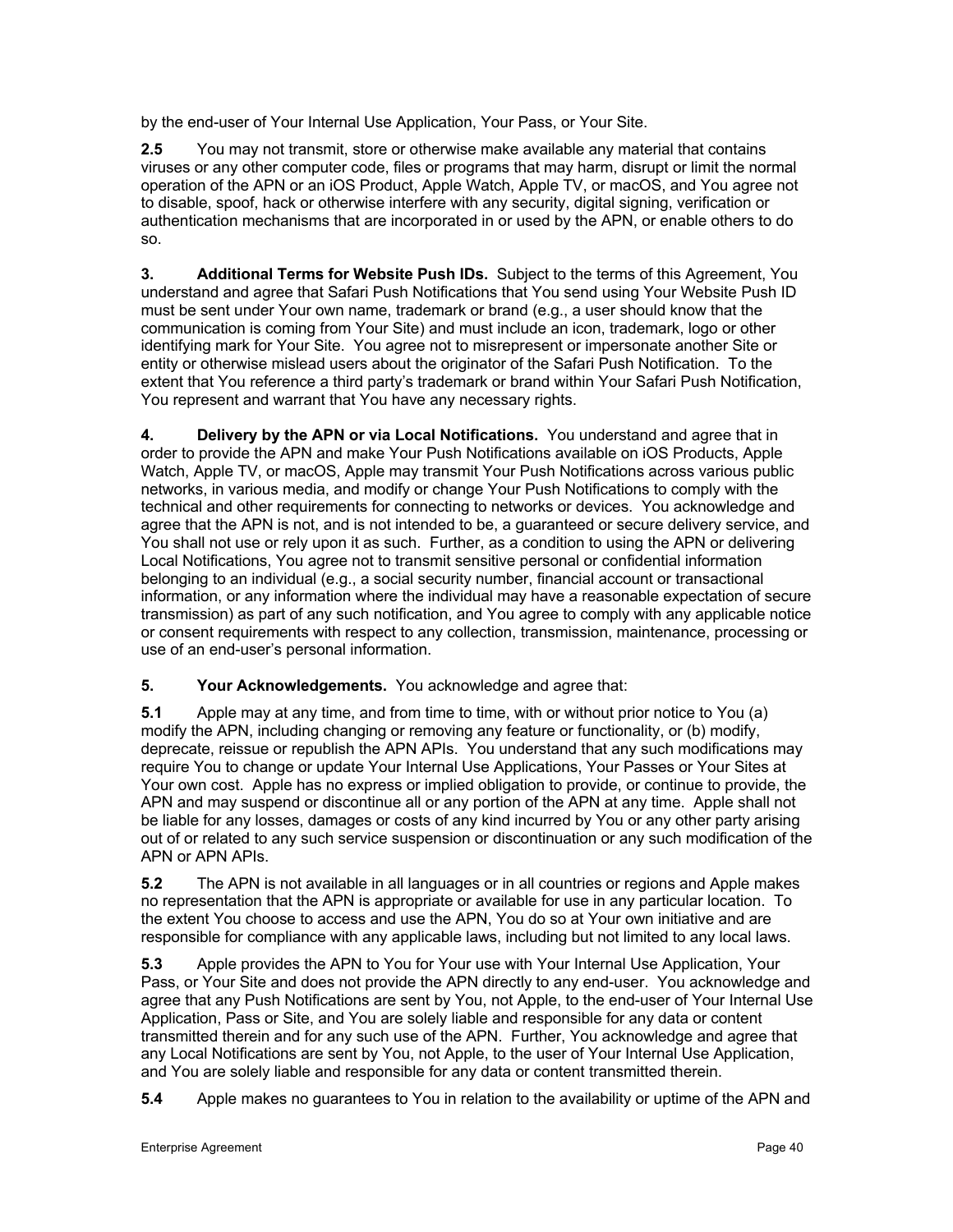by the end-user of Your Internal Use Application, Your Pass, or Your Site.

**2.5** You may not transmit, store or otherwise make available any material that contains viruses or any other computer code, files or programs that may harm, disrupt or limit the normal operation of the APN or an iOS Product, Apple Watch, Apple TV, or macOS, and You agree not to disable, spoof, hack or otherwise interfere with any security, digital signing, verification or authentication mechanisms that are incorporated in or used by the APN, or enable others to do so.

**3. Additional Terms for Website Push IDs.** Subject to the terms of this Agreement, You understand and agree that Safari Push Notifications that You send using Your Website Push ID must be sent under Your own name, trademark or brand (e.g., a user should know that the communication is coming from Your Site) and must include an icon, trademark, logo or other identifying mark for Your Site. You agree not to misrepresent or impersonate another Site or entity or otherwise mislead users about the originator of the Safari Push Notification. To the extent that You reference a third party's trademark or brand within Your Safari Push Notification, You represent and warrant that You have any necessary rights.

**4. Delivery by the APN or via Local Notifications.** You understand and agree that in order to provide the APN and make Your Push Notifications available on iOS Products, Apple Watch, Apple TV, or macOS, Apple may transmit Your Push Notifications across various public networks, in various media, and modify or change Your Push Notifications to comply with the technical and other requirements for connecting to networks or devices. You acknowledge and agree that the APN is not, and is not intended to be, a guaranteed or secure delivery service, and You shall not use or rely upon it as such. Further, as a condition to using the APN or delivering Local Notifications, You agree not to transmit sensitive personal or confidential information belonging to an individual (e.g., a social security number, financial account or transactional information, or any information where the individual may have a reasonable expectation of secure transmission) as part of any such notification, and You agree to comply with any applicable notice or consent requirements with respect to any collection, transmission, maintenance, processing or use of an end-user's personal information.

**5. Your Acknowledgements.** You acknowledge and agree that:

**5.1** Apple may at any time, and from time to time, with or without prior notice to You (a) modify the APN, including changing or removing any feature or functionality, or (b) modify, deprecate, reissue or republish the APN APIs. You understand that any such modifications may require You to change or update Your Internal Use Applications, Your Passes or Your Sites at Your own cost. Apple has no express or implied obligation to provide, or continue to provide, the APN and may suspend or discontinue all or any portion of the APN at any time. Apple shall not be liable for any losses, damages or costs of any kind incurred by You or any other party arising out of or related to any such service suspension or discontinuation or any such modification of the APN or APN APIs.

**5.2** The APN is not available in all languages or in all countries or regions and Apple makes no representation that the APN is appropriate or available for use in any particular location. To the extent You choose to access and use the APN, You do so at Your own initiative and are responsible for compliance with any applicable laws, including but not limited to any local laws.

**5.3** Apple provides the APN to You for Your use with Your Internal Use Application, Your Pass, or Your Site and does not provide the APN directly to any end-user. You acknowledge and agree that any Push Notifications are sent by You, not Apple, to the end-user of Your Internal Use Application, Pass or Site, and You are solely liable and responsible for any data or content transmitted therein and for any such use of the APN. Further, You acknowledge and agree that any Local Notifications are sent by You, not Apple, to the user of Your Internal Use Application, and You are solely liable and responsible for any data or content transmitted therein.

**5.4** Apple makes no guarantees to You in relation to the availability or uptime of the APN and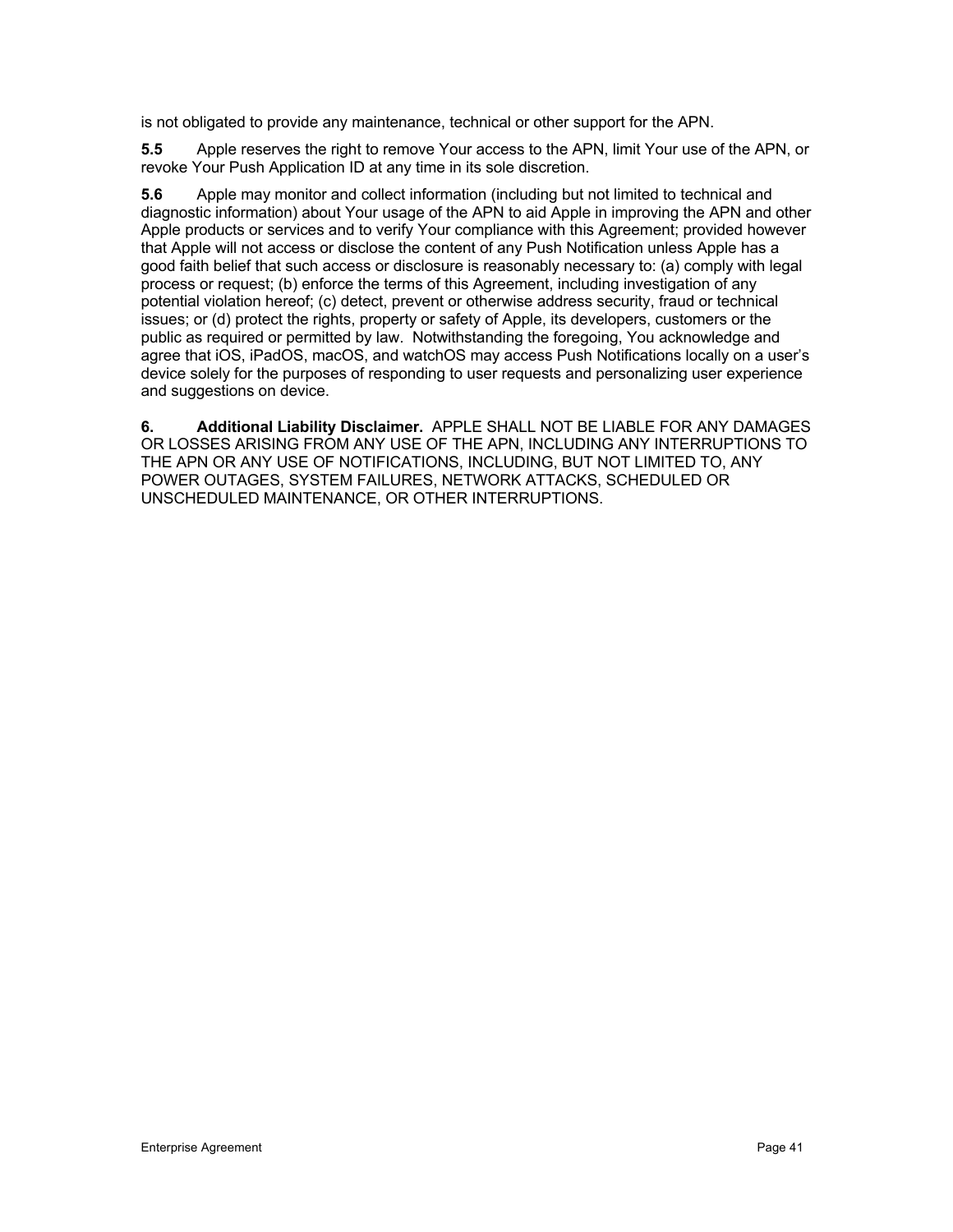is not obligated to provide any maintenance, technical or other support for the APN.

**5.5** Apple reserves the right to remove Your access to the APN, limit Your use of the APN, or revoke Your Push Application ID at any time in its sole discretion.

**5.6** Apple may monitor and collect information (including but not limited to technical and diagnostic information) about Your usage of the APN to aid Apple in improving the APN and other Apple products or services and to verify Your compliance with this Agreement; provided however that Apple will not access or disclose the content of any Push Notification unless Apple has a good faith belief that such access or disclosure is reasonably necessary to: (a) comply with legal process or request; (b) enforce the terms of this Agreement, including investigation of any potential violation hereof; (c) detect, prevent or otherwise address security, fraud or technical issues; or (d) protect the rights, property or safety of Apple, its developers, customers or the public as required or permitted by law. Notwithstanding the foregoing, You acknowledge and agree that iOS, iPadOS, macOS, and watchOS may access Push Notifications locally on a user's device solely for the purposes of responding to user requests and personalizing user experience and suggestions on device.

**6. Additional Liability Disclaimer.** APPLE SHALL NOT BE LIABLE FOR ANY DAMAGES OR LOSSES ARISING FROM ANY USE OF THE APN, INCLUDING ANY INTERRUPTIONS TO THE APN OR ANY USE OF NOTIFICATIONS, INCLUDING, BUT NOT LIMITED TO, ANY POWER OUTAGES, SYSTEM FAILURES, NETWORK ATTACKS, SCHEDULED OR UNSCHEDULED MAINTENANCE, OR OTHER INTERRUPTIONS.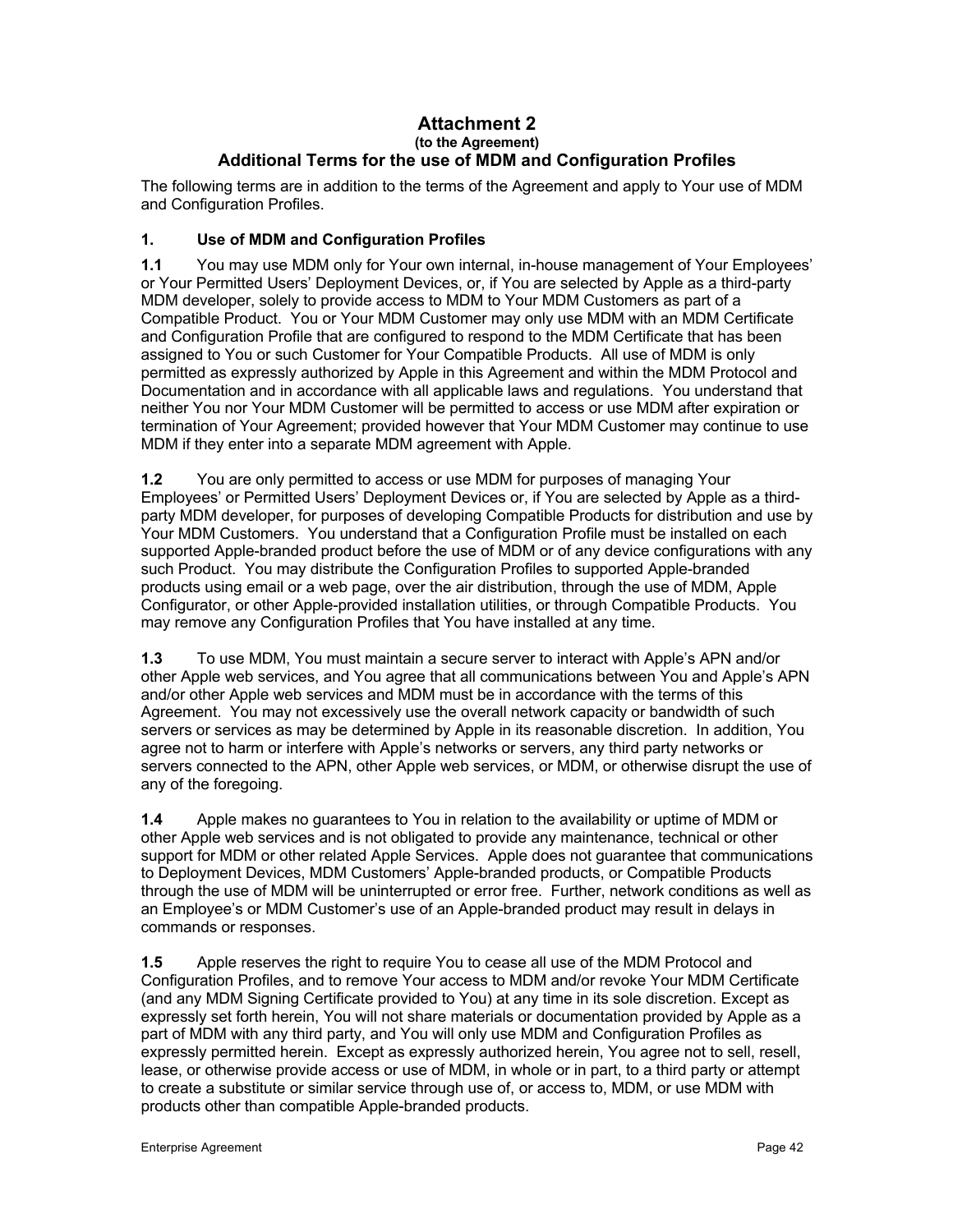### **Attachment 2 (to the Agreement) Additional Terms for the use of MDM and Configuration Profiles**

The following terms are in addition to the terms of the Agreement and apply to Your use of MDM and Configuration Profiles.

# **1. Use of MDM and Configuration Profiles**

**1.1** You may use MDM only for Your own internal, in-house management of Your Employees' or Your Permitted Users' Deployment Devices, or, if You are selected by Apple as a third-party MDM developer, solely to provide access to MDM to Your MDM Customers as part of a Compatible Product. You or Your MDM Customer may only use MDM with an MDM Certificate and Configuration Profile that are configured to respond to the MDM Certificate that has been assigned to You or such Customer for Your Compatible Products. All use of MDM is only permitted as expressly authorized by Apple in this Agreement and within the MDM Protocol and Documentation and in accordance with all applicable laws and regulations. You understand that neither You nor Your MDM Customer will be permitted to access or use MDM after expiration or termination of Your Agreement; provided however that Your MDM Customer may continue to use MDM if they enter into a separate MDM agreement with Apple.

**1.2** You are only permitted to access or use MDM for purposes of managing Your Employees' or Permitted Users' Deployment Devices or, if You are selected by Apple as a thirdparty MDM developer, for purposes of developing Compatible Products for distribution and use by Your MDM Customers. You understand that a Configuration Profile must be installed on each supported Apple-branded product before the use of MDM or of any device configurations with any such Product. You may distribute the Configuration Profiles to supported Apple-branded products using email or a web page, over the air distribution, through the use of MDM, Apple Configurator, or other Apple-provided installation utilities, or through Compatible Products. You may remove any Configuration Profiles that You have installed at any time.

**1.3** To use MDM, You must maintain a secure server to interact with Apple's APN and/or other Apple web services, and You agree that all communications between You and Apple's APN and/or other Apple web services and MDM must be in accordance with the terms of this Agreement. You may not excessively use the overall network capacity or bandwidth of such servers or services as may be determined by Apple in its reasonable discretion. In addition, You agree not to harm or interfere with Apple's networks or servers, any third party networks or servers connected to the APN, other Apple web services, or MDM, or otherwise disrupt the use of any of the foregoing.

**1.4** Apple makes no guarantees to You in relation to the availability or uptime of MDM or other Apple web services and is not obligated to provide any maintenance, technical or other support for MDM or other related Apple Services. Apple does not guarantee that communications to Deployment Devices, MDM Customers' Apple-branded products, or Compatible Products through the use of MDM will be uninterrupted or error free. Further, network conditions as well as an Employee's or MDM Customer's use of an Apple-branded product may result in delays in commands or responses.

**1.5** Apple reserves the right to require You to cease all use of the MDM Protocol and Configuration Profiles, and to remove Your access to MDM and/or revoke Your MDM Certificate (and any MDM Signing Certificate provided to You) at any time in its sole discretion. Except as expressly set forth herein, You will not share materials or documentation provided by Apple as a part of MDM with any third party, and You will only use MDM and Configuration Profiles as expressly permitted herein. Except as expressly authorized herein, You agree not to sell, resell, lease, or otherwise provide access or use of MDM, in whole or in part, to a third party or attempt to create a substitute or similar service through use of, or access to, MDM, or use MDM with products other than compatible Apple-branded products.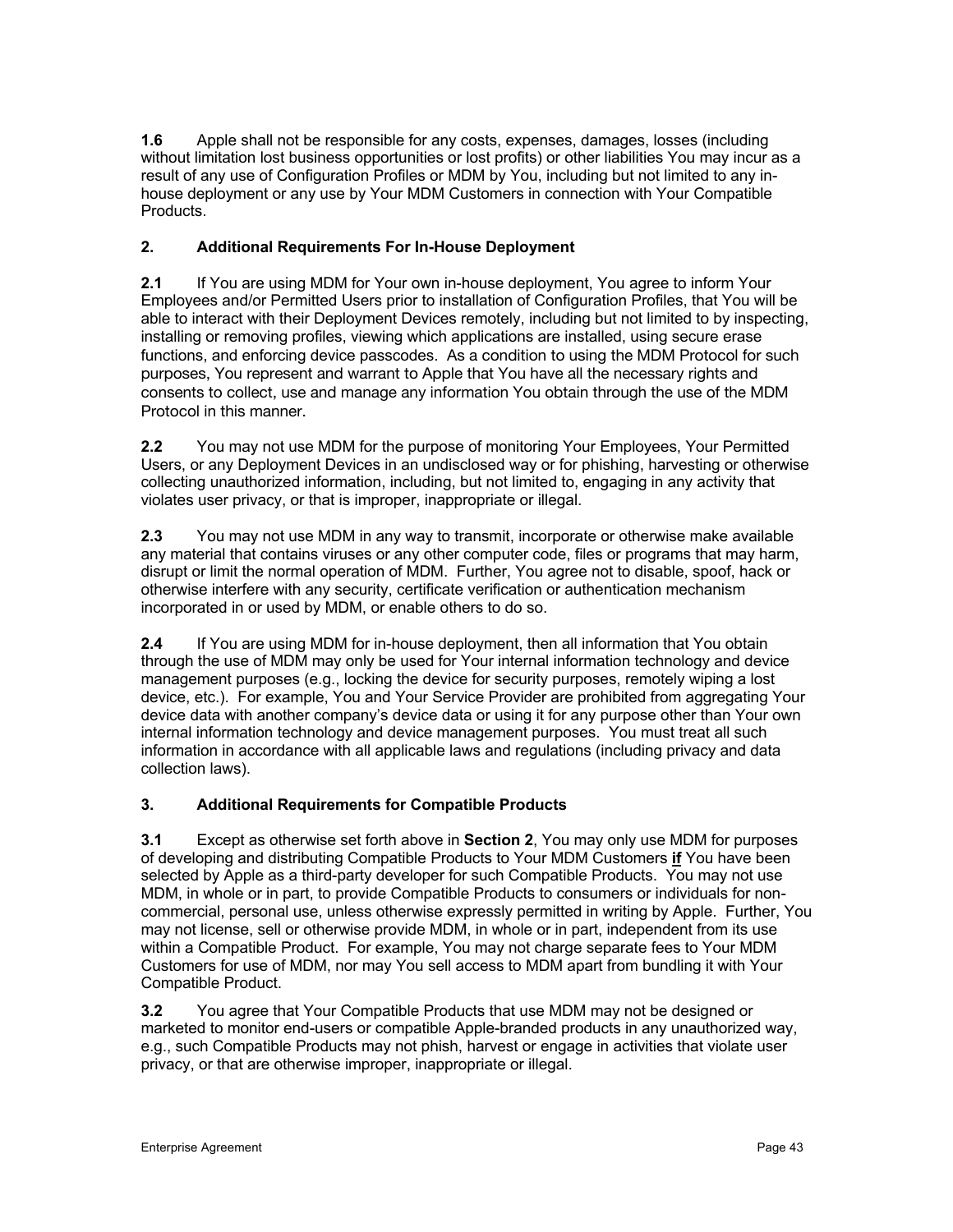**1.6** Apple shall not be responsible for any costs, expenses, damages, losses (including without limitation lost business opportunities or lost profits) or other liabilities You may incur as a result of any use of Configuration Profiles or MDM by You, including but not limited to any inhouse deployment or any use by Your MDM Customers in connection with Your Compatible Products.

# **2. Additional Requirements For In-House Deployment**

**2.1** If You are using MDM for Your own in-house deployment, You agree to inform Your Employees and/or Permitted Users prior to installation of Configuration Profiles, that You will be able to interact with their Deployment Devices remotely, including but not limited to by inspecting, installing or removing profiles, viewing which applications are installed, using secure erase functions, and enforcing device passcodes. As a condition to using the MDM Protocol for such purposes, You represent and warrant to Apple that You have all the necessary rights and consents to collect, use and manage any information You obtain through the use of the MDM Protocol in this manner.

**2.2** You may not use MDM for the purpose of monitoring Your Employees, Your Permitted Users, or any Deployment Devices in an undisclosed way or for phishing, harvesting or otherwise collecting unauthorized information, including, but not limited to, engaging in any activity that violates user privacy, or that is improper, inappropriate or illegal.

**2.3** You may not use MDM in any way to transmit, incorporate or otherwise make available any material that contains viruses or any other computer code, files or programs that may harm, disrupt or limit the normal operation of MDM. Further, You agree not to disable, spoof, hack or otherwise interfere with any security, certificate verification or authentication mechanism incorporated in or used by MDM, or enable others to do so.

**2.4** If You are using MDM for in-house deployment, then all information that You obtain through the use of MDM may only be used for Your internal information technology and device management purposes (e.g., locking the device for security purposes, remotely wiping a lost device, etc.). For example, You and Your Service Provider are prohibited from aggregating Your device data with another company's device data or using it for any purpose other than Your own internal information technology and device management purposes. You must treat all such information in accordance with all applicable laws and regulations (including privacy and data collection laws).

# **3. Additional Requirements for Compatible Products**

**3.1** Except as otherwise set forth above in **Section 2**, You may only use MDM for purposes of developing and distributing Compatible Products to Your MDM Customers **if** You have been selected by Apple as a third-party developer for such Compatible Products. You may not use MDM, in whole or in part, to provide Compatible Products to consumers or individuals for noncommercial, personal use, unless otherwise expressly permitted in writing by Apple. Further, You may not license, sell or otherwise provide MDM, in whole or in part, independent from its use within a Compatible Product. For example, You may not charge separate fees to Your MDM Customers for use of MDM, nor may You sell access to MDM apart from bundling it with Your Compatible Product.

**3.2** You agree that Your Compatible Products that use MDM may not be designed or marketed to monitor end-users or compatible Apple-branded products in any unauthorized way, e.g., such Compatible Products may not phish, harvest or engage in activities that violate user privacy, or that are otherwise improper, inappropriate or illegal.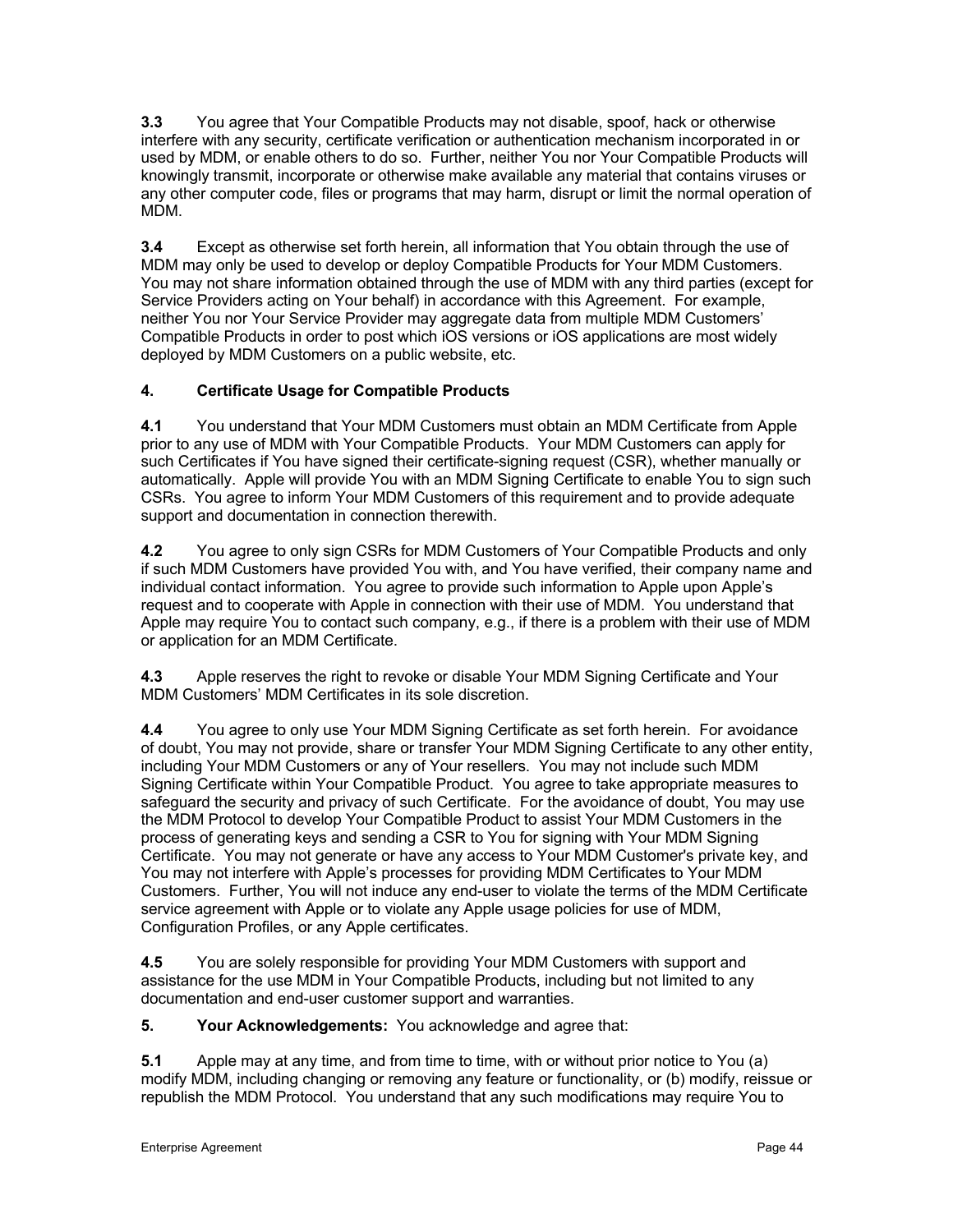**3.3** You agree that Your Compatible Products may not disable, spoof, hack or otherwise interfere with any security, certificate verification or authentication mechanism incorporated in or used by MDM, or enable others to do so. Further, neither You nor Your Compatible Products will knowingly transmit, incorporate or otherwise make available any material that contains viruses or any other computer code, files or programs that may harm, disrupt or limit the normal operation of MDM.

**3.4** Except as otherwise set forth herein, all information that You obtain through the use of MDM may only be used to develop or deploy Compatible Products for Your MDM Customers. You may not share information obtained through the use of MDM with any third parties (except for Service Providers acting on Your behalf) in accordance with this Agreement. For example, neither You nor Your Service Provider may aggregate data from multiple MDM Customers' Compatible Products in order to post which iOS versions or iOS applications are most widely deployed by MDM Customers on a public website, etc.

# **4. Certificate Usage for Compatible Products**

**4.1** You understand that Your MDM Customers must obtain an MDM Certificate from Apple prior to any use of MDM with Your Compatible Products. Your MDM Customers can apply for such Certificates if You have signed their certificate-signing request (CSR), whether manually or automatically. Apple will provide You with an MDM Signing Certificate to enable You to sign such CSRs. You agree to inform Your MDM Customers of this requirement and to provide adequate support and documentation in connection therewith.

**4.2** You agree to only sign CSRs for MDM Customers of Your Compatible Products and only if such MDM Customers have provided You with, and You have verified, their company name and individual contact information. You agree to provide such information to Apple upon Apple's request and to cooperate with Apple in connection with their use of MDM. You understand that Apple may require You to contact such company, e.g., if there is a problem with their use of MDM or application for an MDM Certificate.

**4.3** Apple reserves the right to revoke or disable Your MDM Signing Certificate and Your MDM Customers' MDM Certificates in its sole discretion.

**4.4** You agree to only use Your MDM Signing Certificate as set forth herein. For avoidance of doubt, You may not provide, share or transfer Your MDM Signing Certificate to any other entity, including Your MDM Customers or any of Your resellers. You may not include such MDM Signing Certificate within Your Compatible Product. You agree to take appropriate measures to safeguard the security and privacy of such Certificate. For the avoidance of doubt, You may use the MDM Protocol to develop Your Compatible Product to assist Your MDM Customers in the process of generating keys and sending a CSR to You for signing with Your MDM Signing Certificate. You may not generate or have any access to Your MDM Customer's private key, and You may not interfere with Apple's processes for providing MDM Certificates to Your MDM Customers. Further, You will not induce any end-user to violate the terms of the MDM Certificate service agreement with Apple or to violate any Apple usage policies for use of MDM, Configuration Profiles, or any Apple certificates.

**4.5** You are solely responsible for providing Your MDM Customers with support and assistance for the use MDM in Your Compatible Products, including but not limited to any documentation and end-user customer support and warranties.

**5. Your Acknowledgements:** You acknowledge and agree that:

**5.1** Apple may at any time, and from time to time, with or without prior notice to You (a) modify MDM, including changing or removing any feature or functionality, or (b) modify, reissue or republish the MDM Protocol. You understand that any such modifications may require You to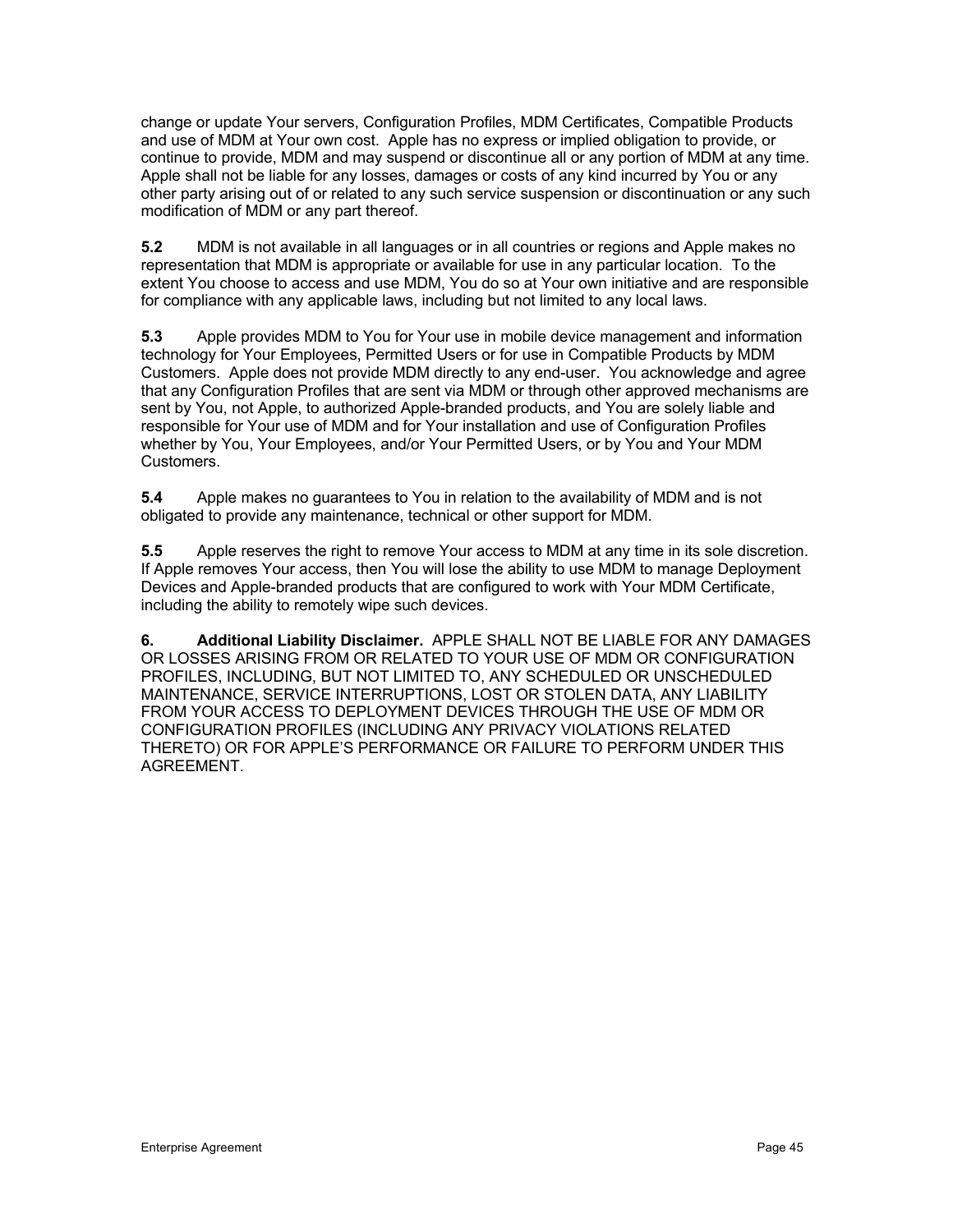change or update Your servers, Configuration Profiles, MDM Certificates, Compatible Products and use of MDM at Your own cost. Apple has no express or implied obligation to provide, or continue to provide, MDM and may suspend or discontinue all or any portion of MDM at any time. Apple shall not be liable for any losses, damages or costs of any kind incurred by You or any other party arising out of or related to any such service suspension or discontinuation or any such modification of MDM or any part thereof.

**5.2** MDM is not available in all languages or in all countries or regions and Apple makes no representation that MDM is appropriate or available for use in any particular location. To the extent You choose to access and use MDM, You do so at Your own initiative and are responsible for compliance with any applicable laws, including but not limited to any local laws.

**5.3** Apple provides MDM to You for Your use in mobile device management and information technology for Your Employees, Permitted Users or for use in Compatible Products by MDM Customers. Apple does not provide MDM directly to any end-user. You acknowledge and agree that any Configuration Profiles that are sent via MDM or through other approved mechanisms are sent by You, not Apple, to authorized Apple-branded products, and You are solely liable and responsible for Your use of MDM and for Your installation and use of Configuration Profiles whether by You, Your Employees, and/or Your Permitted Users, or by You and Your MDM Customers.

**5.4** Apple makes no guarantees to You in relation to the availability of MDM and is not obligated to provide any maintenance, technical or other support for MDM.

**5.5** Apple reserves the right to remove Your access to MDM at any time in its sole discretion. If Apple removes Your access, then You will lose the ability to use MDM to manage Deployment Devices and Apple-branded products that are configured to work with Your MDM Certificate, including the ability to remotely wipe such devices.

**6. Additional Liability Disclaimer.** APPLE SHALL NOT BE LIABLE FOR ANY DAMAGES OR LOSSES ARISING FROM OR RELATED TO YOUR USE OF MDM OR CONFIGURATION PROFILES, INCLUDING, BUT NOT LIMITED TO, ANY SCHEDULED OR UNSCHEDULED MAINTENANCE, SERVICE INTERRUPTIONS, LOST OR STOLEN DATA, ANY LIABILITY FROM YOUR ACCESS TO DEPLOYMENT DEVICES THROUGH THE USE OF MDM OR CONFIGURATION PROFILES (INCLUDING ANY PRIVACY VIOLATIONS RELATED THERETO) OR FOR APPLE'S PERFORMANCE OR FAILURE TO PERFORM UNDER THIS AGREEMENT.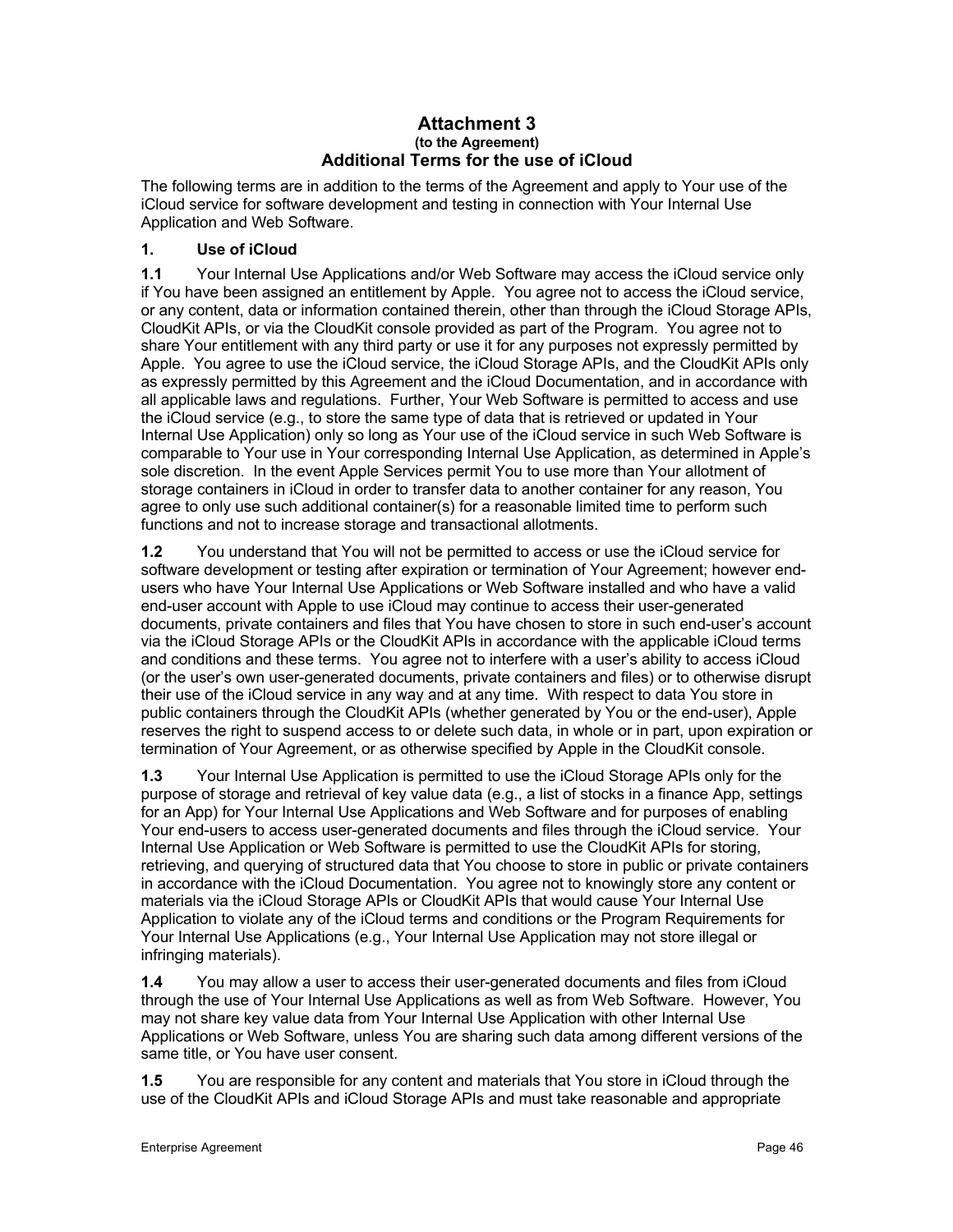### **Attachment 3 (to the Agreement) Additional Terms for the use of iCloud**

The following terms are in addition to the terms of the Agreement and apply to Your use of the iCloud service for software development and testing in connection with Your Internal Use Application and Web Software.

# **1. Use of iCloud**

**1.1** Your Internal Use Applications and/or Web Software may access the iCloud service only if You have been assigned an entitlement by Apple. You agree not to access the iCloud service, or any content, data or information contained therein, other than through the iCloud Storage APIs, CloudKit APIs, or via the CloudKit console provided as part of the Program. You agree not to share Your entitlement with any third party or use it for any purposes not expressly permitted by Apple. You agree to use the iCloud service, the iCloud Storage APIs, and the CloudKit APIs only as expressly permitted by this Agreement and the iCloud Documentation, and in accordance with all applicable laws and regulations. Further, Your Web Software is permitted to access and use the iCloud service (e.g., to store the same type of data that is retrieved or updated in Your Internal Use Application) only so long as Your use of the iCloud service in such Web Software is comparable to Your use in Your corresponding Internal Use Application, as determined in Apple's sole discretion. In the event Apple Services permit You to use more than Your allotment of storage containers in iCloud in order to transfer data to another container for any reason, You agree to only use such additional container(s) for a reasonable limited time to perform such functions and not to increase storage and transactional allotments.

**1.2** You understand that You will not be permitted to access or use the iCloud service for software development or testing after expiration or termination of Your Agreement; however endusers who have Your Internal Use Applications or Web Software installed and who have a valid end-user account with Apple to use iCloud may continue to access their user-generated documents, private containers and files that You have chosen to store in such end-user's account via the iCloud Storage APIs or the CloudKit APIs in accordance with the applicable iCloud terms and conditions and these terms. You agree not to interfere with a user's ability to access iCloud (or the user's own user-generated documents, private containers and files) or to otherwise disrupt their use of the iCloud service in any way and at any time. With respect to data You store in public containers through the CloudKit APIs (whether generated by You or the end-user), Apple reserves the right to suspend access to or delete such data, in whole or in part, upon expiration or termination of Your Agreement, or as otherwise specified by Apple in the CloudKit console.

**1.3** Your Internal Use Application is permitted to use the iCloud Storage APIs only for the purpose of storage and retrieval of key value data (e.g., a list of stocks in a finance App, settings for an App) for Your Internal Use Applications and Web Software and for purposes of enabling Your end-users to access user-generated documents and files through the iCloud service. Your Internal Use Application or Web Software is permitted to use the CloudKit APIs for storing, retrieving, and querying of structured data that You choose to store in public or private containers in accordance with the iCloud Documentation. You agree not to knowingly store any content or materials via the iCloud Storage APIs or CloudKit APIs that would cause Your Internal Use Application to violate any of the iCloud terms and conditions or the Program Requirements for Your Internal Use Applications (e.g., Your Internal Use Application may not store illegal or infringing materials).

**1.4** You may allow a user to access their user-generated documents and files from iCloud through the use of Your Internal Use Applications as well as from Web Software. However, You may not share key value data from Your Internal Use Application with other Internal Use Applications or Web Software, unless You are sharing such data among different versions of the same title, or You have user consent.

**1.5** You are responsible for any content and materials that You store in iCloud through the use of the CloudKit APIs and iCloud Storage APIs and must take reasonable and appropriate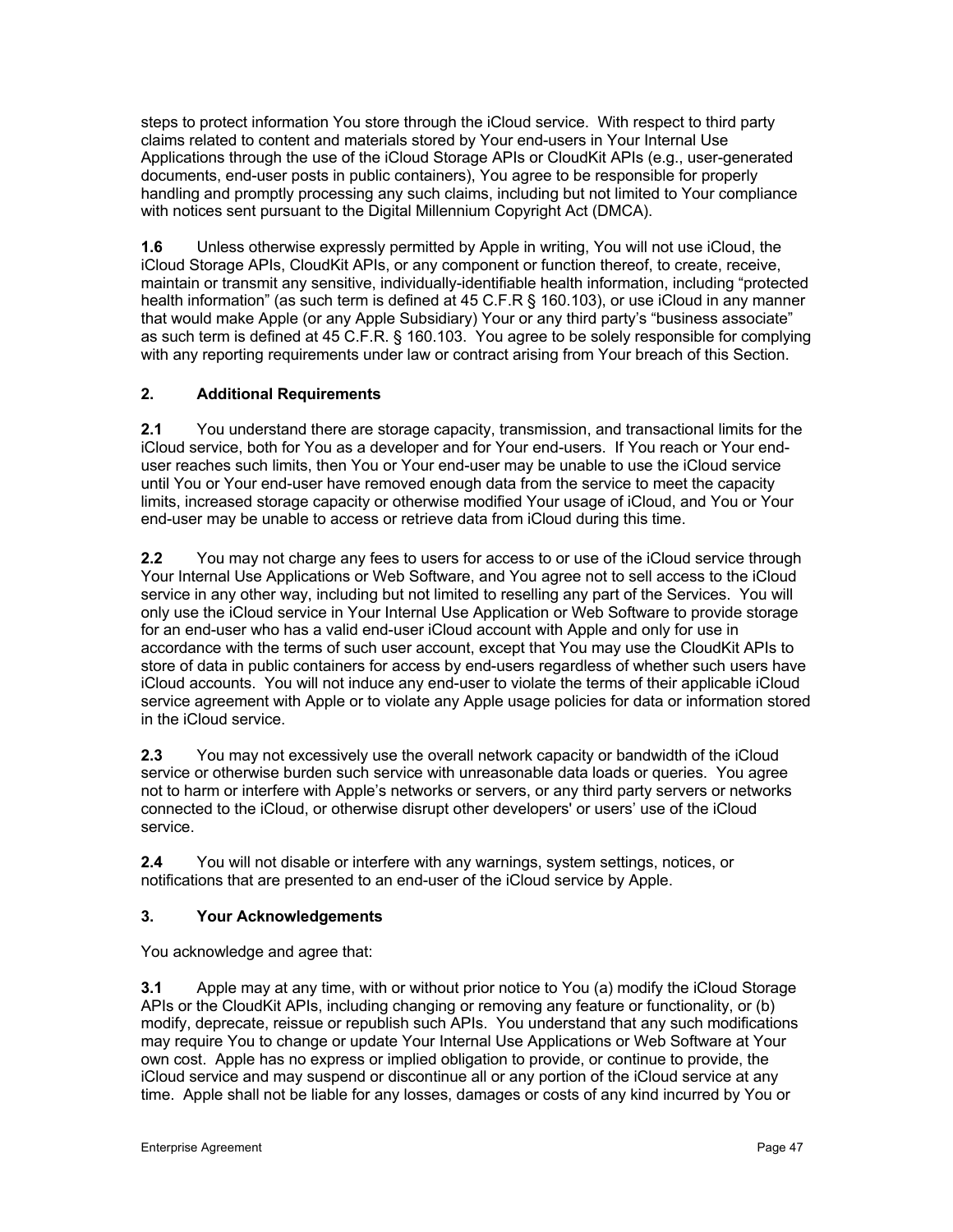steps to protect information You store through the iCloud service. With respect to third party claims related to content and materials stored by Your end-users in Your Internal Use Applications through the use of the iCloud Storage APIs or CloudKit APIs (e.g., user-generated documents, end-user posts in public containers), You agree to be responsible for properly handling and promptly processing any such claims, including but not limited to Your compliance with notices sent pursuant to the Digital Millennium Copyright Act (DMCA).

**1.6** Unless otherwise expressly permitted by Apple in writing, You will not use iCloud, the iCloud Storage APIs, CloudKit APIs, or any component or function thereof, to create, receive, maintain or transmit any sensitive, individually-identifiable health information, including "protected health information" (as such term is defined at 45 C.F.R § 160.103), or use iCloud in any manner that would make Apple (or any Apple Subsidiary) Your or any third party's "business associate" as such term is defined at 45 C.F.R. § 160.103. You agree to be solely responsible for complying with any reporting requirements under law or contract arising from Your breach of this Section.

# **2. Additional Requirements**

**2.1** You understand there are storage capacity, transmission, and transactional limits for the iCloud service, both for You as a developer and for Your end-users. If You reach or Your enduser reaches such limits, then You or Your end-user may be unable to use the iCloud service until You or Your end-user have removed enough data from the service to meet the capacity limits, increased storage capacity or otherwise modified Your usage of iCloud, and You or Your end-user may be unable to access or retrieve data from iCloud during this time.

**2.2** You may not charge any fees to users for access to or use of the iCloud service through Your Internal Use Applications or Web Software, and You agree not to sell access to the iCloud service in any other way, including but not limited to reselling any part of the Services. You will only use the iCloud service in Your Internal Use Application or Web Software to provide storage for an end-user who has a valid end-user iCloud account with Apple and only for use in accordance with the terms of such user account, except that You may use the CloudKit APIs to store of data in public containers for access by end-users regardless of whether such users have iCloud accounts. You will not induce any end-user to violate the terms of their applicable iCloud service agreement with Apple or to violate any Apple usage policies for data or information stored in the iCloud service.

**2.3** You may not excessively use the overall network capacity or bandwidth of the iCloud service or otherwise burden such service with unreasonable data loads or queries. You agree not to harm or interfere with Apple's networks or servers, or any third party servers or networks connected to the iCloud, or otherwise disrupt other developers' or users' use of the iCloud service.

**2.4** You will not disable or interfere with any warnings, system settings, notices, or notifications that are presented to an end-user of the iCloud service by Apple.

# **3. Your Acknowledgements**

You acknowledge and agree that:

**3.1** Apple may at any time, with or without prior notice to You (a) modify the iCloud Storage APIs or the CloudKit APIs, including changing or removing any feature or functionality, or (b) modify, deprecate, reissue or republish such APIs. You understand that any such modifications may require You to change or update Your Internal Use Applications or Web Software at Your own cost. Apple has no express or implied obligation to provide, or continue to provide, the iCloud service and may suspend or discontinue all or any portion of the iCloud service at any time. Apple shall not be liable for any losses, damages or costs of any kind incurred by You or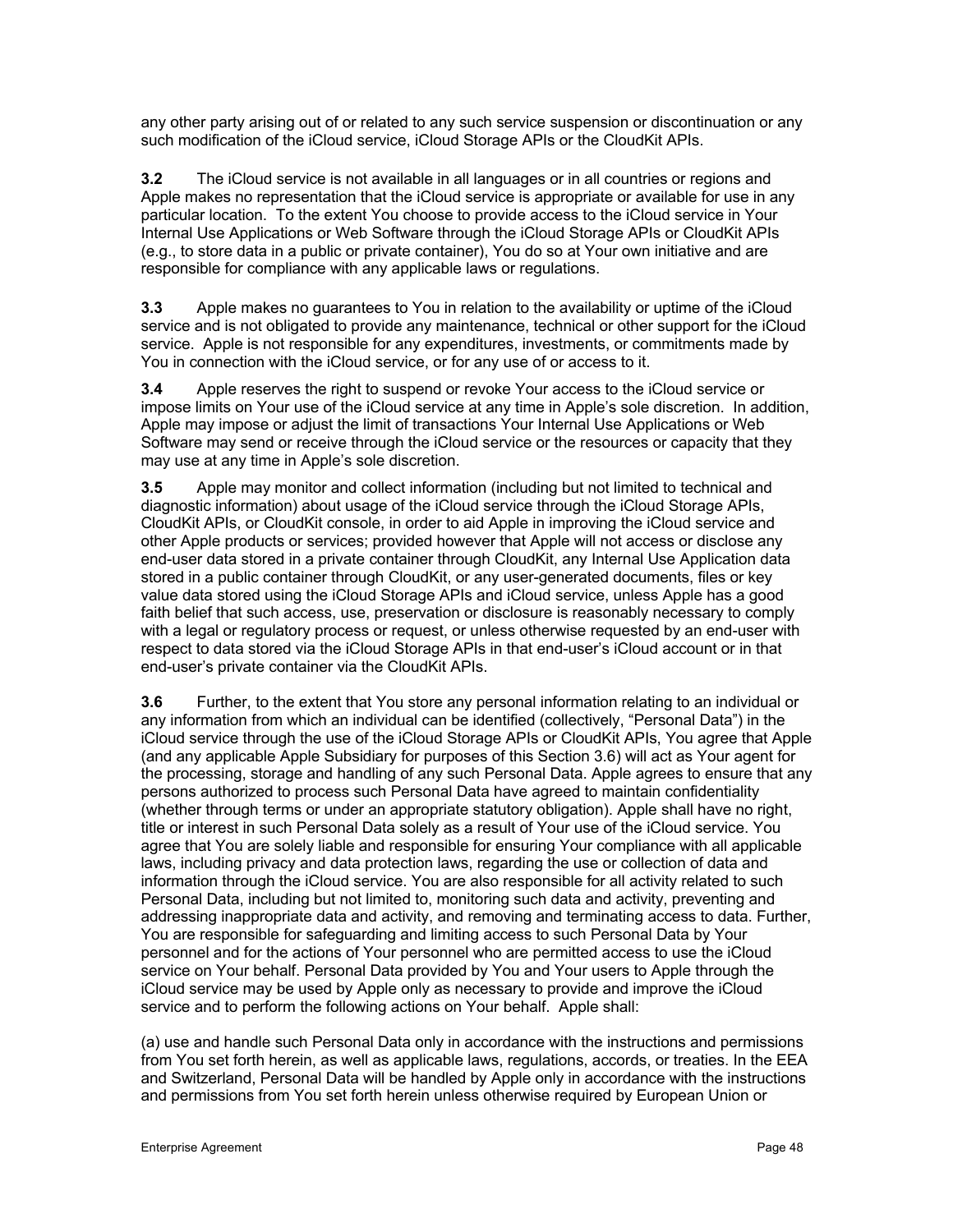any other party arising out of or related to any such service suspension or discontinuation or any such modification of the iCloud service, iCloud Storage APIs or the CloudKit APIs.

**3.2** The iCloud service is not available in all languages or in all countries or regions and Apple makes no representation that the iCloud service is appropriate or available for use in any particular location. To the extent You choose to provide access to the iCloud service in Your Internal Use Applications or Web Software through the iCloud Storage APIs or CloudKit APIs (e.g., to store data in a public or private container), You do so at Your own initiative and are responsible for compliance with any applicable laws or regulations.

**3.3** Apple makes no guarantees to You in relation to the availability or uptime of the iCloud service and is not obligated to provide any maintenance, technical or other support for the iCloud service. Apple is not responsible for any expenditures, investments, or commitments made by You in connection with the iCloud service, or for any use of or access to it.

**3.4** Apple reserves the right to suspend or revoke Your access to the iCloud service or impose limits on Your use of the iCloud service at any time in Apple's sole discretion. In addition, Apple may impose or adjust the limit of transactions Your Internal Use Applications or Web Software may send or receive through the iCloud service or the resources or capacity that they may use at any time in Apple's sole discretion.

**3.5** Apple may monitor and collect information (including but not limited to technical and diagnostic information) about usage of the iCloud service through the iCloud Storage APIs, CloudKit APIs, or CloudKit console, in order to aid Apple in improving the iCloud service and other Apple products or services; provided however that Apple will not access or disclose any end-user data stored in a private container through CloudKit, any Internal Use Application data stored in a public container through CloudKit, or any user-generated documents, files or key value data stored using the iCloud Storage APIs and iCloud service, unless Apple has a good faith belief that such access, use, preservation or disclosure is reasonably necessary to comply with a legal or regulatory process or request, or unless otherwise requested by an end-user with respect to data stored via the iCloud Storage APIs in that end-user's iCloud account or in that end-user's private container via the CloudKit APIs.

**3.6** Further, to the extent that You store any personal information relating to an individual or any information from which an individual can be identified (collectively, "Personal Data") in the iCloud service through the use of the iCloud Storage APIs or CloudKit APIs, You agree that Apple (and any applicable Apple Subsidiary for purposes of this Section 3.6) will act as Your agent for the processing, storage and handling of any such Personal Data. Apple agrees to ensure that any persons authorized to process such Personal Data have agreed to maintain confidentiality (whether through terms or under an appropriate statutory obligation). Apple shall have no right, title or interest in such Personal Data solely as a result of Your use of the iCloud service. You agree that You are solely liable and responsible for ensuring Your compliance with all applicable laws, including privacy and data protection laws, regarding the use or collection of data and information through the iCloud service. You are also responsible for all activity related to such Personal Data, including but not limited to, monitoring such data and activity, preventing and addressing inappropriate data and activity, and removing and terminating access to data. Further, You are responsible for safeguarding and limiting access to such Personal Data by Your personnel and for the actions of Your personnel who are permitted access to use the iCloud service on Your behalf. Personal Data provided by You and Your users to Apple through the iCloud service may be used by Apple only as necessary to provide and improve the iCloud service and to perform the following actions on Your behalf. Apple shall:

(a) use and handle such Personal Data only in accordance with the instructions and permissions from You set forth herein, as well as applicable laws, regulations, accords, or treaties. In the EEA and Switzerland, Personal Data will be handled by Apple only in accordance with the instructions and permissions from You set forth herein unless otherwise required by European Union or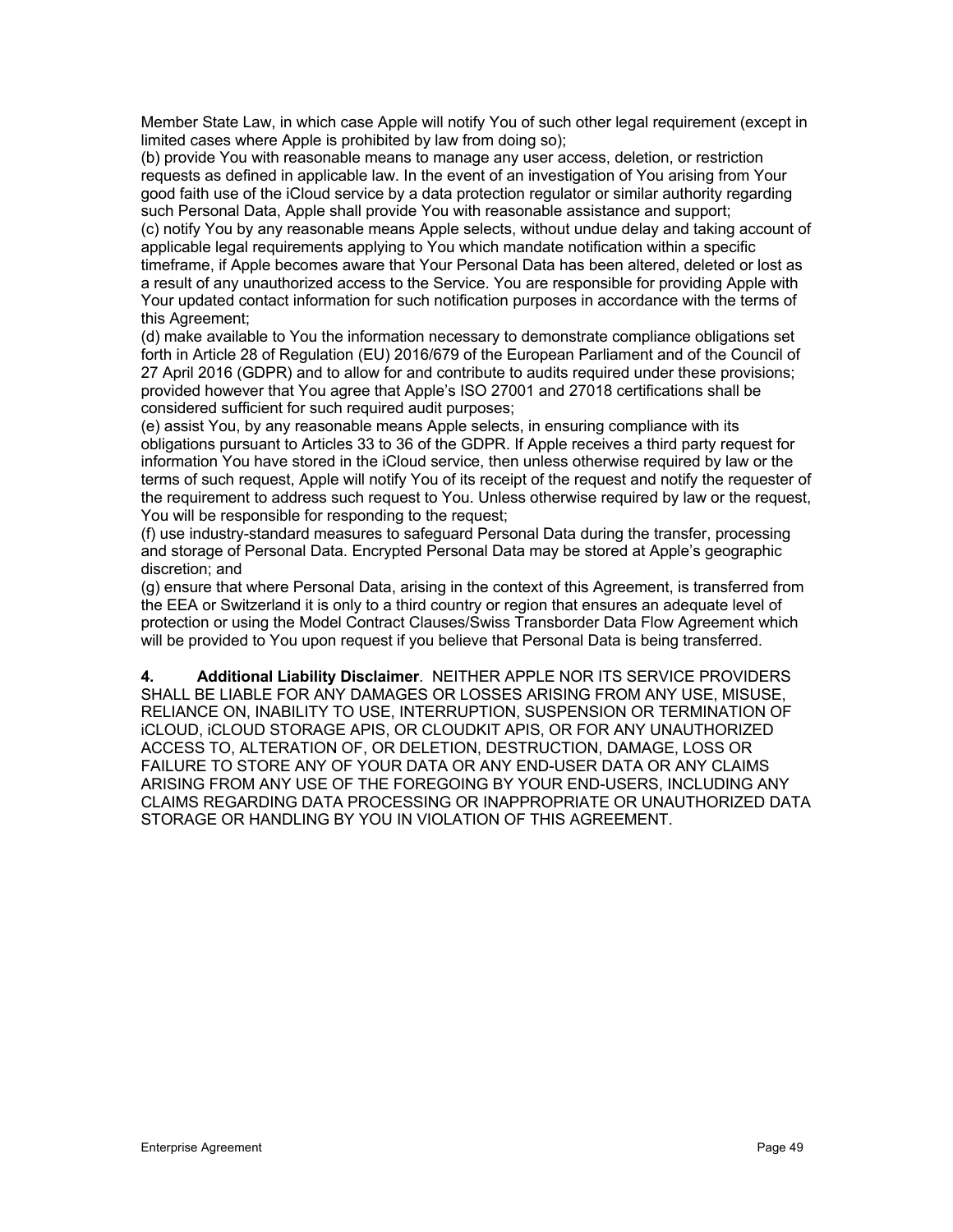Member State Law, in which case Apple will notify You of such other legal requirement (except in limited cases where Apple is prohibited by law from doing so);

(b) provide You with reasonable means to manage any user access, deletion, or restriction requests as defined in applicable law. In the event of an investigation of You arising from Your good faith use of the iCloud service by a data protection regulator or similar authority regarding such Personal Data, Apple shall provide You with reasonable assistance and support;

(c) notify You by any reasonable means Apple selects, without undue delay and taking account of applicable legal requirements applying to You which mandate notification within a specific timeframe, if Apple becomes aware that Your Personal Data has been altered, deleted or lost as

a result of any unauthorized access to the Service. You are responsible for providing Apple with Your updated contact information for such notification purposes in accordance with the terms of this Agreement;

(d) make available to You the information necessary to demonstrate compliance obligations set forth in Article 28 of Regulation (EU) 2016/679 of the European Parliament and of the Council of 27 April 2016 (GDPR) and to allow for and contribute to audits required under these provisions; provided however that You agree that Apple's ISO 27001 and 27018 certifications shall be considered sufficient for such required audit purposes;

(e) assist You, by any reasonable means Apple selects, in ensuring compliance with its obligations pursuant to Articles 33 to 36 of the GDPR. If Apple receives a third party request for information You have stored in the iCloud service, then unless otherwise required by law or the terms of such request, Apple will notify You of its receipt of the request and notify the requester of the requirement to address such request to You. Unless otherwise required by law or the request, You will be responsible for responding to the request;

(f) use industry-standard measures to safeguard Personal Data during the transfer, processing and storage of Personal Data. Encrypted Personal Data may be stored at Apple's geographic discretion; and

(g) ensure that where Personal Data, arising in the context of this Agreement, is transferred from the EEA or Switzerland it is only to a third country or region that ensures an adequate level of protection or using the Model Contract Clauses/Swiss Transborder Data Flow Agreement which will be provided to You upon request if you believe that Personal Data is being transferred.

**4. Additional Liability Disclaimer**. NEITHER APPLE NOR ITS SERVICE PROVIDERS SHALL BE LIABLE FOR ANY DAMAGES OR LOSSES ARISING FROM ANY USE, MISUSE, RELIANCE ON, INABILITY TO USE, INTERRUPTION, SUSPENSION OR TERMINATION OF iCLOUD, iCLOUD STORAGE APIS, OR CLOUDKIT APIS, OR FOR ANY UNAUTHORIZED ACCESS TO, ALTERATION OF, OR DELETION, DESTRUCTION, DAMAGE, LOSS OR FAILURE TO STORE ANY OF YOUR DATA OR ANY END-USER DATA OR ANY CLAIMS ARISING FROM ANY USE OF THE FOREGOING BY YOUR END-USERS, INCLUDING ANY CLAIMS REGARDING DATA PROCESSING OR INAPPROPRIATE OR UNAUTHORIZED DATA STORAGE OR HANDLING BY YOU IN VIOLATION OF THIS AGREEMENT.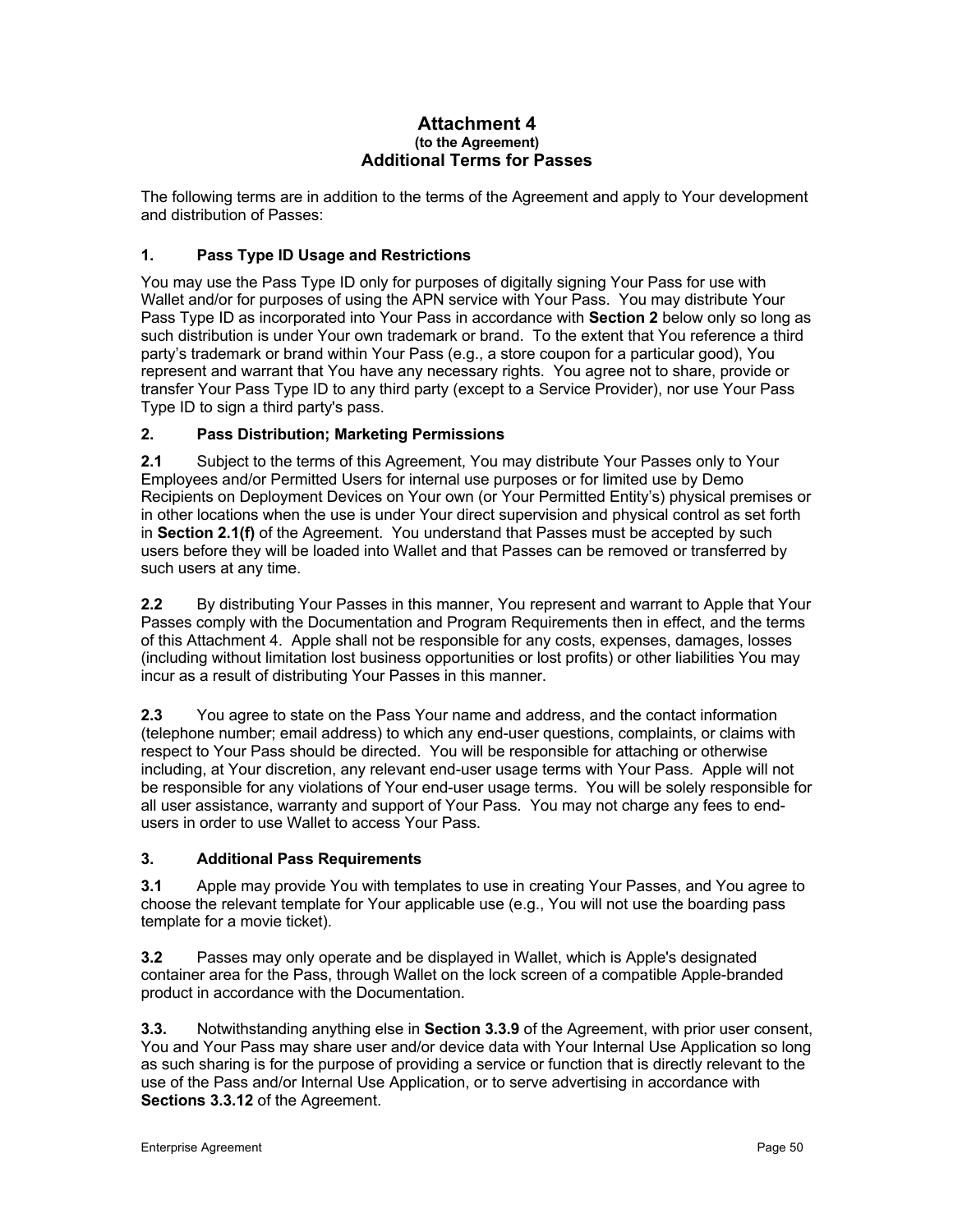### **Attachment 4 (to the Agreement) Additional Terms for Passes**

The following terms are in addition to the terms of the Agreement and apply to Your development and distribution of Passes:

# **1. Pass Type ID Usage and Restrictions**

You may use the Pass Type ID only for purposes of digitally signing Your Pass for use with Wallet and/or for purposes of using the APN service with Your Pass. You may distribute Your Pass Type ID as incorporated into Your Pass in accordance with **Section 2** below only so long as such distribution is under Your own trademark or brand.To the extent that You reference a third party's trademark or brand within Your Pass (e.g., a store coupon for a particular good), You represent and warrant that You have any necessary rights. You agree not to share, provide or transfer Your Pass Type ID to any third party (except to a Service Provider), nor use Your Pass Type ID to sign a third party's pass.

# **2. Pass Distribution; Marketing Permissions**

**2.1** Subject to the terms of this Agreement, You may distribute Your Passes only to Your Employees and/or Permitted Users for internal use purposes or for limited use by Demo Recipients on Deployment Devices on Your own (or Your Permitted Entity's) physical premises or in other locations when the use is under Your direct supervision and physical control as set forth in **Section 2.1(f)** of the Agreement. You understand that Passes must be accepted by such users before they will be loaded into Wallet and that Passes can be removed or transferred by such users at any time.

**2.2** By distributing Your Passes in this manner, You represent and warrant to Apple that Your Passes comply with the Documentation and Program Requirements then in effect, and the terms of this Attachment 4. Apple shall not be responsible for any costs, expenses, damages, losses (including without limitation lost business opportunities or lost profits) or other liabilities You may incur as a result of distributing Your Passes in this manner.

**2.3** You agree to state on the Pass Your name and address, and the contact information (telephone number; email address) to which any end-user questions, complaints, or claims with respect to Your Pass should be directed. You will be responsible for attaching or otherwise including, at Your discretion, any relevant end-user usage terms with Your Pass. Apple will not be responsible for any violations of Your end-user usage terms. You will be solely responsible for all user assistance, warranty and support of Your Pass. You may not charge any fees to endusers in order to use Wallet to access Your Pass.

# **3. Additional Pass Requirements**

**3.1** Apple may provide You with templates to use in creating Your Passes, and You agree to choose the relevant template for Your applicable use (e.g., You will not use the boarding pass template for a movie ticket).

**3.2** Passes may only operate and be displayed in Wallet, which is Apple's designated container area for the Pass, through Wallet on the lock screen of a compatible Apple-branded product in accordance with the Documentation*.*

**3.3.** Notwithstanding anything else in **Section 3.3.9** of the Agreement, with prior user consent, You and Your Pass may share user and/or device data with Your Internal Use Application so long as such sharing is for the purpose of providing a service or function that is directly relevant to the use of the Pass and/or Internal Use Application, or to serve advertising in accordance with **Sections 3.3.12** of the Agreement.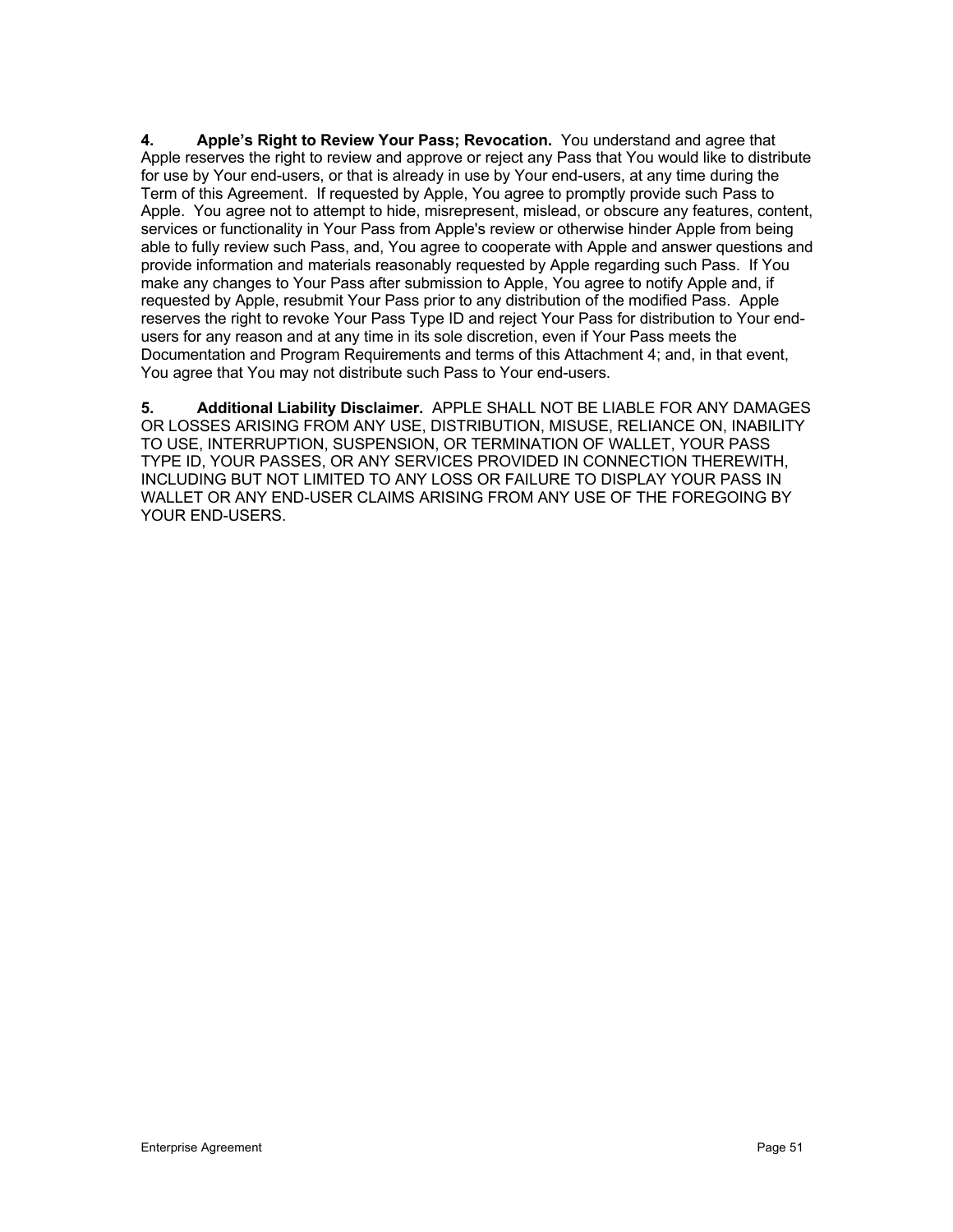**4. Apple's Right to Review Your Pass; Revocation.** You understand and agree that Apple reserves the right to review and approve or reject any Pass that You would like to distribute for use by Your end-users, or that is already in use by Your end-users, at any time during the Term of this Agreement. If requested by Apple, You agree to promptly provide such Pass to Apple. You agree not to attempt to hide, misrepresent, mislead, or obscure any features, content, services or functionality in Your Pass from Apple's review or otherwise hinder Apple from being able to fully review such Pass, and, You agree to cooperate with Apple and answer questions and provide information and materials reasonably requested by Apple regarding such Pass. If You make any changes to Your Pass after submission to Apple, You agree to notify Apple and, if requested by Apple, resubmit Your Pass prior to any distribution of the modified Pass. Apple reserves the right to revoke Your Pass Type ID and reject Your Pass for distribution to Your endusers for any reason and at any time in its sole discretion, even if Your Pass meets the Documentation and Program Requirements and terms of this Attachment 4; and, in that event, You agree that You may not distribute such Pass to Your end-users.

**5. Additional Liability Disclaimer.** APPLE SHALL NOT BE LIABLE FOR ANY DAMAGES OR LOSSES ARISING FROM ANY USE, DISTRIBUTION, MISUSE, RELIANCE ON, INABILITY TO USE, INTERRUPTION, SUSPENSION, OR TERMINATION OF WALLET, YOUR PASS TYPE ID, YOUR PASSES, OR ANY SERVICES PROVIDED IN CONNECTION THEREWITH, INCLUDING BUT NOT LIMITED TO ANY LOSS OR FAILURE TO DISPLAY YOUR PASS IN WALLET OR ANY END-USER CLAIMS ARISING FROM ANY USE OF THE FOREGOING BY YOUR END-USERS.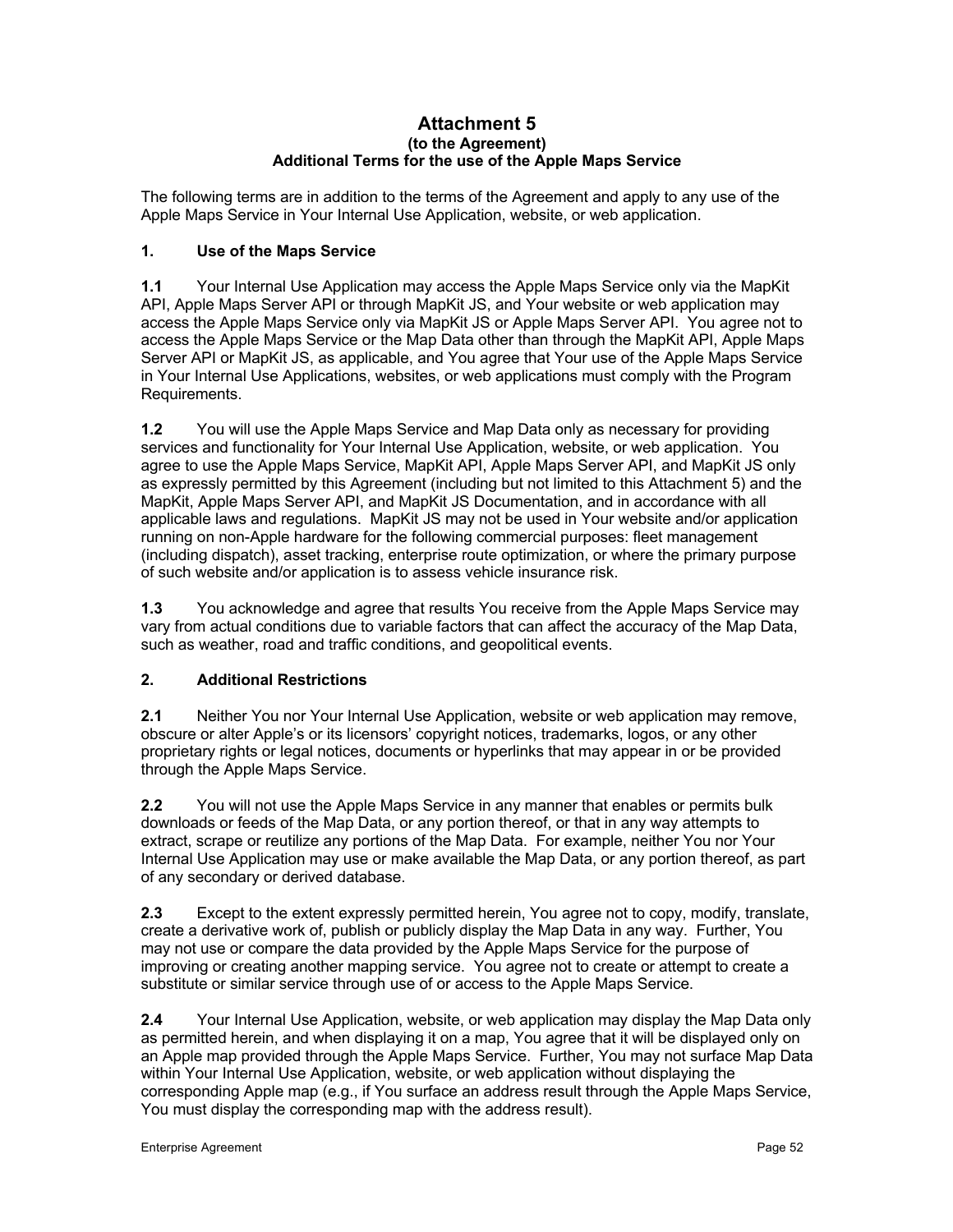### **Attachment 5 (to the Agreement) Additional Terms for the use of the Apple Maps Service**

The following terms are in addition to the terms of the Agreement and apply to any use of the Apple Maps Service in Your Internal Use Application, website, or web application.

### **1. Use of the Maps Service**

**1.1** Your Internal Use Application may access the Apple Maps Service only via the MapKit API, Apple Maps Server API or through MapKit JS, and Your website or web application may access the Apple Maps Service only via MapKit JS or Apple Maps Server API. You agree not to access the Apple Maps Service or the Map Data other than through the MapKit API, Apple Maps Server API or MapKit JS, as applicable, and You agree that Your use of the Apple Maps Service in Your Internal Use Applications, websites, or web applications must comply with the Program Requirements.

**1.2** You will use the Apple Maps Service and Map Data only as necessary for providing services and functionality for Your Internal Use Application, website, or web application. You agree to use the Apple Maps Service, MapKit API, Apple Maps Server API, and MapKit JS only as expressly permitted by this Agreement (including but not limited to this Attachment 5) and the MapKit, Apple Maps Server API, and MapKit JS Documentation, and in accordance with all applicable laws and regulations. MapKit JS may not be used in Your website and/or application running on non-Apple hardware for the following commercial purposes: fleet management (including dispatch), asset tracking, enterprise route optimization, or where the primary purpose of such website and/or application is to assess vehicle insurance risk.

**1.3** You acknowledge and agree that results You receive from the Apple Maps Service may vary from actual conditions due to variable factors that can affect the accuracy of the Map Data, such as weather, road and traffic conditions, and geopolitical events.

# **2. Additional Restrictions**

**2.1** Neither You nor Your Internal Use Application, website or web application may remove, obscure or alter Apple's or its licensors' copyright notices, trademarks, logos, or any other proprietary rights or legal notices, documents or hyperlinks that may appear in or be provided through the Apple Maps Service.

**2.2** You will not use the Apple Maps Service in any manner that enables or permits bulk downloads or feeds of the Map Data, or any portion thereof, or that in any way attempts to extract, scrape or reutilize any portions of the Map Data. For example, neither You nor Your Internal Use Application may use or make available the Map Data, or any portion thereof, as part of any secondary or derived database.

**2.3** Except to the extent expressly permitted herein, You agree not to copy, modify, translate, create a derivative work of, publish or publicly display the Map Data in any way. Further, You may not use or compare the data provided by the Apple Maps Service for the purpose of improving or creating another mapping service. You agree not to create or attempt to create a substitute or similar service through use of or access to the Apple Maps Service.

**2.4** Your Internal Use Application, website, or web application may display the Map Data only as permitted herein, and when displaying it on a map, You agree that it will be displayed only on an Apple map provided through the Apple Maps Service. Further, You may not surface Map Data within Your Internal Use Application, website, or web application without displaying the corresponding Apple map (e.g., if You surface an address result through the Apple Maps Service, You must display the corresponding map with the address result).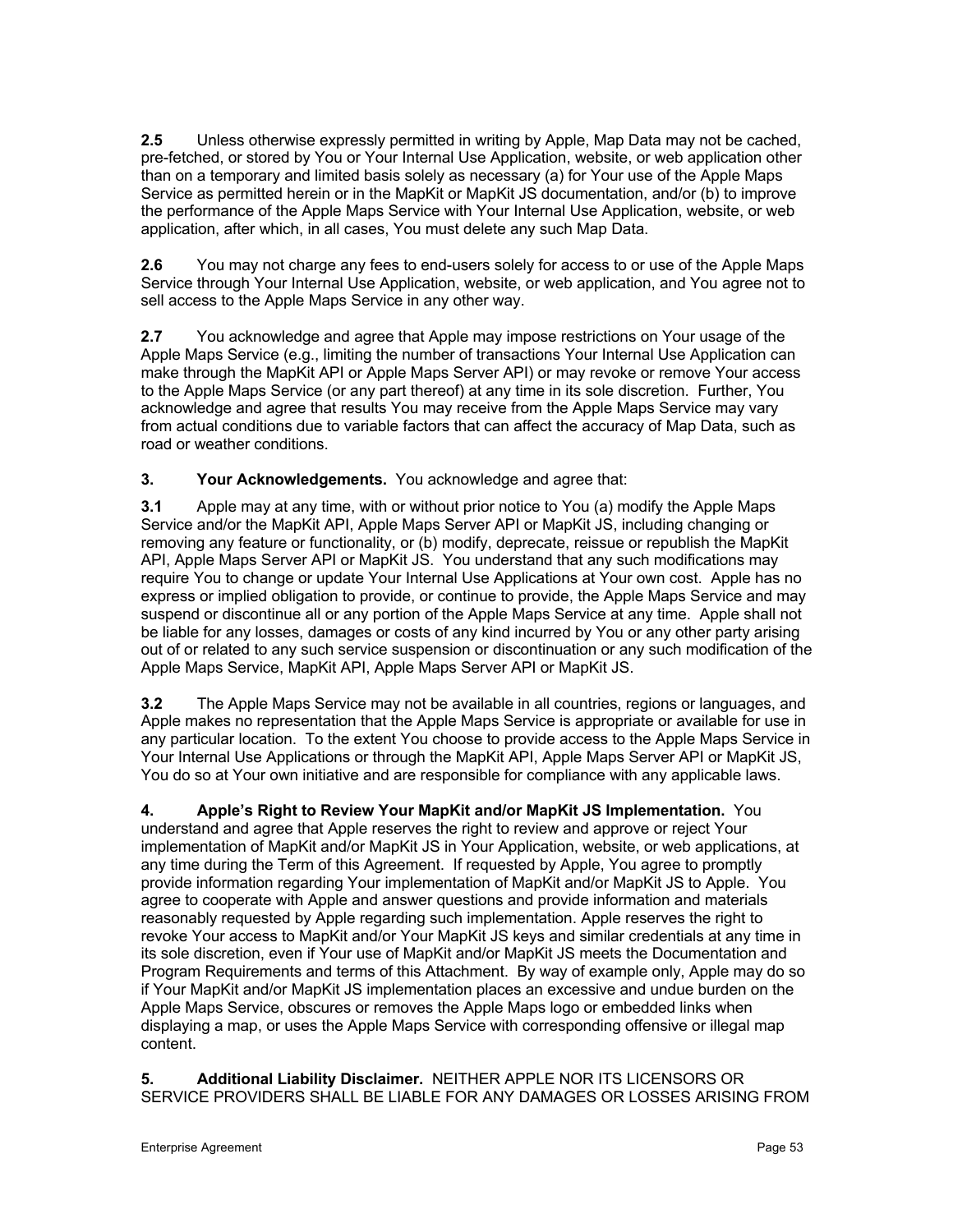**2.5** Unless otherwise expressly permitted in writing by Apple, Map Data may not be cached, pre-fetched, or stored by You or Your Internal Use Application, website, or web application other than on a temporary and limited basis solely as necessary (a) for Your use of the Apple Maps Service as permitted herein or in the MapKit or MapKit JS documentation, and/or (b) to improve the performance of the Apple Maps Service with Your Internal Use Application, website, or web application, after which, in all cases, You must delete any such Map Data.

**2.6** You may not charge any fees to end-users solely for access to or use of the Apple Maps Service through Your Internal Use Application, website, or web application, and You agree not to sell access to the Apple Maps Service in any other way.

**2.7** You acknowledge and agree that Apple may impose restrictions on Your usage of the Apple Maps Service (e.g., limiting the number of transactions Your Internal Use Application can make through the MapKit API or Apple Maps Server API) or may revoke or remove Your access to the Apple Maps Service (or any part thereof) at any time in its sole discretion. Further, You acknowledge and agree that results You may receive from the Apple Maps Service may vary from actual conditions due to variable factors that can affect the accuracy of Map Data, such as road or weather conditions.

**3. Your Acknowledgements.** You acknowledge and agree that:

**3.1** Apple may at any time, with or without prior notice to You (a) modify the Apple Maps Service and/or the MapKit API, Apple Maps Server API or MapKit JS, including changing or removing any feature or functionality, or (b) modify, deprecate, reissue or republish the MapKit API, Apple Maps Server API or MapKit JS. You understand that any such modifications may require You to change or update Your Internal Use Applications at Your own cost. Apple has no express or implied obligation to provide, or continue to provide, the Apple Maps Service and may suspend or discontinue all or any portion of the Apple Maps Service at any time. Apple shall not be liable for any losses, damages or costs of any kind incurred by You or any other party arising out of or related to any such service suspension or discontinuation or any such modification of the Apple Maps Service, MapKit API, Apple Maps Server API or MapKit JS.

**3.2** The Apple Maps Service may not be available in all countries, regions or languages, and Apple makes no representation that the Apple Maps Service is appropriate or available for use in any particular location. To the extent You choose to provide access to the Apple Maps Service in Your Internal Use Applications or through the MapKit API, Apple Maps Server API or MapKit JS, You do so at Your own initiative and are responsible for compliance with any applicable laws.

**4. Apple's Right to Review Your MapKit and/or MapKit JS Implementation.** You understand and agree that Apple reserves the right to review and approve or reject Your implementation of MapKit and/or MapKit JS in Your Application, website, or web applications, at any time during the Term of this Agreement. If requested by Apple, You agree to promptly provide information regarding Your implementation of MapKit and/or MapKit JS to Apple. You agree to cooperate with Apple and answer questions and provide information and materials reasonably requested by Apple regarding such implementation. Apple reserves the right to revoke Your access to MapKit and/or Your MapKit JS keys and similar credentials at any time in its sole discretion, even if Your use of MapKit and/or MapKit JS meets the Documentation and Program Requirements and terms of this Attachment. By way of example only, Apple may do so if Your MapKit and/or MapKit JS implementation places an excessive and undue burden on the Apple Maps Service, obscures or removes the Apple Maps logo or embedded links when displaying a map, or uses the Apple Maps Service with corresponding offensive or illegal map content.

**5. Additional Liability Disclaimer.** NEITHER APPLE NOR ITS LICENSORS OR SERVICE PROVIDERS SHALL BE LIABLE FOR ANY DAMAGES OR LOSSES ARISING FROM